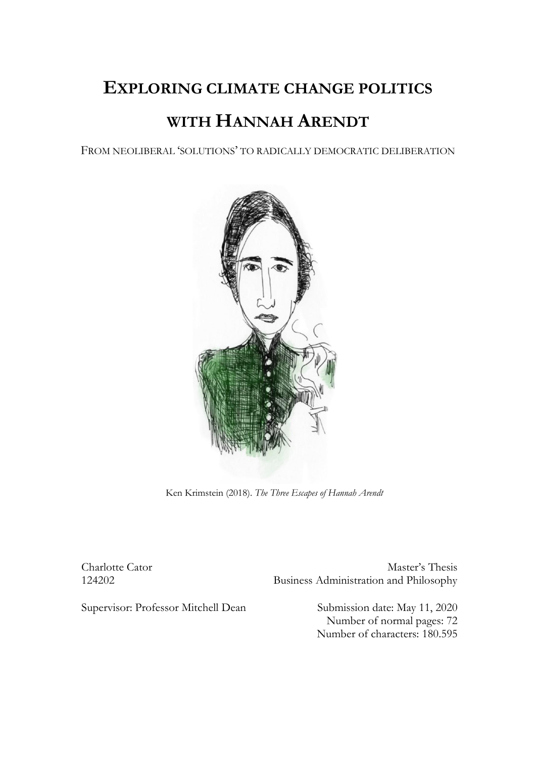# **EXPLORING CLIMATE CHANGE POLITICS**

# **WITH HANNAH ARENDT**

FROM NEOLIBERAL 'SOLUTIONS' TO RADICALLY DEMOCRATIC DELIBERATION



Ken Krimstein (2018). *The Three Escapes of Hannah Arendt*

Charlotte Cator Master's Thesis 124202 Business Administration and Philosophy

Supervisor: Professor Mitchell Dean Submission date: May 11, 2020

Number of normal pages: 72 Number of characters: 180.595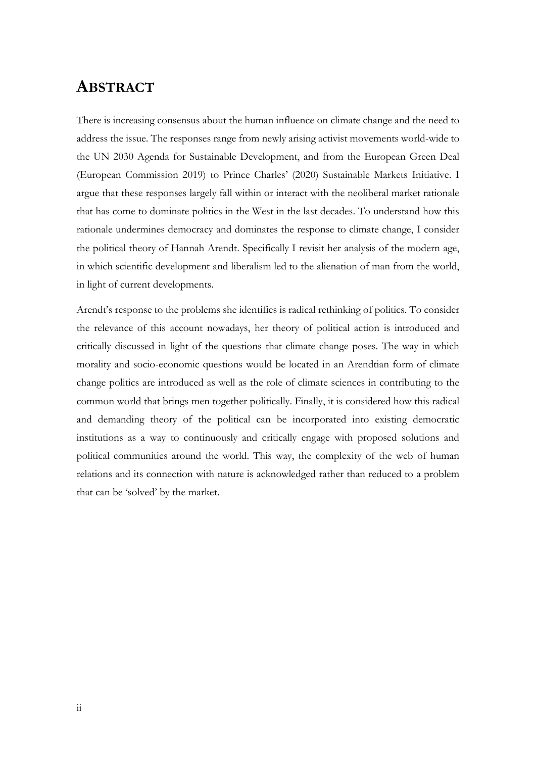# **ABSTRACT**

There is increasing consensus about the human influence on climate change and the need to address the issue. The responses range from newly arising activist movements world-wide to the UN 2030 Agenda for Sustainable Development, and from the European Green Deal (European Commission 2019) to Prince Charles' (2020) Sustainable Markets Initiative. I argue that these responses largely fall within or interact with the neoliberal market rationale that has come to dominate politics in the West in the last decades. To understand how this rationale undermines democracy and dominates the response to climate change, I consider the political theory of Hannah Arendt. Specifically I revisit her analysis of the modern age, in which scientific development and liberalism led to the alienation of man from the world, in light of current developments.

Arendt's response to the problems she identifies is radical rethinking of politics. To consider the relevance of this account nowadays, her theory of political action is introduced and critically discussed in light of the questions that climate change poses. The way in which morality and socio-economic questions would be located in an Arendtian form of climate change politics are introduced as well as the role of climate sciences in contributing to the common world that brings men together politically. Finally, it is considered how this radical and demanding theory of the political can be incorporated into existing democratic institutions as a way to continuously and critically engage with proposed solutions and political communities around the world. This way, the complexity of the web of human relations and its connection with nature is acknowledged rather than reduced to a problem that can be 'solved' by the market.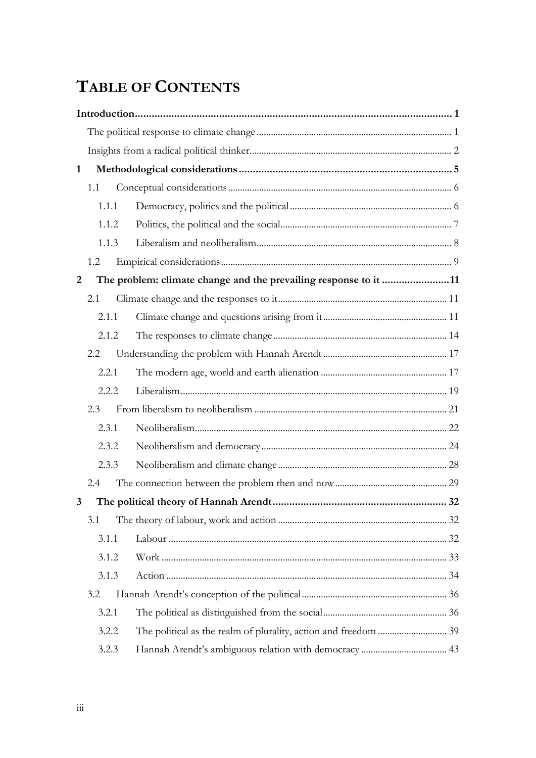# **TABLE OF CONTENTS**

| 1                                                                     |       |  |  |  |  |
|-----------------------------------------------------------------------|-------|--|--|--|--|
|                                                                       | 1.1   |  |  |  |  |
|                                                                       | 1.1.1 |  |  |  |  |
|                                                                       | 1.1.2 |  |  |  |  |
|                                                                       | 1.1.3 |  |  |  |  |
|                                                                       | 1.2   |  |  |  |  |
| The problem: climate change and the prevailing response to it 11<br>2 |       |  |  |  |  |
|                                                                       | 2.1   |  |  |  |  |
|                                                                       | 2.1.1 |  |  |  |  |
|                                                                       | 2.1.2 |  |  |  |  |
|                                                                       | 2.2   |  |  |  |  |
|                                                                       | 2.2.1 |  |  |  |  |
|                                                                       |       |  |  |  |  |
|                                                                       | 2.2.2 |  |  |  |  |
|                                                                       | 2.3   |  |  |  |  |
|                                                                       | 2.3.1 |  |  |  |  |
|                                                                       | 2.3.2 |  |  |  |  |
|                                                                       | 2.3.3 |  |  |  |  |
|                                                                       | 2.4   |  |  |  |  |
| $\mathbf{3}$                                                          |       |  |  |  |  |
|                                                                       | 3.1   |  |  |  |  |
|                                                                       | 3.1.1 |  |  |  |  |
|                                                                       | 3.1.2 |  |  |  |  |
|                                                                       | 3.1.3 |  |  |  |  |
|                                                                       | 3.2   |  |  |  |  |
|                                                                       | 3.2.1 |  |  |  |  |
|                                                                       | 3.2.2 |  |  |  |  |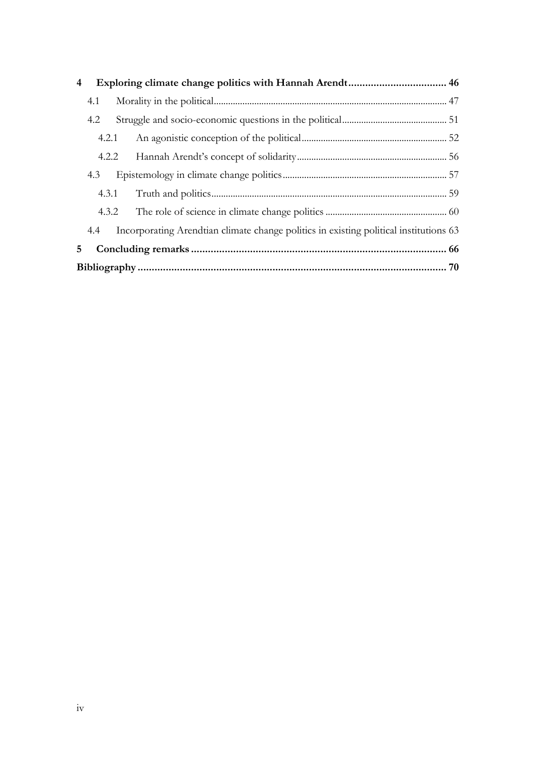| 4   |     |       |                                                                                           |  |  |  |
|-----|-----|-------|-------------------------------------------------------------------------------------------|--|--|--|
| 4.1 |     |       |                                                                                           |  |  |  |
|     | 4.2 |       |                                                                                           |  |  |  |
|     |     | 4.2.1 |                                                                                           |  |  |  |
|     |     |       |                                                                                           |  |  |  |
|     | 4.3 |       |                                                                                           |  |  |  |
|     |     | 4.3.1 |                                                                                           |  |  |  |
|     |     |       |                                                                                           |  |  |  |
|     |     |       | 4.4 Incorporating Arendtian climate change politics in existing political institutions 63 |  |  |  |
| 5.  |     |       |                                                                                           |  |  |  |
|     |     |       |                                                                                           |  |  |  |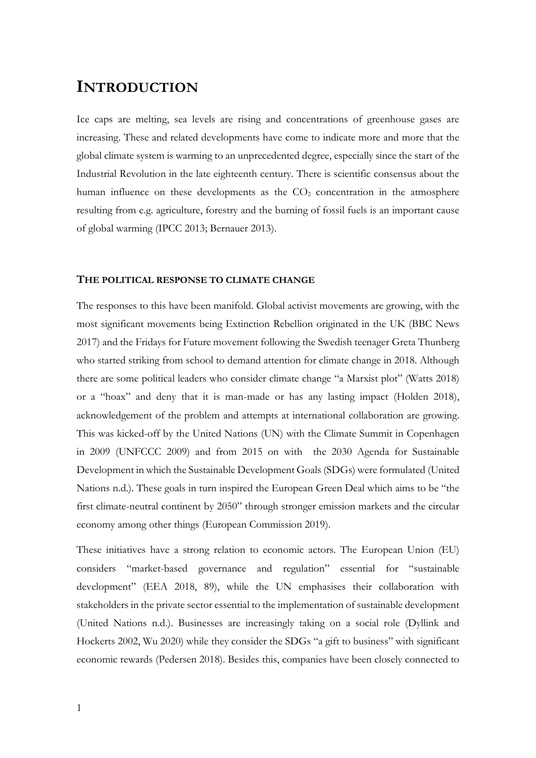# <span id="page-4-0"></span>**INTRODUCTION**

Ice caps are melting, sea levels are rising and concentrations of greenhouse gases are increasing. These and related developments have come to indicate more and more that the global climate system is warming to an unprecedented degree, especially since the start of the Industrial Revolution in the late eighteenth century. There is scientific consensus about the human influence on these developments as the  $CO<sub>2</sub>$  concentration in the atmosphere resulting from e.g. agriculture, forestry and the burning of fossil fuels is an important cause of global warming (IPCC 2013; Bernauer 2013).

#### <span id="page-4-1"></span>**THE POLITICAL RESPONSE TO CLIMATE CHANGE**

The responses to this have been manifold. Global activist movements are growing, with the most significant movements being Extinction Rebellion originated in the UK (BBC News 2017) and the Fridays for Future movement following the Swedish teenager Greta Thunberg who started striking from school to demand attention for climate change in 2018. Although there are some political leaders who consider climate change "a Marxist plot" (Watts 2018) or a "hoax" and deny that it is man-made or has any lasting impact (Holden 2018), acknowledgement of the problem and attempts at international collaboration are growing. This was kicked-off by the United Nations (UN) with the Climate Summit in Copenhagen in 2009 (UNFCCC 2009) and from 2015 on with the 2030 Agenda for Sustainable Development in which the Sustainable Development Goals (SDGs) were formulated (United Nations n.d.). These goals in turn inspired the European Green Deal which aims to be "the first climate-neutral continent by 2050" through stronger emission markets and the circular economy among other things (European Commission 2019).

These initiatives have a strong relation to economic actors. The European Union (EU) considers "market-based governance and regulation" essential for "sustainable development" (EEA 2018, 89), while the UN emphasises their collaboration with stakeholders in the private sector essential to the implementation of sustainable development (United Nations n.d.). Businesses are increasingly taking on a social role (Dyllink and Hockerts 2002, Wu 2020) while they consider the SDGs "a gift to business" with significant economic rewards (Pedersen 2018). Besides this, companies have been closely connected to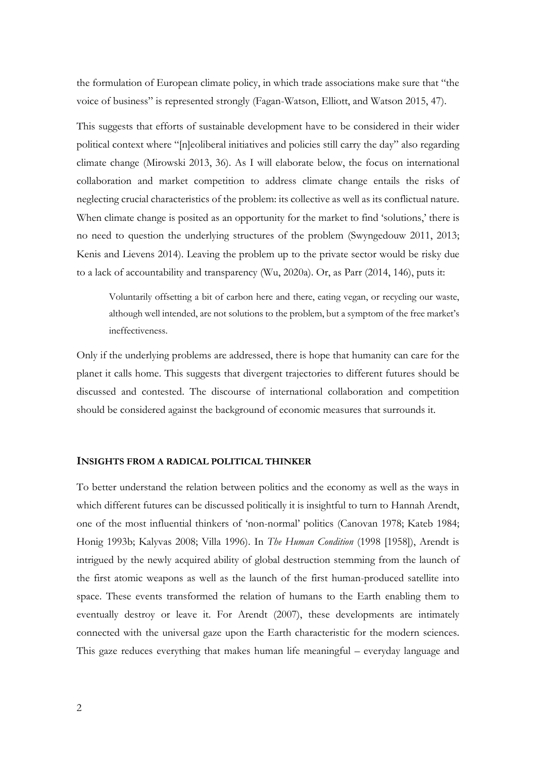the formulation of European climate policy, in which trade associations make sure that "the voice of business" is represented strongly (Fagan-Watson, Elliott, and Watson 2015, 47).

This suggests that efforts of sustainable development have to be considered in their wider political context where "[n]eoliberal initiatives and policies still carry the day" also regarding climate change (Mirowski 2013, 36). As I will elaborate below, the focus on international collaboration and market competition to address climate change entails the risks of neglecting crucial characteristics of the problem: its collective as well as its conflictual nature. When climate change is posited as an opportunity for the market to find 'solutions,' there is no need to question the underlying structures of the problem (Swyngedouw 2011, 2013; Kenis and Lievens 2014). Leaving the problem up to the private sector would be risky due to a lack of accountability and transparency (Wu, 2020a). Or, as Parr (2014, 146), puts it:

Voluntarily offsetting a bit of carbon here and there, eating vegan, or recycling our waste, although well intended, are not solutions to the problem, but a symptom of the free market's ineffectiveness.

Only if the underlying problems are addressed, there is hope that humanity can care for the planet it calls home. This suggests that divergent trajectories to different futures should be discussed and contested. The discourse of international collaboration and competition should be considered against the background of economic measures that surrounds it.

## <span id="page-5-0"></span>**INSIGHTS FROM A RADICAL POLITICAL THINKER**

To better understand the relation between politics and the economy as well as the ways in which different futures can be discussed politically it is insightful to turn to Hannah Arendt, one of the most influential thinkers of 'non-normal' politics (Canovan 1978; Kateb 1984; Honig 1993b; Kalyvas 2008; Villa 1996). In *The Human Condition* (1998 [1958]), Arendt is intrigued by the newly acquired ability of global destruction stemming from the launch of the first atomic weapons as well as the launch of the first human-produced satellite into space. These events transformed the relation of humans to the Earth enabling them to eventually destroy or leave it. For Arendt (2007), these developments are intimately connected with the universal gaze upon the Earth characteristic for the modern sciences. This gaze reduces everything that makes human life meaningful – everyday language and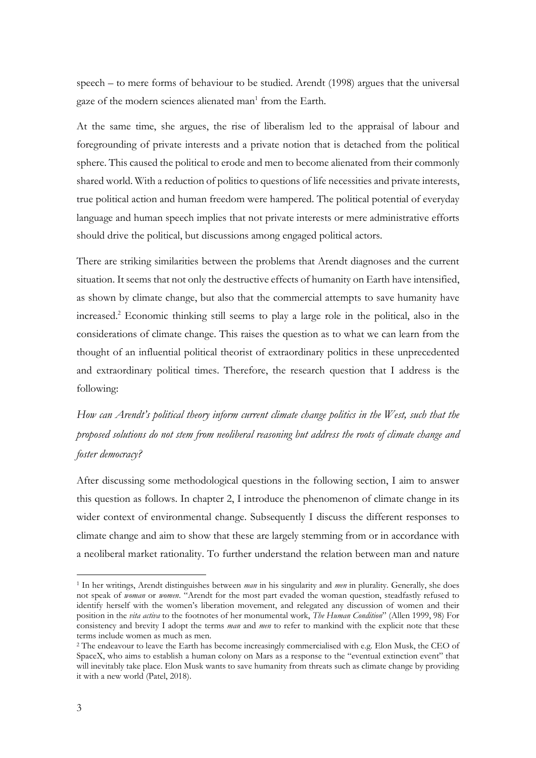speech – to mere forms of behaviour to be studied. Arendt (1998) argues that the universal gaze of the modern sciences alienated man<sup>1</sup> from the Earth.

At the same time, she argues, the rise of liberalism led to the appraisal of labour and foregrounding of private interests and a private notion that is detached from the political sphere. This caused the political to erode and men to become alienated from their commonly shared world. With a reduction of politics to questions of life necessities and private interests, true political action and human freedom were hampered. The political potential of everyday language and human speech implies that not private interests or mere administrative efforts should drive the political, but discussions among engaged political actors.

There are striking similarities between the problems that Arendt diagnoses and the current situation. It seems that not only the destructive effects of humanity on Earth have intensified, as shown by climate change, but also that the commercial attempts to save humanity have increased. <sup>2</sup> Economic thinking still seems to play a large role in the political, also in the considerations of climate change. This raises the question as to what we can learn from the thought of an influential political theorist of extraordinary politics in these unprecedented and extraordinary political times. Therefore, the research question that I address is the following:

*How can Arendt's political theory inform current climate change politics in the West, such that the proposed solutions do not stem from neoliberal reasoning but address the roots of climate change and foster democracy?*

After discussing some methodological questions in the following section, I aim to answer this question as follows. In chapter 2, I introduce the phenomenon of climate change in its wider context of environmental change. Subsequently I discuss the different responses to climate change and aim to show that these are largely stemming from or in accordance with a neoliberal market rationality. To further understand the relation between man and nature

<sup>1</sup> In her writings, Arendt distinguishes between *man* in his singularity and *men* in plurality. Generally, she does not speak of *woman* or *women*. "Arendt for the most part evaded the woman question, steadfastly refused to identify herself with the women's liberation movement, and relegated any discussion of women and their position in the *vita activa* to the footnotes of her monumental work, *The Human Condition*" (Allen 1999, 98) For consistency and brevity I adopt the terms *man* and *men* to refer to mankind with the explicit note that these terms include women as much as men.

<sup>2</sup> The endeavour to leave the Earth has become increasingly commercialised with e.g. Elon Musk, the CEO of SpaceX, who aims to establish a human colony on Mars as a response to the "eventual extinction event" that will inevitably take place. Elon Musk wants to save humanity from threats such as climate change by providing it with a new world (Patel, 2018).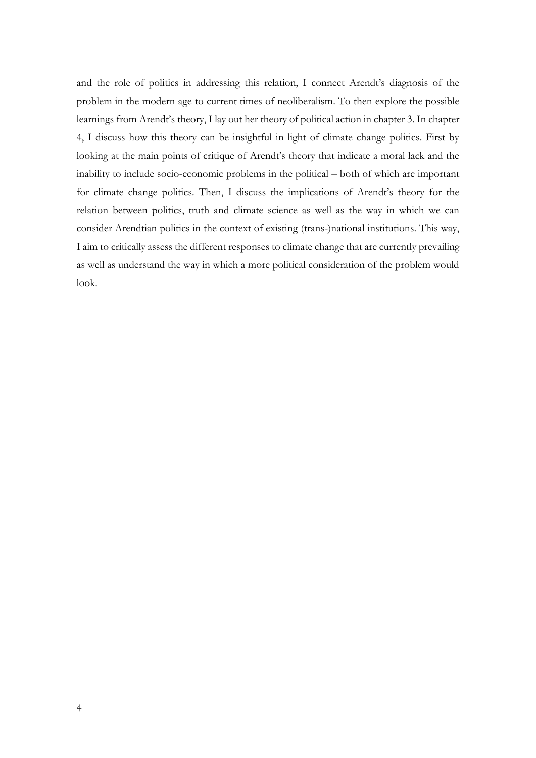and the role of politics in addressing this relation, I connect Arendt's diagnosis of the problem in the modern age to current times of neoliberalism. To then explore the possible learnings from Arendt's theory, I lay out her theory of political action in chapter 3. In chapter 4, I discuss how this theory can be insightful in light of climate change politics. First by looking at the main points of critique of Arendt's theory that indicate a moral lack and the inability to include socio-economic problems in the political – both of which are important for climate change politics. Then, I discuss the implications of Arendt's theory for the relation between politics, truth and climate science as well as the way in which we can consider Arendtian politics in the context of existing (trans-)national institutions. This way, I aim to critically assess the different responses to climate change that are currently prevailing as well as understand the way in which a more political consideration of the problem would look.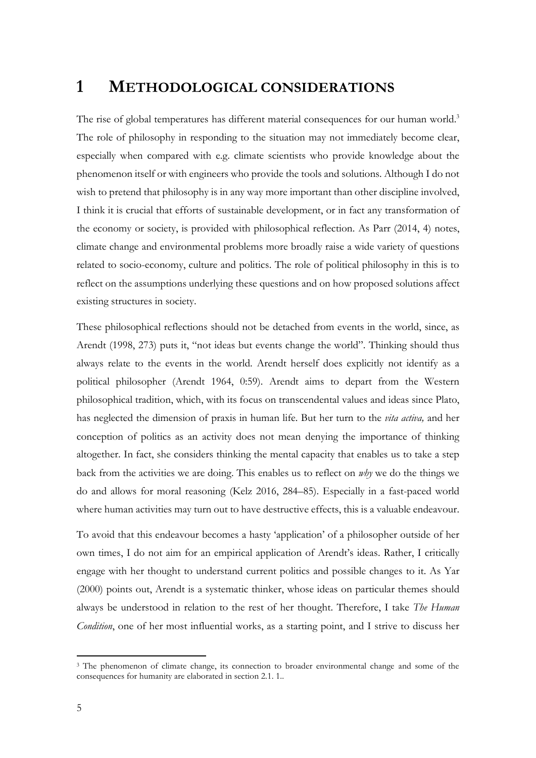# <span id="page-8-0"></span>**1 METHODOLOGICAL CONSIDERATIONS**

The rise of global temperatures has different material consequences for our human world.<sup>3</sup> The role of philosophy in responding to the situation may not immediately become clear, especially when compared with e.g. climate scientists who provide knowledge about the phenomenon itself or with engineers who provide the tools and solutions. Although I do not wish to pretend that philosophy is in any way more important than other discipline involved, I think it is crucial that efforts of sustainable development, or in fact any transformation of the economy or society, is provided with philosophical reflection. As Parr (2014, 4) notes, climate change and environmental problems more broadly raise a wide variety of questions related to socio-economy, culture and politics. The role of political philosophy in this is to reflect on the assumptions underlying these questions and on how proposed solutions affect existing structures in society.

These philosophical reflections should not be detached from events in the world, since, as Arendt (1998, 273) puts it, "not ideas but events change the world". Thinking should thus always relate to the events in the world. Arendt herself does explicitly not identify as a political philosopher (Arendt 1964, 0:59). Arendt aims to depart from the Western philosophical tradition, which, with its focus on transcendental values and ideas since Plato, has neglected the dimension of praxis in human life. But her turn to the *vita activa,* and her conception of politics as an activity does not mean denying the importance of thinking altogether. In fact, she considers thinking the mental capacity that enables us to take a step back from the activities we are doing. This enables us to reflect on *why* we do the things we do and allows for moral reasoning (Kelz 2016, 284–85). Especially in a fast-paced world where human activities may turn out to have destructive effects, this is a valuable endeavour.

To avoid that this endeavour becomes a hasty 'application' of a philosopher outside of her own times, I do not aim for an empirical application of Arendt's ideas. Rather, I critically engage with her thought to understand current politics and possible changes to it. As Yar (2000) points out, Arendt is a systematic thinker, whose ideas on particular themes should always be understood in relation to the rest of her thought. Therefore, I take *The Human Condition*, one of her most influential works, as a starting point, and I strive to discuss her

<sup>&</sup>lt;sup>3</sup> The phenomenon of climate change, its connection to broader environmental change and some of the consequences for humanity are elaborated in section 2.1. 1..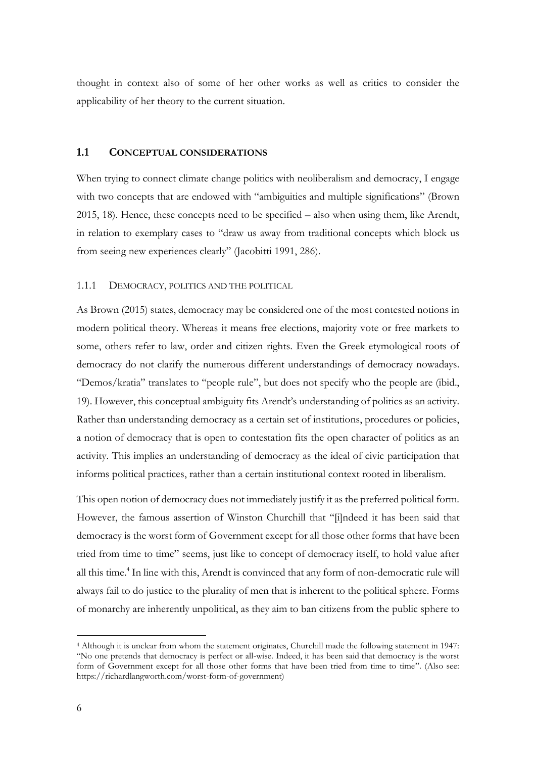thought in context also of some of her other works as well as critics to consider the applicability of her theory to the current situation.

# <span id="page-9-0"></span>**1.1 CONCEPTUAL CONSIDERATIONS**

When trying to connect climate change politics with neoliberalism and democracy, I engage with two concepts that are endowed with "ambiguities and multiple significations" (Brown 2015, 18). Hence, these concepts need to be specified – also when using them, like Arendt, in relation to exemplary cases to "draw us away from traditional concepts which block us from seeing new experiences clearly" (Jacobitti 1991, 286).

#### <span id="page-9-1"></span>1.1.1 DEMOCRACY, POLITICS AND THE POLITICAL

As Brown (2015) states, democracy may be considered one of the most contested notions in modern political theory. Whereas it means free elections, majority vote or free markets to some, others refer to law, order and citizen rights. Even the Greek etymological roots of democracy do not clarify the numerous different understandings of democracy nowadays. "Demos/kratia" translates to "people rule", but does not specify who the people are (ibid., 19). However, this conceptual ambiguity fits Arendt's understanding of politics as an activity. Rather than understanding democracy as a certain set of institutions, procedures or policies, a notion of democracy that is open to contestation fits the open character of politics as an activity. This implies an understanding of democracy as the ideal of civic participation that informs political practices, rather than a certain institutional context rooted in liberalism.

This open notion of democracy does not immediately justify it as the preferred political form. However, the famous assertion of Winston Churchill that "[i]ndeed it has been said that democracy is the worst form of Government except for all those other forms that have been tried from time to time" seems, just like to concept of democracy itself, to hold value after all this time. 4 In line with this, Arendt is convinced that any form of non-democratic rule will always fail to do justice to the plurality of men that is inherent to the political sphere. Forms of monarchy are inherently unpolitical, as they aim to ban citizens from the public sphere to

<sup>4</sup> Although it is unclear from whom the statement originates, Churchill made the following statement in 1947: "No one pretends that democracy is perfect or all-wise. Indeed, it has been said that democracy is the worst form of Government except for all those other forms that have been tried from time to time". (Also see: https://richardlangworth.com/worst-form-of-government)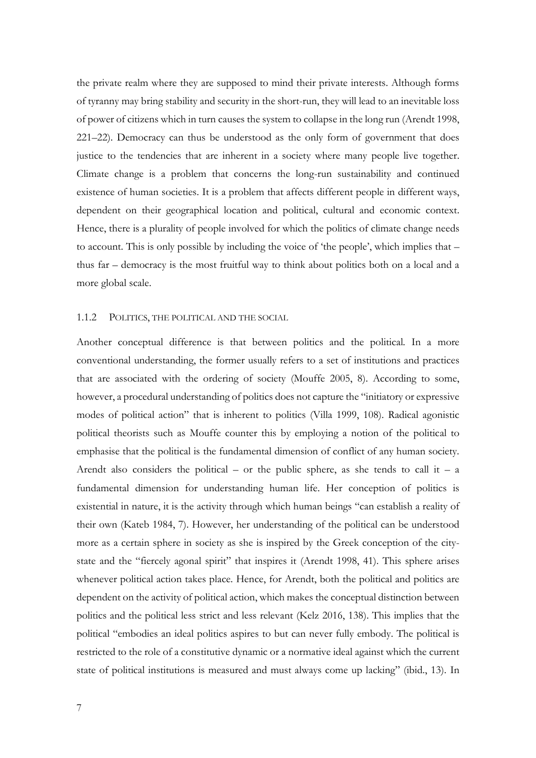the private realm where they are supposed to mind their private interests. Although forms of tyranny may bring stability and security in the short-run, they will lead to an inevitable loss of power of citizens which in turn causes the system to collapse in the long run (Arendt 1998, 221–22). Democracy can thus be understood as the only form of government that does justice to the tendencies that are inherent in a society where many people live together. Climate change is a problem that concerns the long-run sustainability and continued existence of human societies. It is a problem that affects different people in different ways, dependent on their geographical location and political, cultural and economic context. Hence, there is a plurality of people involved for which the politics of climate change needs to account. This is only possible by including the voice of 'the people', which implies that – thus far – democracy is the most fruitful way to think about politics both on a local and a more global scale.

#### <span id="page-10-0"></span>1.1.2 POLITICS, THE POLITICAL AND THE SOCIAL

Another conceptual difference is that between politics and the political*.* In a more conventional understanding, the former usually refers to a set of institutions and practices that are associated with the ordering of society (Mouffe 2005, 8). According to some, however, a procedural understanding of politics does not capture the "initiatory or expressive modes of political action" that is inherent to politics (Villa 1999, 108). Radical agonistic political theorists such as Mouffe counter this by employing a notion of the political to emphasise that the political is the fundamental dimension of conflict of any human society. Arendt also considers the political – or the public sphere, as she tends to call it – a fundamental dimension for understanding human life. Her conception of politics is existential in nature, it is the activity through which human beings "can establish a reality of their own (Kateb 1984, 7). However, her understanding of the political can be understood more as a certain sphere in society as she is inspired by the Greek conception of the citystate and the "fiercely agonal spirit" that inspires it (Arendt 1998, 41). This sphere arises whenever political action takes place. Hence, for Arendt, both the political and politics are dependent on the activity of political action, which makes the conceptual distinction between politics and the political less strict and less relevant (Kelz 2016, 138). This implies that the political "embodies an ideal politics aspires to but can never fully embody. The political is restricted to the role of a constitutive dynamic or a normative ideal against which the current state of political institutions is measured and must always come up lacking" (ibid., 13). In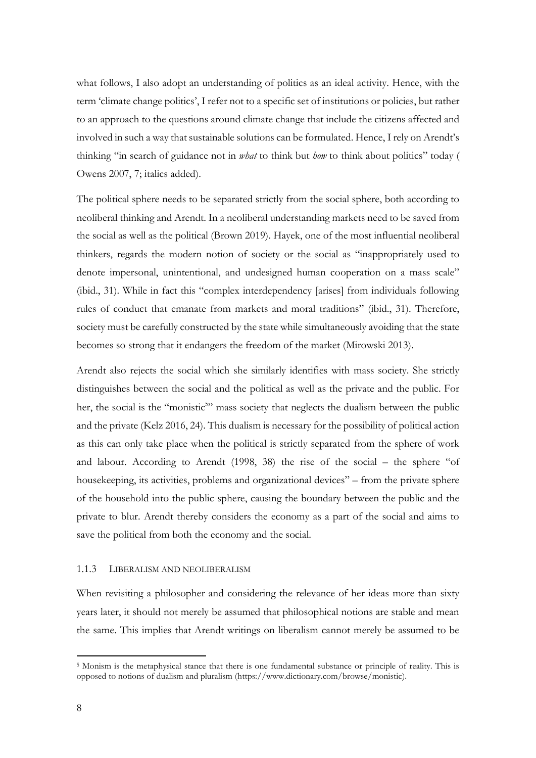what follows, I also adopt an understanding of politics as an ideal activity. Hence, with the term 'climate change politics', I refer not to a specific set of institutions or policies, but rather to an approach to the questions around climate change that include the citizens affected and involved in such a way that sustainable solutions can be formulated. Hence, I rely on Arendt's thinking "in search of guidance not in *what* to think but *how* to think about politics" today ( Owens 2007, 7; italics added).

The political sphere needs to be separated strictly from the social sphere, both according to neoliberal thinking and Arendt. In a neoliberal understanding markets need to be saved from the social as well as the political (Brown 2019). Hayek, one of the most influential neoliberal thinkers, regards the modern notion of society or the social as "inappropriately used to denote impersonal, unintentional, and undesigned human cooperation on a mass scale" (ibid., 31). While in fact this "complex interdependency [arises] from individuals following rules of conduct that emanate from markets and moral traditions" (ibid., 31). Therefore, society must be carefully constructed by the state while simultaneously avoiding that the state becomes so strong that it endangers the freedom of the market (Mirowski 2013).

Arendt also rejects the social which she similarly identifies with mass society. She strictly distinguishes between the social and the political as well as the private and the public. For her, the social is the "monistic<sup>5</sup>" mass society that neglects the dualism between the public and the private (Kelz 2016, 24). This dualism is necessary for the possibility of political action as this can only take place when the political is strictly separated from the sphere of work and labour. According to Arendt (1998, 38) the rise of the social – the sphere "of housekeeping, its activities, problems and organizational devices" – from the private sphere of the household into the public sphere, causing the boundary between the public and the private to blur. Arendt thereby considers the economy as a part of the social and aims to save the political from both the economy and the social.

#### <span id="page-11-0"></span>1.1.3 LIBERALISM AND NEOLIBERALISM

When revisiting a philosopher and considering the relevance of her ideas more than sixty years later, it should not merely be assumed that philosophical notions are stable and mean the same. This implies that Arendt writings on liberalism cannot merely be assumed to be

<sup>5</sup> Monism is the metaphysical stance that there is one fundamental substance or principle of reality. This is opposed to notions of dualism and pluralism (https://www.dictionary.com/browse/monistic).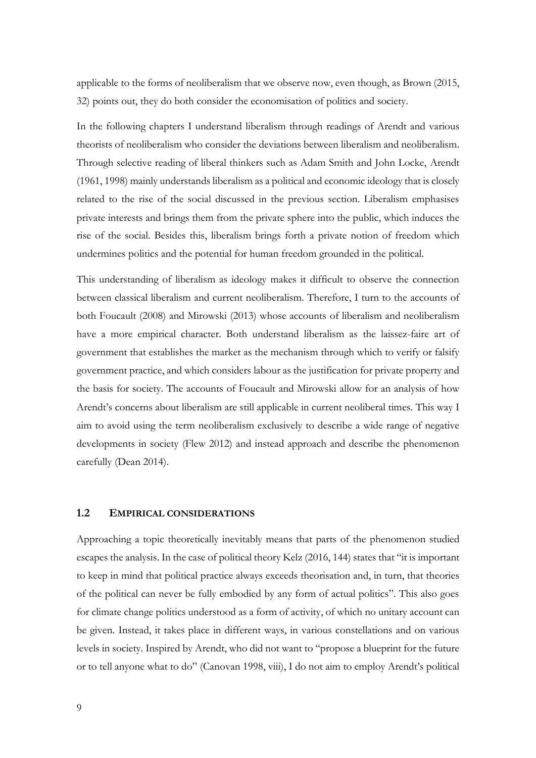applicable to the forms of neoliberalism that we observe now, even though, as Brown (2015, 32) points out, they do both consider the economisation of politics and society.

In the following chapters I understand liberalism through readings of Arendt and various theorists of neoliberalism who consider the deviations between liberalism and neoliberalism. Through selective reading of liberal thinkers such as Adam Smith and John Locke, Arendt (1961, 1998) mainly understands liberalism as a political and economic ideology that is closely related to the rise of the social discussed in the previous section. Liberalism emphasises private interests and brings them from the private sphere into the public, which induces the rise of the social. Besides this, liberalism brings forth a private notion of freedom which undermines politics and the potential for human freedom grounded in the political.

This understanding of liberalism as ideology makes it difficult to observe the connection between classical liberalism and current neoliberalism. Therefore, I turn to the accounts of both Foucault (2008) and Mirowski (2013) whose accounts of liberalism and neoliberalism have a more empirical character. Both understand liberalism as the laissez-faire art of government that establishes the market as the mechanism through which to verify or falsify government practice, and which considers labour as the justification for private property and the basis for society. The accounts of Foucault and Mirowski allow for an analysis of how Arendt's concerns about liberalism are still applicable in current neoliberal times. This way I aim to avoid using the term neoliberalism exclusively to describe a wide range of negative developments in society (Flew 2012) and instead approach and describe the phenomenon carefully (Dean 2014).

### <span id="page-12-0"></span>**1.2 EMPIRICAL CONSIDERATIONS**

Approaching a topic theoretically inevitably means that parts of the phenomenon studied escapes the analysis. In the case of political theory Kelz (2016, 144) states that "it is important to keep in mind that political practice always exceeds theorisation and, in turn, that theories of the political can never be fully embodied by any form of actual politics". This also goes for climate change politics understood as a form of activity, of which no unitary account can be given. Instead, it takes place in different ways, in various constellations and on various levels in society. Inspired by Arendt, who did not want to "propose a blueprint for the future or to tell anyone what to do" (Canovan 1998, viii), I do not aim to employ Arendt's political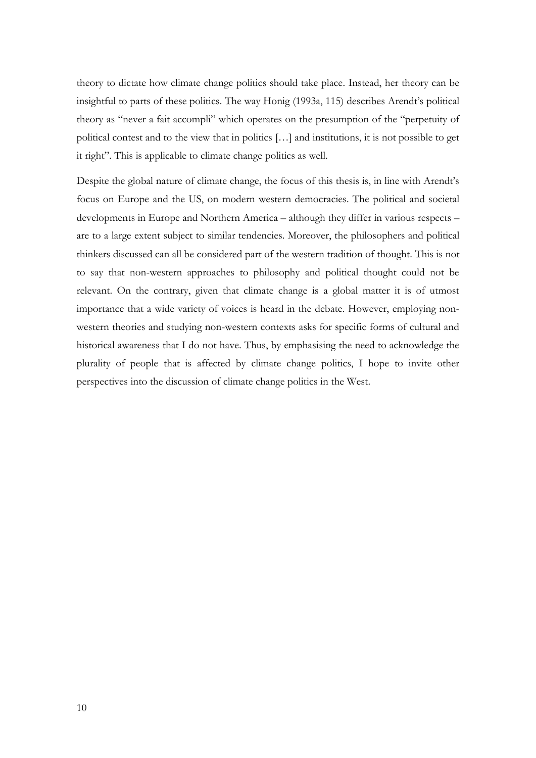theory to dictate how climate change politics should take place. Instead, her theory can be insightful to parts of these politics. The way Honig (1993a, 115) describes Arendt's political theory as "never a fait accompli" which operates on the presumption of the "perpetuity of political contest and to the view that in politics […] and institutions, it is not possible to get it right". This is applicable to climate change politics as well.

Despite the global nature of climate change, the focus of this thesis is, in line with Arendt's focus on Europe and the US, on modern western democracies. The political and societal developments in Europe and Northern America – although they differ in various respects – are to a large extent subject to similar tendencies. Moreover, the philosophers and political thinkers discussed can all be considered part of the western tradition of thought. This is not to say that non-western approaches to philosophy and political thought could not be relevant. On the contrary, given that climate change is a global matter it is of utmost importance that a wide variety of voices is heard in the debate. However, employing nonwestern theories and studying non-western contexts asks for specific forms of cultural and historical awareness that I do not have. Thus, by emphasising the need to acknowledge the plurality of people that is affected by climate change politics, I hope to invite other perspectives into the discussion of climate change politics in the West.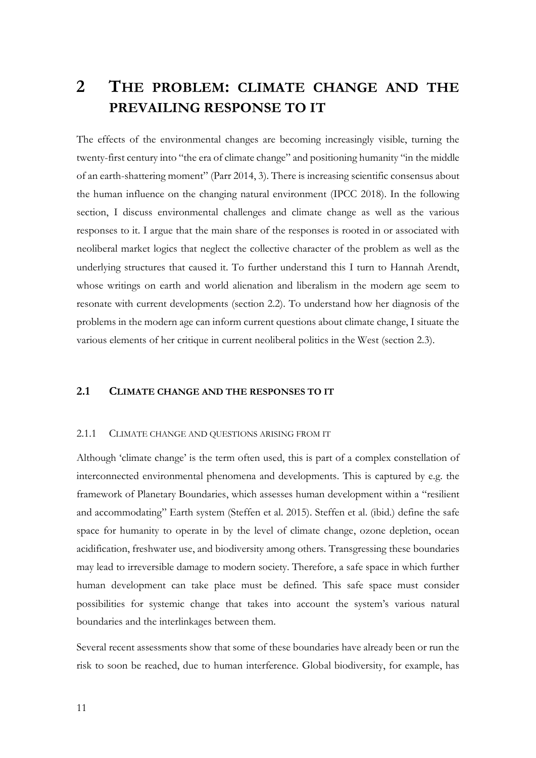# <span id="page-14-0"></span>**2 THE PROBLEM: CLIMATE CHANGE AND THE PREVAILING RESPONSE TO IT**

The effects of the environmental changes are becoming increasingly visible, turning the twenty-first century into "the era of climate change" and positioning humanity "in the middle of an earth-shattering moment" (Parr 2014, 3). There is increasing scientific consensus about the human influence on the changing natural environment (IPCC 2018). In the following section, I discuss environmental challenges and climate change as well as the various responses to it. I argue that the main share of the responses is rooted in or associated with neoliberal market logics that neglect the collective character of the problem as well as the underlying structures that caused it. To further understand this I turn to Hannah Arendt, whose writings on earth and world alienation and liberalism in the modern age seem to resonate with current developments (section 2.2). To understand how her diagnosis of the problems in the modern age can inform current questions about climate change, I situate the various elements of her critique in current neoliberal politics in the West (section 2.3).

## <span id="page-14-1"></span>**2.1 CLIMATE CHANGE AND THE RESPONSES TO IT**

#### <span id="page-14-2"></span>2.1.1 CLIMATE CHANGE AND QUESTIONS ARISING FROM IT

Although 'climate change' is the term often used, this is part of a complex constellation of interconnected environmental phenomena and developments. This is captured by e.g. the framework of Planetary Boundaries, which assesses human development within a "resilient and accommodating" Earth system (Steffen et al. 2015). Steffen et al. (ibid.) define the safe space for humanity to operate in by the level of climate change, ozone depletion, ocean acidification, freshwater use, and biodiversity among others. Transgressing these boundaries may lead to irreversible damage to modern society. Therefore, a safe space in which further human development can take place must be defined. This safe space must consider possibilities for systemic change that takes into account the system's various natural boundaries and the interlinkages between them.

Several recent assessments show that some of these boundaries have already been or run the risk to soon be reached, due to human interference. Global biodiversity, for example, has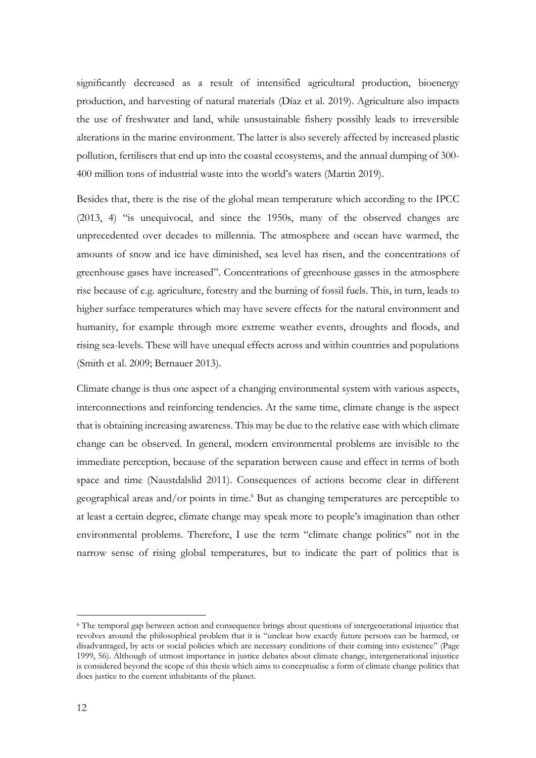significantly decreased as a result of intensified agricultural production, bioenergy production, and harvesting of natural materials (Díaz et al. 2019). Agriculture also impacts the use of freshwater and land, while unsustainable fishery possibly leads to irreversible alterations in the marine environment. The latter is also severely affected by increased plastic pollution, fertilisers that end up into the coastal ecosystems, and the annual dumping of 300- 400 million tons of industrial waste into the world's waters (Martin 2019).

Besides that, there is the rise of the global mean temperature which according to the IPCC (2013, 4) "is unequivocal, and since the 1950s, many of the observed changes are unprecedented over decades to millennia. The atmosphere and ocean have warmed, the amounts of snow and ice have diminished, sea level has risen, and the concentrations of greenhouse gases have increased". Concentrations of greenhouse gasses in the atmosphere rise because of e.g. agriculture, forestry and the burning of fossil fuels. This, in turn, leads to higher surface temperatures which may have severe effects for the natural environment and humanity, for example through more extreme weather events, droughts and floods, and rising sea-levels. These will have unequal effects across and within countries and populations (Smith et al. 2009; Bernauer 2013).

Climate change is thus one aspect of a changing environmental system with various aspects, interconnections and reinforcing tendencies. At the same time, climate change is the aspect that is obtaining increasing awareness. This may be due to the relative ease with which climate change can be observed. In general, modern environmental problems are invisible to the immediate perception, because of the separation between cause and effect in terms of both space and time (Naustdalslid 2011). Consequences of actions become clear in different geographical areas and/or points in time. <sup>6</sup> But as changing temperatures are perceptible to at least a certain degree, climate change may speak more to people's imagination than other environmental problems. Therefore, I use the term "climate change politics" not in the narrow sense of rising global temperatures, but to indicate the part of politics that is

<sup>6</sup> The temporal gap between action and consequence brings about questions of intergenerational injustice that revolves around the philosophical problem that it is "unclear how exactly future persons can be harmed, or disadvantaged, by acts or social policies which are necessary conditions of their coming into existence" (Page 1999, 56). Although of utmost importance in justice debates about climate change, intergenerational injustice is considered beyond the scope of this thesis which aims to conceptualise a form of climate change politics that does justice to the current inhabitants of the planet.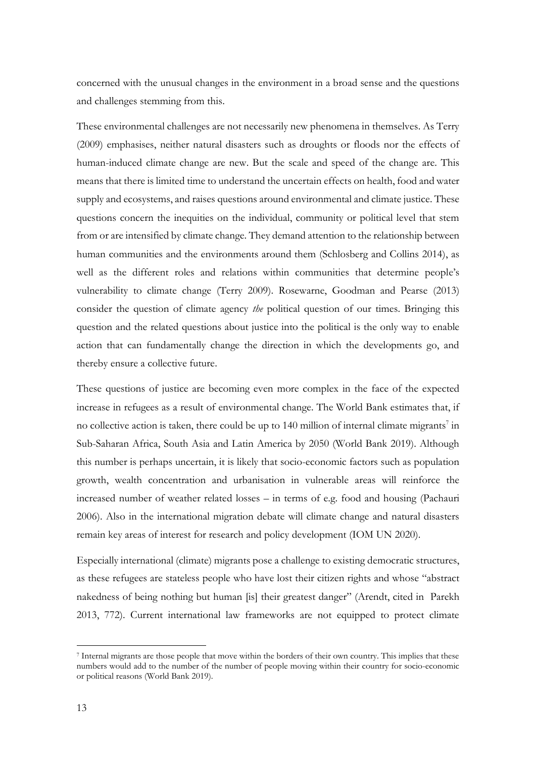concerned with the unusual changes in the environment in a broad sense and the questions and challenges stemming from this.

These environmental challenges are not necessarily new phenomena in themselves. As Terry (2009) emphasises, neither natural disasters such as droughts or floods nor the effects of human-induced climate change are new. But the scale and speed of the change are. This means that there is limited time to understand the uncertain effects on health, food and water supply and ecosystems, and raises questions around environmental and climate justice. These questions concern the inequities on the individual, community or political level that stem from or are intensified by climate change. They demand attention to the relationship between human communities and the environments around them (Schlosberg and Collins 2014), as well as the different roles and relations within communities that determine people's vulnerability to climate change (Terry 2009). Rosewarne, Goodman and Pearse (2013) consider the question of climate agency *the* political question of our times. Bringing this question and the related questions about justice into the political is the only way to enable action that can fundamentally change the direction in which the developments go, and thereby ensure a collective future.

These questions of justice are becoming even more complex in the face of the expected increase in refugees as a result of environmental change. The World Bank estimates that, if no collective action is taken, there could be up to  $140$  million of internal climate migrants<sup>7</sup> in Sub-Saharan Africa, South Asia and Latin America by 2050 (World Bank 2019). Although this number is perhaps uncertain, it is likely that socio-economic factors such as population growth, wealth concentration and urbanisation in vulnerable areas will reinforce the increased number of weather related losses – in terms of e.g. food and housing (Pachauri 2006). Also in the international migration debate will climate change and natural disasters remain key areas of interest for research and policy development (IOM UN 2020).

Especially international (climate) migrants pose a challenge to existing democratic structures, as these refugees are stateless people who have lost their citizen rights and whose "abstract nakedness of being nothing but human [is] their greatest danger" (Arendt, cited in Parekh 2013, 772). Current international law frameworks are not equipped to protect climate

<sup>7</sup> Internal migrants are those people that move within the borders of their own country. This implies that these numbers would add to the number of the number of people moving within their country for socio-economic or political reasons (World Bank 2019).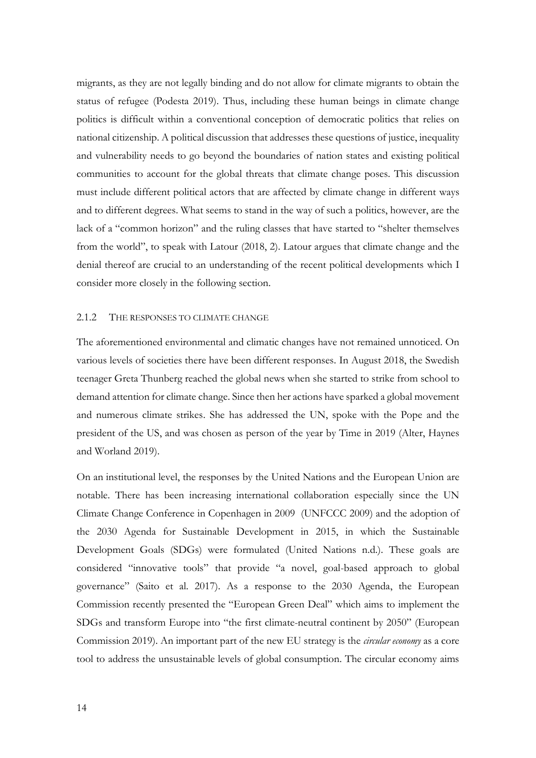migrants, as they are not legally binding and do not allow for climate migrants to obtain the status of refugee (Podesta 2019). Thus, including these human beings in climate change politics is difficult within a conventional conception of democratic politics that relies on national citizenship. A political discussion that addresses these questions of justice, inequality and vulnerability needs to go beyond the boundaries of nation states and existing political communities to account for the global threats that climate change poses. This discussion must include different political actors that are affected by climate change in different ways and to different degrees. What seems to stand in the way of such a politics, however, are the lack of a "common horizon" and the ruling classes that have started to "shelter themselves from the world", to speak with Latour (2018, 2). Latour argues that climate change and the denial thereof are crucial to an understanding of the recent political developments which I consider more closely in the following section.

#### <span id="page-17-0"></span>2.1.2 THE RESPONSES TO CLIMATE CHANGE

The aforementioned environmental and climatic changes have not remained unnoticed. On various levels of societies there have been different responses. In August 2018, the Swedish teenager Greta Thunberg reached the global news when she started to strike from school to demand attention for climate change. Since then her actions have sparked a global movement and numerous climate strikes. She has addressed the UN, spoke with the Pope and the president of the US, and was chosen as person of the year by Time in 2019 (Alter, Haynes and Worland 2019).

On an institutional level, the responses by the United Nations and the European Union are notable. There has been increasing international collaboration especially since the UN Climate Change Conference in Copenhagen in 2009 (UNFCCC 2009) and the adoption of the 2030 Agenda for Sustainable Development in 2015, in which the Sustainable Development Goals (SDGs) were formulated (United Nations n.d.). These goals are considered "innovative tools" that provide "a novel, goal-based approach to global governance" (Saito et al. 2017). As a response to the 2030 Agenda, the European Commission recently presented the "European Green Deal" which aims to implement the SDGs and transform Europe into "the first climate-neutral continent by 2050" (European Commission 2019). An important part of the new EU strategy is the *circular economy* as a core tool to address the unsustainable levels of global consumption. The circular economy aims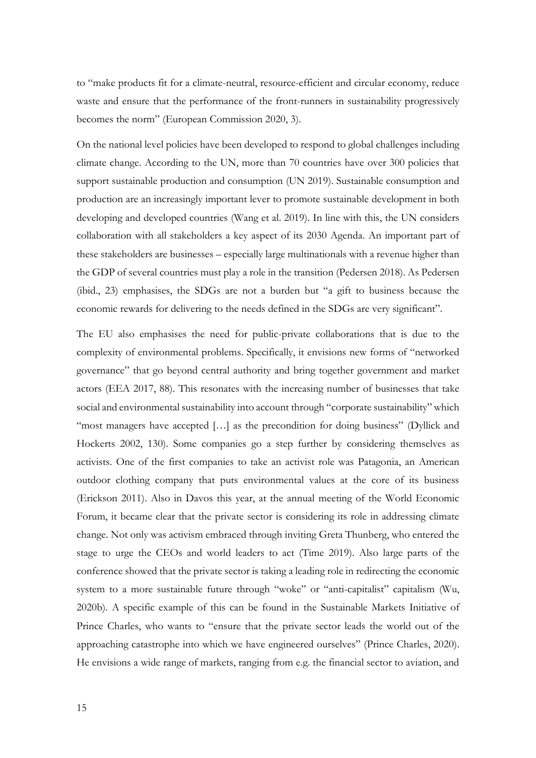to "make products fit for a climate-neutral, resource-efficient and circular economy, reduce waste and ensure that the performance of the front-runners in sustainability progressively becomes the norm" (European Commission 2020, 3).

On the national level policies have been developed to respond to global challenges including climate change. According to the UN, more than 70 countries have over 300 policies that support sustainable production and consumption (UN 2019). Sustainable consumption and production are an increasingly important lever to promote sustainable development in both developing and developed countries (Wang et al. 2019). In line with this, the UN considers collaboration with all stakeholders a key aspect of its 2030 Agenda. An important part of these stakeholders are businesses – especially large multinationals with a revenue higher than the GDP of several countries must play a role in the transition (Pedersen 2018). As Pedersen (ibid., 23) emphasises, the SDGs are not a burden but "a gift to business because the economic rewards for delivering to the needs defined in the SDGs are very significant".

The EU also emphasises the need for public-private collaborations that is due to the complexity of environmental problems. Specifically, it envisions new forms of "networked governance" that go beyond central authority and bring together government and market actors (EEA 2017, 88). This resonates with the increasing number of businesses that take social and environmental sustainability into account through "corporate sustainability" which "most managers have accepted [...] as the precondition for doing business" (Dyllick and Hockerts 2002, 130). Some companies go a step further by considering themselves as activists. One of the first companies to take an activist role was Patagonia, an American outdoor clothing company that puts environmental values at the core of its business (Erickson 2011). Also in Davos this year, at the annual meeting of the World Economic Forum, it became clear that the private sector is considering its role in addressing climate change. Not only was activism embraced through inviting Greta Thunberg, who entered the stage to urge the CEOs and world leaders to act (Time 2019). Also large parts of the conference showed that the private sector is taking a leading role in redirecting the economic system to a more sustainable future through "woke" or "anti-capitalist" capitalism (Wu, 2020b). A specific example of this can be found in the Sustainable Markets Initiative of Prince Charles, who wants to "ensure that the private sector leads the world out of the approaching catastrophe into which we have engineered ourselves" (Prince Charles, 2020). He envisions a wide range of markets, ranging from e.g. the financial sector to aviation, and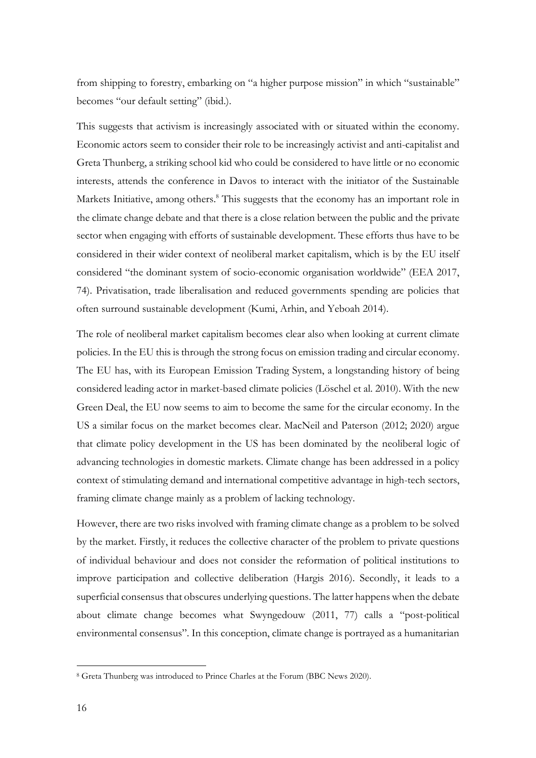from shipping to forestry, embarking on "a higher purpose mission" in which "sustainable" becomes "our default setting" (ibid.).

This suggests that activism is increasingly associated with or situated within the economy. Economic actors seem to consider their role to be increasingly activist and anti-capitalist and Greta Thunberg, a striking school kid who could be considered to have little or no economic interests, attends the conference in Davos to interact with the initiator of the Sustainable Markets Initiative, among others.<sup>8</sup> This suggests that the economy has an important role in the climate change debate and that there is a close relation between the public and the private sector when engaging with efforts of sustainable development. These efforts thus have to be considered in their wider context of neoliberal market capitalism, which is by the EU itself considered "the dominant system of socio-economic organisation worldwide" (EEA 2017, 74). Privatisation, trade liberalisation and reduced governments spending are policies that often surround sustainable development (Kumi, Arhin, and Yeboah 2014).

The role of neoliberal market capitalism becomes clear also when looking at current climate policies. In the EU this is through the strong focus on emission trading and circular economy. The EU has, with its European Emission Trading System, a longstanding history of being considered leading actor in market-based climate policies (Löschel et al. 2010). With the new Green Deal, the EU now seems to aim to become the same for the circular economy. In the US a similar focus on the market becomes clear. MacNeil and Paterson (2012; 2020) argue that climate policy development in the US has been dominated by the neoliberal logic of advancing technologies in domestic markets. Climate change has been addressed in a policy context of stimulating demand and international competitive advantage in high-tech sectors, framing climate change mainly as a problem of lacking technology.

However, there are two risks involved with framing climate change as a problem to be solved by the market. Firstly, it reduces the collective character of the problem to private questions of individual behaviour and does not consider the reformation of political institutions to improve participation and collective deliberation (Hargis 2016). Secondly, it leads to a superficial consensus that obscures underlying questions. The latter happens when the debate about climate change becomes what Swyngedouw (2011, 77) calls a "post-political environmental consensus". In this conception, climate change is portrayed as a humanitarian

<sup>8</sup> Greta Thunberg was introduced to Prince Charles at the Forum (BBC News 2020).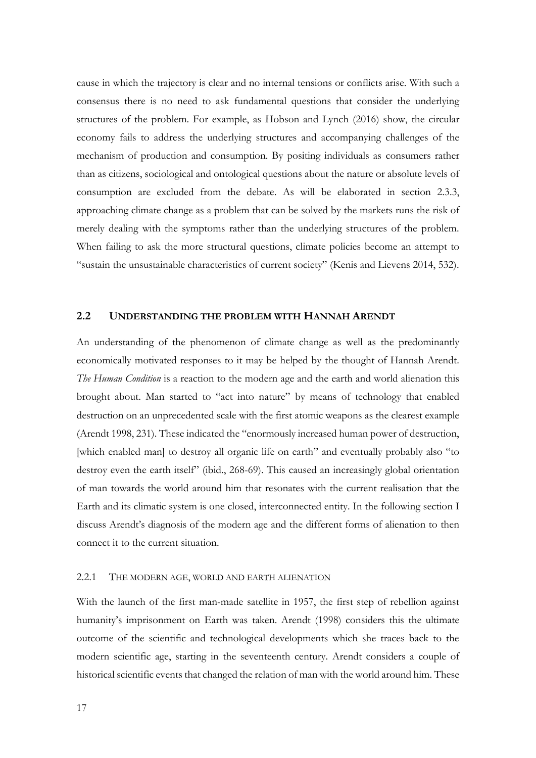cause in which the trajectory is clear and no internal tensions or conflicts arise. With such a consensus there is no need to ask fundamental questions that consider the underlying structures of the problem. For example, as Hobson and Lynch (2016) show, the circular economy fails to address the underlying structures and accompanying challenges of the mechanism of production and consumption. By positing individuals as consumers rather than as citizens, sociological and ontological questions about the nature or absolute levels of consumption are excluded from the debate. As will be elaborated in section 2.3.3, approaching climate change as a problem that can be solved by the markets runs the risk of merely dealing with the symptoms rather than the underlying structures of the problem. When failing to ask the more structural questions, climate policies become an attempt to "sustain the unsustainable characteristics of current society" (Kenis and Lievens 2014, 532).

#### <span id="page-20-0"></span>**2.2 UNDERSTANDING THE PROBLEM WITH HANNAH ARENDT**

An understanding of the phenomenon of climate change as well as the predominantly economically motivated responses to it may be helped by the thought of Hannah Arendt. *The Human Condition* is a reaction to the modern age and the earth and world alienation this brought about. Man started to "act into nature" by means of technology that enabled destruction on an unprecedented scale with the first atomic weapons as the clearest example (Arendt 1998, 231). These indicated the "enormously increased human power of destruction, [which enabled man] to destroy all organic life on earth" and eventually probably also "to destroy even the earth itself" (ibid., 268-69). This caused an increasingly global orientation of man towards the world around him that resonates with the current realisation that the Earth and its climatic system is one closed, interconnected entity. In the following section I discuss Arendt's diagnosis of the modern age and the different forms of alienation to then connect it to the current situation.

### <span id="page-20-1"></span>2.2.1 THE MODERN AGE, WORLD AND EARTH ALIENATION

With the launch of the first man-made satellite in 1957, the first step of rebellion against humanity's imprisonment on Earth was taken. Arendt (1998) considers this the ultimate outcome of the scientific and technological developments which she traces back to the modern scientific age, starting in the seventeenth century. Arendt considers a couple of historical scientific events that changed the relation of man with the world around him. These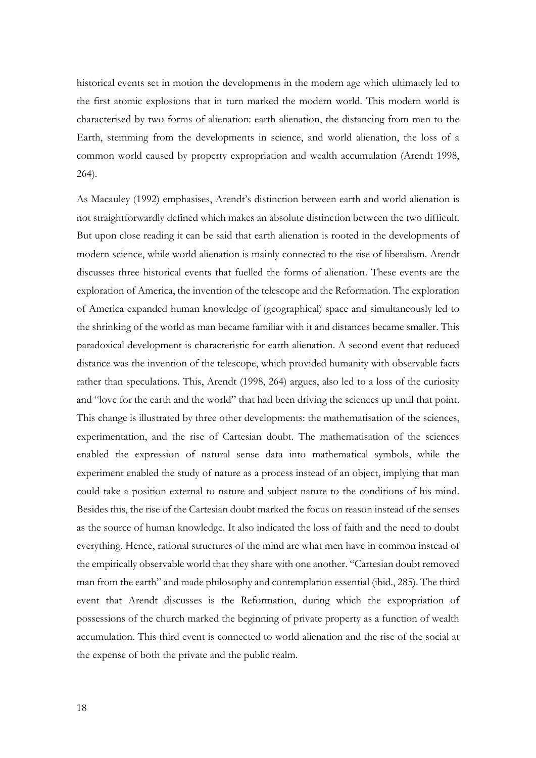historical events set in motion the developments in the modern age which ultimately led to the first atomic explosions that in turn marked the modern world. This modern world is characterised by two forms of alienation: earth alienation, the distancing from men to the Earth, stemming from the developments in science, and world alienation, the loss of a common world caused by property expropriation and wealth accumulation (Arendt 1998, 264).

As Macauley (1992) emphasises, Arendt's distinction between earth and world alienation is not straightforwardly defined which makes an absolute distinction between the two difficult. But upon close reading it can be said that earth alienation is rooted in the developments of modern science, while world alienation is mainly connected to the rise of liberalism. Arendt discusses three historical events that fuelled the forms of alienation. These events are the exploration of America, the invention of the telescope and the Reformation. The exploration of America expanded human knowledge of (geographical) space and simultaneously led to the shrinking of the world as man became familiar with it and distances became smaller. This paradoxical development is characteristic for earth alienation. A second event that reduced distance was the invention of the telescope, which provided humanity with observable facts rather than speculations. This, Arendt (1998, 264) argues, also led to a loss of the curiosity and "love for the earth and the world" that had been driving the sciences up until that point. This change is illustrated by three other developments: the mathematisation of the sciences, experimentation, and the rise of Cartesian doubt. The mathematisation of the sciences enabled the expression of natural sense data into mathematical symbols, while the experiment enabled the study of nature as a process instead of an object, implying that man could take a position external to nature and subject nature to the conditions of his mind. Besides this, the rise of the Cartesian doubt marked the focus on reason instead of the senses as the source of human knowledge. It also indicated the loss of faith and the need to doubt everything. Hence, rational structures of the mind are what men have in common instead of the empirically observable world that they share with one another. "Cartesian doubt removed man from the earth" and made philosophy and contemplation essential (ibid., 285). The third event that Arendt discusses is the Reformation, during which the expropriation of possessions of the church marked the beginning of private property as a function of wealth accumulation. This third event is connected to world alienation and the rise of the social at the expense of both the private and the public realm.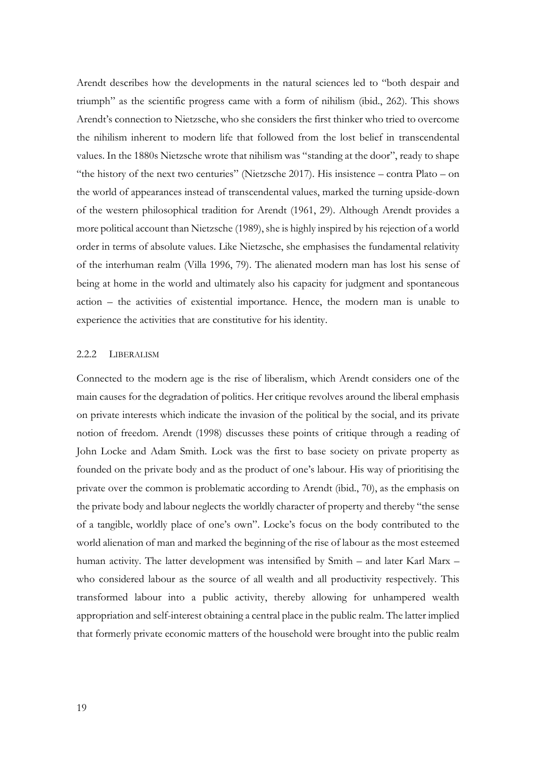Arendt describes how the developments in the natural sciences led to "both despair and triumph" as the scientific progress came with a form of nihilism (ibid., 262). This shows Arendt's connection to Nietzsche, who she considers the first thinker who tried to overcome the nihilism inherent to modern life that followed from the lost belief in transcendental values. In the 1880s Nietzsche wrote that nihilism was "standing at the door", ready to shape "the history of the next two centuries" (Nietzsche 2017). His insistence – contra Plato – on the world of appearances instead of transcendental values, marked the turning upside-down of the western philosophical tradition for Arendt (1961, 29). Although Arendt provides a more political account than Nietzsche (1989), she is highly inspired by his rejection of a world order in terms of absolute values. Like Nietzsche, she emphasises the fundamental relativity of the interhuman realm (Villa 1996, 79). The alienated modern man has lost his sense of being at home in the world and ultimately also his capacity for judgment and spontaneous action – the activities of existential importance. Hence, the modern man is unable to experience the activities that are constitutive for his identity.

## <span id="page-22-0"></span>2.2.2 LIBERALISM

Connected to the modern age is the rise of liberalism, which Arendt considers one of the main causes for the degradation of politics. Her critique revolves around the liberal emphasis on private interests which indicate the invasion of the political by the social, and its private notion of freedom. Arendt (1998) discusses these points of critique through a reading of John Locke and Adam Smith. Lock was the first to base society on private property as founded on the private body and as the product of one's labour. His way of prioritising the private over the common is problematic according to Arendt (ibid., 70), as the emphasis on the private body and labour neglects the worldly character of property and thereby "the sense of a tangible, worldly place of one's own". Locke's focus on the body contributed to the world alienation of man and marked the beginning of the rise of labour as the most esteemed human activity. The latter development was intensified by Smith – and later Karl Marx – who considered labour as the source of all wealth and all productivity respectively. This transformed labour into a public activity, thereby allowing for unhampered wealth appropriation and self-interest obtaining a central place in the public realm. The latter implied that formerly private economic matters of the household were brought into the public realm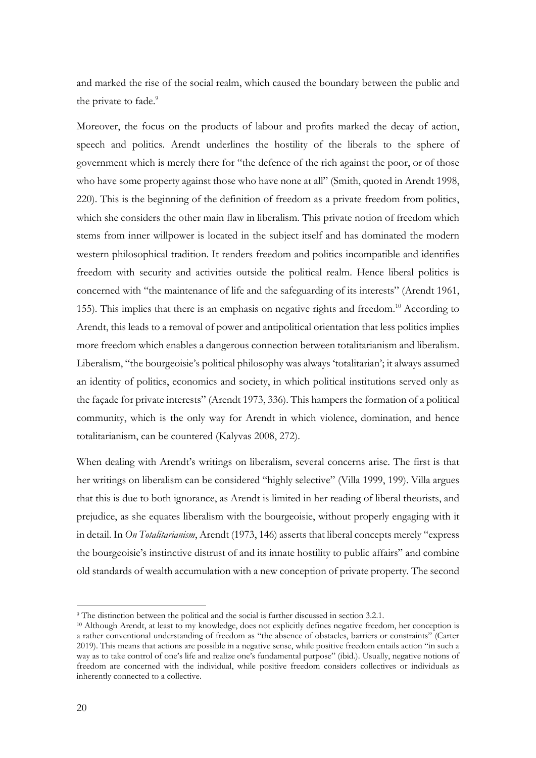and marked the rise of the social realm, which caused the boundary between the public and the private to fade.<sup>9</sup>

Moreover, the focus on the products of labour and profits marked the decay of action, speech and politics. Arendt underlines the hostility of the liberals to the sphere of government which is merely there for "the defence of the rich against the poor, or of those who have some property against those who have none at all" (Smith, quoted in Arendt 1998, 220). This is the beginning of the definition of freedom as a private freedom from politics, which she considers the other main flaw in liberalism. This private notion of freedom which stems from inner willpower is located in the subject itself and has dominated the modern western philosophical tradition. It renders freedom and politics incompatible and identifies freedom with security and activities outside the political realm. Hence liberal politics is concerned with "the maintenance of life and the safeguarding of its interests" (Arendt 1961, 155). This implies that there is an emphasis on negative rights and freedom. <sup>10</sup> According to Arendt, this leads to a removal of power and antipolitical orientation that less politics implies more freedom which enables a dangerous connection between totalitarianism and liberalism. Liberalism, "the bourgeoisie's political philosophy was always 'totalitarian'; it always assumed an identity of politics, economics and society, in which political institutions served only as the façade for private interests" (Arendt 1973, 336). This hampers the formation of a political community, which is the only way for Arendt in which violence, domination, and hence totalitarianism, can be countered (Kalyvas 2008, 272).

When dealing with Arendt's writings on liberalism, several concerns arise. The first is that her writings on liberalism can be considered "highly selective" (Villa 1999, 199). Villa argues that this is due to both ignorance, as Arendt is limited in her reading of liberal theorists, and prejudice, as she equates liberalism with the bourgeoisie, without properly engaging with it in detail. In *On Totalitarianism*, Arendt (1973, 146) asserts that liberal concepts merely "express the bourgeoisie's instinctive distrust of and its innate hostility to public affairs" and combine old standards of wealth accumulation with a new conception of private property. The second

<sup>9</sup> The distinction between the political and the social is further discussed in section 3.2.1.

<sup>10</sup> Although Arendt, at least to my knowledge, does not explicitly defines negative freedom, her conception is a rather conventional understanding of freedom as "the absence of obstacles, barriers or constraints" (Carter 2019). This means that actions are possible in a negative sense, while positive freedom entails action "in such a way as to take control of one's life and realize one's fundamental purpose" (ibid.). Usually, negative notions of freedom are concerned with the individual, while positive freedom considers collectives or individuals as inherently connected to a collective.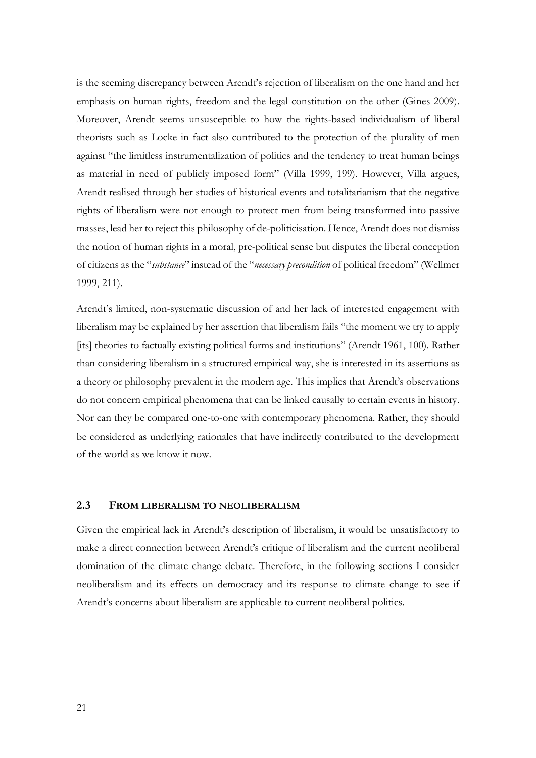is the seeming discrepancy between Arendt's rejection of liberalism on the one hand and her emphasis on human rights, freedom and the legal constitution on the other (Gines 2009). Moreover, Arendt seems unsusceptible to how the rights-based individualism of liberal theorists such as Locke in fact also contributed to the protection of the plurality of men against "the limitless instrumentalization of politics and the tendency to treat human beings as material in need of publicly imposed form" (Villa 1999, 199). However, Villa argues, Arendt realised through her studies of historical events and totalitarianism that the negative rights of liberalism were not enough to protect men from being transformed into passive masses, lead her to reject this philosophy of de-politicisation. Hence, Arendt does not dismiss the notion of human rights in a moral, pre-political sense but disputes the liberal conception of citizens as the "*substance*" instead of the "*necessary precondition* of political freedom" (Wellmer 1999, 211).

Arendt's limited, non-systematic discussion of and her lack of interested engagement with liberalism may be explained by her assertion that liberalism fails "the moment we try to apply [its] theories to factually existing political forms and institutions" (Arendt 1961, 100). Rather than considering liberalism in a structured empirical way, she is interested in its assertions as a theory or philosophy prevalent in the modern age. This implies that Arendt's observations do not concern empirical phenomena that can be linked causally to certain events in history. Nor can they be compared one-to-one with contemporary phenomena. Rather, they should be considered as underlying rationales that have indirectly contributed to the development of the world as we know it now.

#### <span id="page-24-0"></span>**2.3 FROM LIBERALISM TO NEOLIBERALISM**

Given the empirical lack in Arendt's description of liberalism, it would be unsatisfactory to make a direct connection between Arendt's critique of liberalism and the current neoliberal domination of the climate change debate. Therefore, in the following sections I consider neoliberalism and its effects on democracy and its response to climate change to see if Arendt's concerns about liberalism are applicable to current neoliberal politics.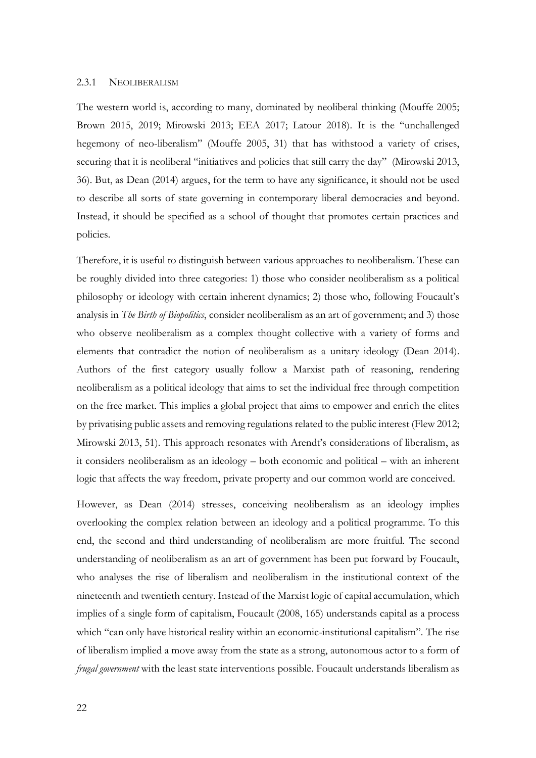#### <span id="page-25-0"></span>2.3.1 NEOLIBERALISM

The western world is, according to many, dominated by neoliberal thinking (Mouffe 2005; Brown 2015, 2019; Mirowski 2013; EEA 2017; Latour 2018). It is the "unchallenged hegemony of neo-liberalism" (Mouffe 2005, 31) that has withstood a variety of crises, securing that it is neoliberal "initiatives and policies that still carry the day" (Mirowski 2013, 36). But, as Dean (2014) argues, for the term to have any significance, it should not be used to describe all sorts of state governing in contemporary liberal democracies and beyond. Instead, it should be specified as a school of thought that promotes certain practices and policies.

Therefore, it is useful to distinguish between various approaches to neoliberalism. These can be roughly divided into three categories: 1) those who consider neoliberalism as a political philosophy or ideology with certain inherent dynamics; 2) those who, following Foucault's analysis in *The Birth of Biopolitics*, consider neoliberalism as an art of government; and 3) those who observe neoliberalism as a complex thought collective with a variety of forms and elements that contradict the notion of neoliberalism as a unitary ideology (Dean 2014). Authors of the first category usually follow a Marxist path of reasoning, rendering neoliberalism as a political ideology that aims to set the individual free through competition on the free market. This implies a global project that aims to empower and enrich the elites by privatising public assets and removing regulations related to the public interest (Flew 2012; Mirowski 2013, 51). This approach resonates with Arendt's considerations of liberalism, as it considers neoliberalism as an ideology – both economic and political – with an inherent logic that affects the way freedom, private property and our common world are conceived.

However, as Dean (2014) stresses, conceiving neoliberalism as an ideology implies overlooking the complex relation between an ideology and a political programme. To this end, the second and third understanding of neoliberalism are more fruitful. The second understanding of neoliberalism as an art of government has been put forward by Foucault, who analyses the rise of liberalism and neoliberalism in the institutional context of the nineteenth and twentieth century. Instead of the Marxist logic of capital accumulation, which implies of a single form of capitalism, Foucault (2008, 165) understands capital as a process which "can only have historical reality within an economic-institutional capitalism". The rise of liberalism implied a move away from the state as a strong, autonomous actor to a form of *frugal government* with the least state interventions possible. Foucault understands liberalism as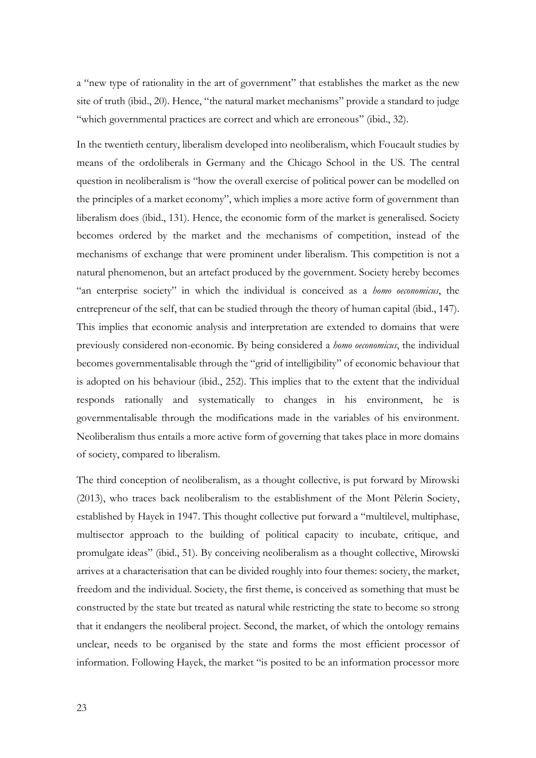a "new type of rationality in the art of government" that establishes the market as the new site of truth (ibid., 20). Hence, "the natural market mechanisms" provide a standard to judge "which governmental practices are correct and which are erroneous" (ibid., 32).

In the twentieth century, liberalism developed into neoliberalism, which Foucault studies by means of the ordoliberals in Germany and the Chicago School in the US. The central question in neoliberalism is "how the overall exercise of political power can be modelled on the principles of a market economy", which implies a more active form of government than liberalism does (ibid., 131). Hence, the economic form of the market is generalised. Society becomes ordered by the market and the mechanisms of competition, instead of the mechanisms of exchange that were prominent under liberalism. This competition is not a natural phenomenon, but an artefact produced by the government. Society hereby becomes "an enterprise society" in which the individual is conceived as a *homo oeconomicus*, the entrepreneur of the self, that can be studied through the theory of human capital (ibid., 147). This implies that economic analysis and interpretation are extended to domains that were previously considered non-economic. By being considered a *homo oeconomicus*, the individual becomes governmentalisable through the "grid of intelligibility" of economic behaviour that is adopted on his behaviour (ibid., 252). This implies that to the extent that the individual responds rationally and systematically to changes in his environment, he is governmentalisable through the modifications made in the variables of his environment. Neoliberalism thus entails a more active form of governing that takes place in more domains of society, compared to liberalism.

The third conception of neoliberalism, as a thought collective, is put forward by Mirowski (2013), who traces back neoliberalism to the establishment of the Mont Pèlerin Society, established by Hayek in 1947. This thought collective put forward a "multilevel, multiphase, multisector approach to the building of political capacity to incubate, critique, and promulgate ideas" (ibid., 51). By conceiving neoliberalism as a thought collective, Mirowski arrives at a characterisation that can be divided roughly into four themes: society, the market, freedom and the individual. Society, the first theme, is conceived as something that must be constructed by the state but treated as natural while restricting the state to become so strong that it endangers the neoliberal project. Second, the market, of which the ontology remains unclear, needs to be organised by the state and forms the most efficient processor of information. Following Hayek, the market "is posited to be an information processor more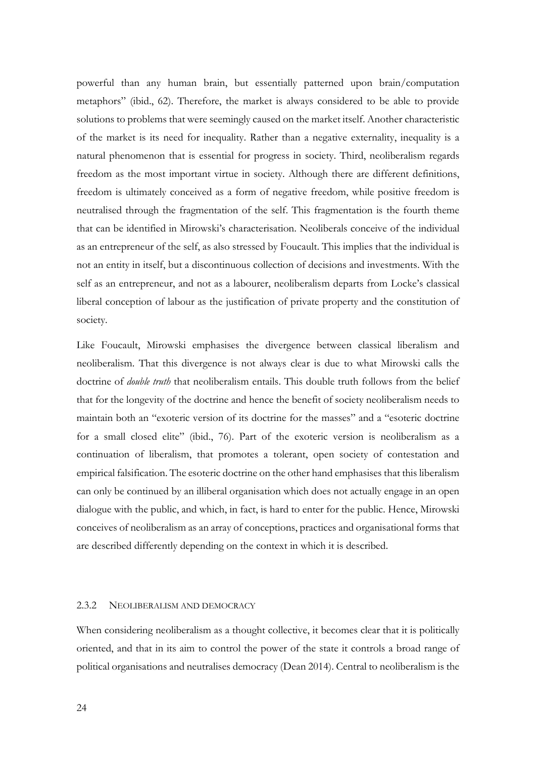powerful than any human brain, but essentially patterned upon brain/computation metaphors" (ibid., 62). Therefore, the market is always considered to be able to provide solutions to problems that were seemingly caused on the market itself. Another characteristic of the market is its need for inequality. Rather than a negative externality, inequality is a natural phenomenon that is essential for progress in society. Third, neoliberalism regards freedom as the most important virtue in society. Although there are different definitions, freedom is ultimately conceived as a form of negative freedom, while positive freedom is neutralised through the fragmentation of the self. This fragmentation is the fourth theme that can be identified in Mirowski's characterisation. Neoliberals conceive of the individual as an entrepreneur of the self, as also stressed by Foucault. This implies that the individual is not an entity in itself, but a discontinuous collection of decisions and investments. With the self as an entrepreneur, and not as a labourer, neoliberalism departs from Locke's classical liberal conception of labour as the justification of private property and the constitution of society.

Like Foucault, Mirowski emphasises the divergence between classical liberalism and neoliberalism. That this divergence is not always clear is due to what Mirowski calls the doctrine of *double truth* that neoliberalism entails. This double truth follows from the belief that for the longevity of the doctrine and hence the benefit of society neoliberalism needs to maintain both an "exoteric version of its doctrine for the masses" and a "esoteric doctrine for a small closed elite" (ibid., 76). Part of the exoteric version is neoliberalism as a continuation of liberalism, that promotes a tolerant, open society of contestation and empirical falsification. The esoteric doctrine on the other hand emphasises that this liberalism can only be continued by an illiberal organisation which does not actually engage in an open dialogue with the public, and which, in fact, is hard to enter for the public. Hence, Mirowski conceives of neoliberalism as an array of conceptions, practices and organisational forms that are described differently depending on the context in which it is described.

## <span id="page-27-0"></span>2.3.2 NEOLIBERALISM AND DEMOCRACY

When considering neoliberalism as a thought collective, it becomes clear that it is politically oriented, and that in its aim to control the power of the state it controls a broad range of political organisations and neutralises democracy (Dean 2014). Central to neoliberalism is the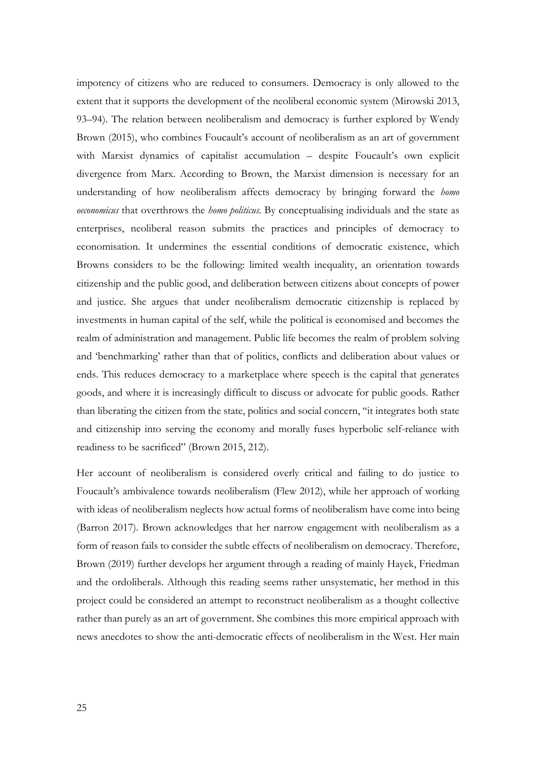impotency of citizens who are reduced to consumers. Democracy is only allowed to the extent that it supports the development of the neoliberal economic system (Mirowski 2013, 93–94). The relation between neoliberalism and democracy is further explored by Wendy Brown (2015), who combines Foucault's account of neoliberalism as an art of government with Marxist dynamics of capitalist accumulation – despite Foucault's own explicit divergence from Marx. According to Brown, the Marxist dimension is necessary for an understanding of how neoliberalism affects democracy by bringing forward the *homo oeconomicus* that overthrows the *homo politicus.* By conceptualising individuals and the state as enterprises, neoliberal reason submits the practices and principles of democracy to economisation. It undermines the essential conditions of democratic existence, which Browns considers to be the following: limited wealth inequality, an orientation towards citizenship and the public good, and deliberation between citizens about concepts of power and justice. She argues that under neoliberalism democratic citizenship is replaced by investments in human capital of the self, while the political is economised and becomes the realm of administration and management. Public life becomes the realm of problem solving and 'benchmarking' rather than that of politics, conflicts and deliberation about values or ends. This reduces democracy to a marketplace where speech is the capital that generates goods, and where it is increasingly difficult to discuss or advocate for public goods. Rather than liberating the citizen from the state, politics and social concern, "it integrates both state and citizenship into serving the economy and morally fuses hyperbolic self-reliance with readiness to be sacrificed" (Brown 2015, 212).

Her account of neoliberalism is considered overly critical and failing to do justice to Foucault's ambivalence towards neoliberalism (Flew 2012), while her approach of working with ideas of neoliberalism neglects how actual forms of neoliberalism have come into being (Barron 2017). Brown acknowledges that her narrow engagement with neoliberalism as a form of reason fails to consider the subtle effects of neoliberalism on democracy. Therefore, Brown (2019) further develops her argument through a reading of mainly Hayek, Friedman and the ordoliberals. Although this reading seems rather unsystematic, her method in this project could be considered an attempt to reconstruct neoliberalism as a thought collective rather than purely as an art of government. She combines this more empirical approach with news anecdotes to show the anti-democratic effects of neoliberalism in the West. Her main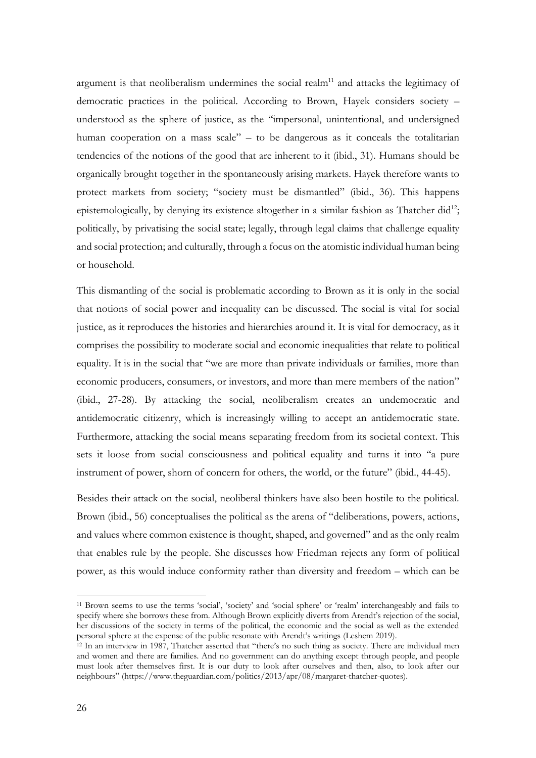argument is that neoliberalism undermines the social realm<sup>11</sup> and attacks the legitimacy of democratic practices in the political. According to Brown, Hayek considers society – understood as the sphere of justice, as the "impersonal, unintentional, and undersigned human cooperation on a mass scale" – to be dangerous as it conceals the totalitarian tendencies of the notions of the good that are inherent to it (ibid., 31). Humans should be organically brought together in the spontaneously arising markets. Hayek therefore wants to protect markets from society; "society must be dismantled" (ibid., 36). This happens epistemologically, by denying its existence altogether in a similar fashion as Thatcher did<sup>12</sup>; politically, by privatising the social state; legally, through legal claims that challenge equality and social protection; and culturally, through a focus on the atomistic individual human being or household.

This dismantling of the social is problematic according to Brown as it is only in the social that notions of social power and inequality can be discussed. The social is vital for social justice, as it reproduces the histories and hierarchies around it. It is vital for democracy, as it comprises the possibility to moderate social and economic inequalities that relate to political equality. It is in the social that "we are more than private individuals or families, more than economic producers, consumers, or investors, and more than mere members of the nation" (ibid., 27-28). By attacking the social, neoliberalism creates an undemocratic and antidemocratic citizenry, which is increasingly willing to accept an antidemocratic state. Furthermore, attacking the social means separating freedom from its societal context. This sets it loose from social consciousness and political equality and turns it into "a pure instrument of power, shorn of concern for others, the world, or the future" (ibid., 44-45).

Besides their attack on the social, neoliberal thinkers have also been hostile to the political. Brown (ibid., 56) conceptualises the political as the arena of "deliberations, powers, actions, and values where common existence is thought, shaped, and governed" and as the only realm that enables rule by the people. She discusses how Friedman rejects any form of political power, as this would induce conformity rather than diversity and freedom – which can be

<sup>11</sup> Brown seems to use the terms 'social', 'society' and 'social sphere' or 'realm' interchangeably and fails to specify where she borrows these from. Although Brown explicitly diverts from Arendt's rejection of the social, her discussions of the society in terms of the political, the economic and the social as well as the extended personal sphere at the expense of the public resonate with Arendt's writings (Leshem 2019).

<sup>&</sup>lt;sup>12</sup> In an interview in 1987, Thatcher asserted that "there's no such thing as society. There are individual men and women and there are families. And no government can do anything except through people, and people must look after themselves first. It is our duty to look after ourselves and then, also, to look after our neighbours" (https://www.theguardian.com/politics/2013/apr/08/margaret-thatcher-quotes).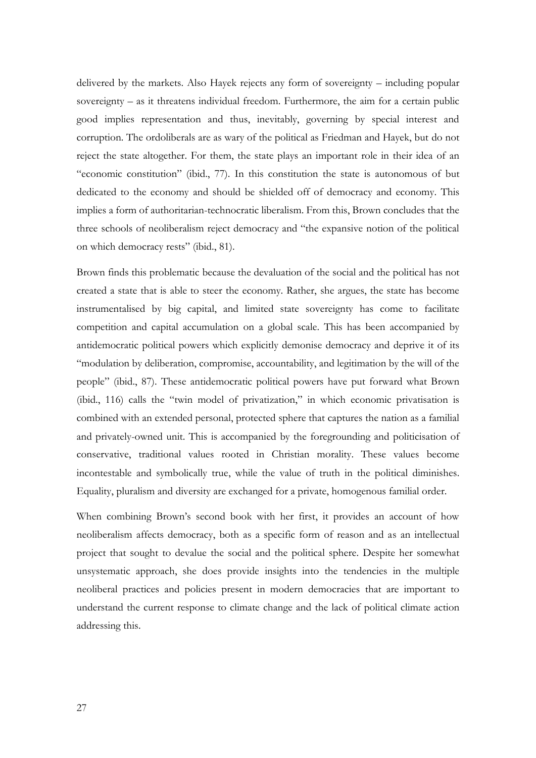delivered by the markets. Also Hayek rejects any form of sovereignty – including popular sovereignty – as it threatens individual freedom. Furthermore, the aim for a certain public good implies representation and thus, inevitably, governing by special interest and corruption. The ordoliberals are as wary of the political as Friedman and Hayek, but do not reject the state altogether. For them, the state plays an important role in their idea of an "economic constitution" (ibid., 77). In this constitution the state is autonomous of but dedicated to the economy and should be shielded off of democracy and economy. This implies a form of authoritarian-technocratic liberalism. From this, Brown concludes that the three schools of neoliberalism reject democracy and "the expansive notion of the political on which democracy rests" (ibid., 81).

Brown finds this problematic because the devaluation of the social and the political has not created a state that is able to steer the economy. Rather, she argues, the state has become instrumentalised by big capital, and limited state sovereignty has come to facilitate competition and capital accumulation on a global scale. This has been accompanied by antidemocratic political powers which explicitly demonise democracy and deprive it of its "modulation by deliberation, compromise, accountability, and legitimation by the will of the people" (ibid., 87). These antidemocratic political powers have put forward what Brown (ibid., 116) calls the "twin model of privatization," in which economic privatisation is combined with an extended personal, protected sphere that captures the nation as a familial and privately-owned unit. This is accompanied by the foregrounding and politicisation of conservative, traditional values rooted in Christian morality. These values become incontestable and symbolically true, while the value of truth in the political diminishes. Equality, pluralism and diversity are exchanged for a private, homogenous familial order.

When combining Brown's second book with her first, it provides an account of how neoliberalism affects democracy, both as a specific form of reason and as an intellectual project that sought to devalue the social and the political sphere. Despite her somewhat unsystematic approach, she does provide insights into the tendencies in the multiple neoliberal practices and policies present in modern democracies that are important to understand the current response to climate change and the lack of political climate action addressing this.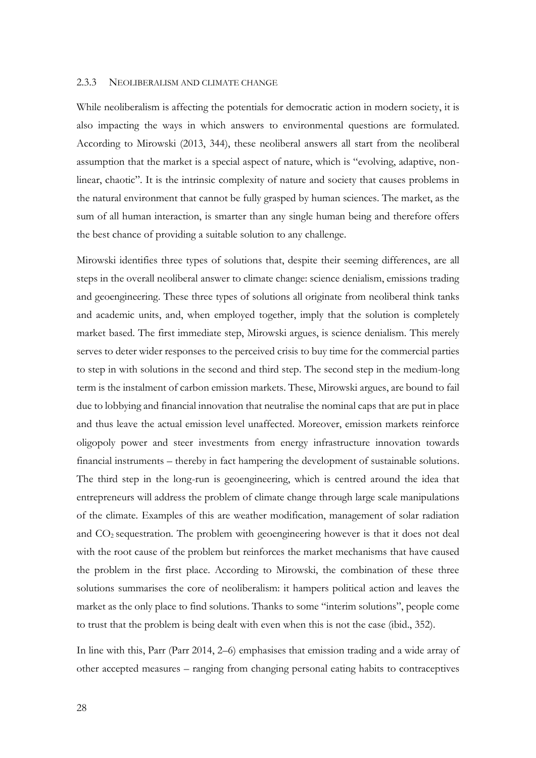#### <span id="page-31-0"></span>2.3.3 NEOLIBERALISM AND CLIMATE CHANGE

While neoliberalism is affecting the potentials for democratic action in modern society, it is also impacting the ways in which answers to environmental questions are formulated. According to Mirowski (2013, 344), these neoliberal answers all start from the neoliberal assumption that the market is a special aspect of nature, which is "evolving, adaptive, nonlinear, chaotic". It is the intrinsic complexity of nature and society that causes problems in the natural environment that cannot be fully grasped by human sciences. The market, as the sum of all human interaction, is smarter than any single human being and therefore offers the best chance of providing a suitable solution to any challenge.

Mirowski identifies three types of solutions that, despite their seeming differences, are all steps in the overall neoliberal answer to climate change: science denialism, emissions trading and geoengineering. These three types of solutions all originate from neoliberal think tanks and academic units, and, when employed together, imply that the solution is completely market based. The first immediate step, Mirowski argues, is science denialism. This merely serves to deter wider responses to the perceived crisis to buy time for the commercial parties to step in with solutions in the second and third step. The second step in the medium-long term is the instalment of carbon emission markets. These, Mirowski argues, are bound to fail due to lobbying and financial innovation that neutralise the nominal caps that are put in place and thus leave the actual emission level unaffected. Moreover, emission markets reinforce oligopoly power and steer investments from energy infrastructure innovation towards financial instruments – thereby in fact hampering the development of sustainable solutions. The third step in the long-run is geoengineering, which is centred around the idea that entrepreneurs will address the problem of climate change through large scale manipulations of the climate. Examples of this are weather modification, management of solar radiation and CO<sup>2</sup> sequestration. The problem with geoengineering however is that it does not deal with the root cause of the problem but reinforces the market mechanisms that have caused the problem in the first place. According to Mirowski, the combination of these three solutions summarises the core of neoliberalism: it hampers political action and leaves the market as the only place to find solutions. Thanks to some "interim solutions", people come to trust that the problem is being dealt with even when this is not the case (ibid., 352).

In line with this, Parr (Parr 2014, 2–6) emphasises that emission trading and a wide array of other accepted measures – ranging from changing personal eating habits to contraceptives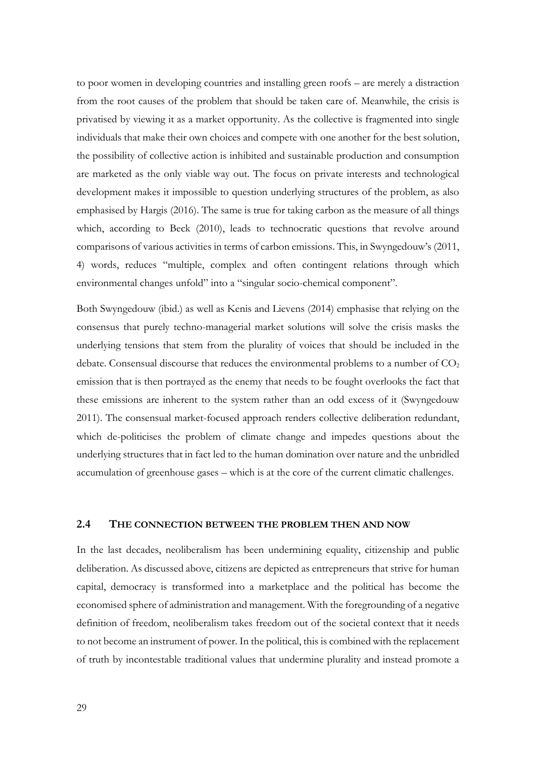to poor women in developing countries and installing green roofs – are merely a distraction from the root causes of the problem that should be taken care of. Meanwhile, the crisis is privatised by viewing it as a market opportunity. As the collective is fragmented into single individuals that make their own choices and compete with one another for the best solution, the possibility of collective action is inhibited and sustainable production and consumption are marketed as the only viable way out. The focus on private interests and technological development makes it impossible to question underlying structures of the problem, as also emphasised by Hargis (2016). The same is true for taking carbon as the measure of all things which, according to Beck (2010), leads to technocratic questions that revolve around comparisons of various activities in terms of carbon emissions. This, in Swyngedouw's (2011, 4) words, reduces "multiple, complex and often contingent relations through which environmental changes unfold" into a "singular socio-chemical component".

Both Swyngedouw (ibid.) as well as Kenis and Lievens (2014) emphasise that relying on the consensus that purely techno-managerial market solutions will solve the crisis masks the underlying tensions that stem from the plurality of voices that should be included in the debate. Consensual discourse that reduces the environmental problems to a number of  $CO<sub>2</sub>$ emission that is then portrayed as the enemy that needs to be fought overlooks the fact that these emissions are inherent to the system rather than an odd excess of it (Swyngedouw 2011). The consensual market-focused approach renders collective deliberation redundant, which de-politicises the problem of climate change and impedes questions about the underlying structures that in fact led to the human domination over nature and the unbridled accumulation of greenhouse gases – which is at the core of the current climatic challenges.

## <span id="page-32-0"></span>**2.4 THE CONNECTION BETWEEN THE PROBLEM THEN AND NOW**

In the last decades, neoliberalism has been undermining equality, citizenship and public deliberation. As discussed above, citizens are depicted as entrepreneurs that strive for human capital, democracy is transformed into a marketplace and the political has become the economised sphere of administration and management. With the foregrounding of a negative definition of freedom, neoliberalism takes freedom out of the societal context that it needs to not become an instrument of power. In the political, this is combined with the replacement of truth by incontestable traditional values that undermine plurality and instead promote a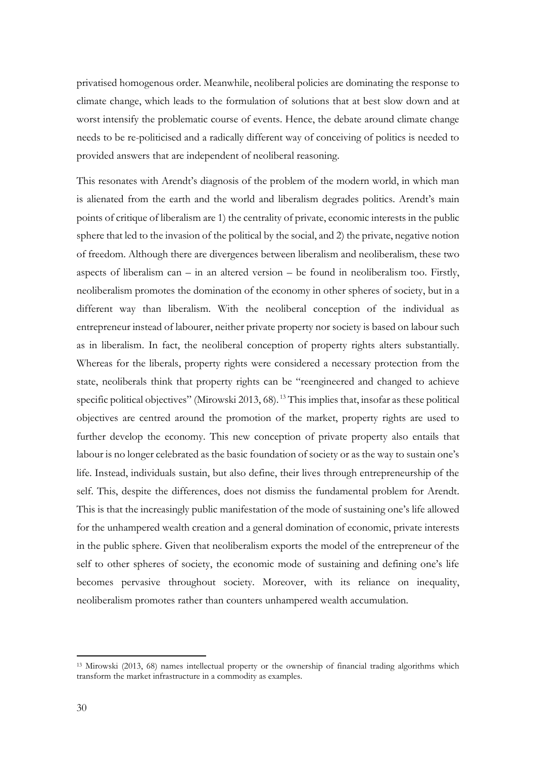privatised homogenous order. Meanwhile, neoliberal policies are dominating the response to climate change, which leads to the formulation of solutions that at best slow down and at worst intensify the problematic course of events. Hence, the debate around climate change needs to be re-politicised and a radically different way of conceiving of politics is needed to provided answers that are independent of neoliberal reasoning.

This resonates with Arendt's diagnosis of the problem of the modern world, in which man is alienated from the earth and the world and liberalism degrades politics. Arendt's main points of critique of liberalism are 1) the centrality of private, economic interests in the public sphere that led to the invasion of the political by the social, and 2) the private, negative notion of freedom. Although there are divergences between liberalism and neoliberalism, these two aspects of liberalism can  $-$  in an altered version  $-$  be found in neoliberalism too. Firstly, neoliberalism promotes the domination of the economy in other spheres of society, but in a different way than liberalism. With the neoliberal conception of the individual as entrepreneur instead of labourer, neither private property nor society is based on labour such as in liberalism. In fact, the neoliberal conception of property rights alters substantially. Whereas for the liberals, property rights were considered a necessary protection from the state, neoliberals think that property rights can be "reengineered and changed to achieve specific political objectives" (Mirowski 2013, 68).<sup>13</sup> This implies that, insofar as these political objectives are centred around the promotion of the market, property rights are used to further develop the economy. This new conception of private property also entails that labour is no longer celebrated as the basic foundation of society or as the way to sustain one's life. Instead, individuals sustain, but also define, their lives through entrepreneurship of the self. This, despite the differences, does not dismiss the fundamental problem for Arendt. This is that the increasingly public manifestation of the mode of sustaining one's life allowed for the unhampered wealth creation and a general domination of economic, private interests in the public sphere. Given that neoliberalism exports the model of the entrepreneur of the self to other spheres of society, the economic mode of sustaining and defining one's life becomes pervasive throughout society. Moreover, with its reliance on inequality, neoliberalism promotes rather than counters unhampered wealth accumulation.

<sup>13</sup> Mirowski (2013, 68) names intellectual property or the ownership of financial trading algorithms which transform the market infrastructure in a commodity as examples.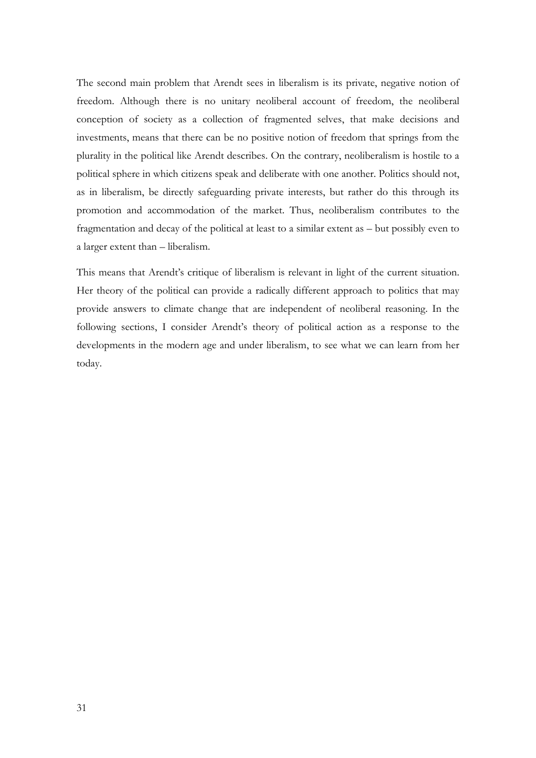The second main problem that Arendt sees in liberalism is its private, negative notion of freedom. Although there is no unitary neoliberal account of freedom, the neoliberal conception of society as a collection of fragmented selves, that make decisions and investments, means that there can be no positive notion of freedom that springs from the plurality in the political like Arendt describes. On the contrary, neoliberalism is hostile to a political sphere in which citizens speak and deliberate with one another. Politics should not, as in liberalism, be directly safeguarding private interests, but rather do this through its promotion and accommodation of the market. Thus, neoliberalism contributes to the fragmentation and decay of the political at least to a similar extent as – but possibly even to a larger extent than – liberalism.

This means that Arendt's critique of liberalism is relevant in light of the current situation. Her theory of the political can provide a radically different approach to politics that may provide answers to climate change that are independent of neoliberal reasoning. In the following sections, I consider Arendt's theory of political action as a response to the developments in the modern age and under liberalism, to see what we can learn from her today.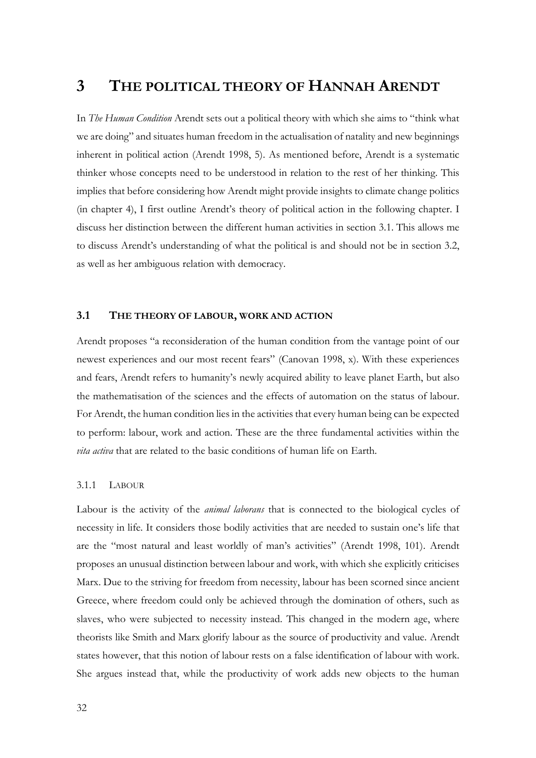# <span id="page-35-0"></span>**3 THE POLITICAL THEORY OF HANNAH ARENDT**

In *The Human Condition* Arendt sets out a political theory with which she aims to "think what we are doing" and situates human freedom in the actualisation of natality and new beginnings inherent in political action (Arendt 1998, 5). As mentioned before, Arendt is a systematic thinker whose concepts need to be understood in relation to the rest of her thinking. This implies that before considering how Arendt might provide insights to climate change politics (in chapter 4), I first outline Arendt's theory of political action in the following chapter. I discuss her distinction between the different human activities in section 3.1. This allows me to discuss Arendt's understanding of what the political is and should not be in section 3.2, as well as her ambiguous relation with democracy.

## <span id="page-35-1"></span>**3.1 THE THEORY OF LABOUR, WORK AND ACTION**

Arendt proposes "a reconsideration of the human condition from the vantage point of our newest experiences and our most recent fears" (Canovan 1998, x). With these experiences and fears, Arendt refers to humanity's newly acquired ability to leave planet Earth, but also the mathematisation of the sciences and the effects of automation on the status of labour. For Arendt, the human condition lies in the activities that every human being can be expected to perform: labour, work and action. These are the three fundamental activities within the *vita activa* that are related to the basic conditions of human life on Earth*.*

#### <span id="page-35-2"></span>3.1.1 LABOUR

Labour is the activity of the *animal laborans* that is connected to the biological cycles of necessity in life. It considers those bodily activities that are needed to sustain one's life that are the "most natural and least worldly of man's activities" (Arendt 1998, 101). Arendt proposes an unusual distinction between labour and work, with which she explicitly criticises Marx. Due to the striving for freedom from necessity, labour has been scorned since ancient Greece, where freedom could only be achieved through the domination of others, such as slaves, who were subjected to necessity instead. This changed in the modern age, where theorists like Smith and Marx glorify labour as the source of productivity and value. Arendt states however, that this notion of labour rests on a false identification of labour with work. She argues instead that, while the productivity of work adds new objects to the human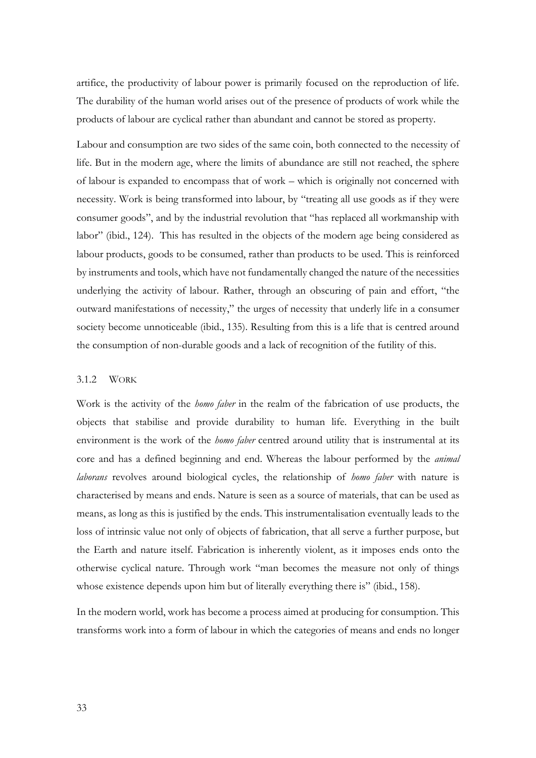artifice, the productivity of labour power is primarily focused on the reproduction of life. The durability of the human world arises out of the presence of products of work while the products of labour are cyclical rather than abundant and cannot be stored as property.

Labour and consumption are two sides of the same coin, both connected to the necessity of life. But in the modern age, where the limits of abundance are still not reached, the sphere of labour is expanded to encompass that of work – which is originally not concerned with necessity. Work is being transformed into labour, by "treating all use goods as if they were consumer goods", and by the industrial revolution that "has replaced all workmanship with labor" (ibid., 124). This has resulted in the objects of the modern age being considered as labour products, goods to be consumed, rather than products to be used. This is reinforced by instruments and tools, which have not fundamentally changed the nature of the necessities underlying the activity of labour. Rather, through an obscuring of pain and effort, "the outward manifestations of necessity," the urges of necessity that underly life in a consumer society become unnoticeable (ibid., 135). Resulting from this is a life that is centred around the consumption of non-durable goods and a lack of recognition of the futility of this.

#### 3.1.2 WORK

Work is the activity of the *homo faber* in the realm of the fabrication of use products, the objects that stabilise and provide durability to human life. Everything in the built environment is the work of the *homo faber* centred around utility that is instrumental at its core and has a defined beginning and end. Whereas the labour performed by the *animal laborans* revolves around biological cycles, the relationship of *homo faber* with nature is characterised by means and ends. Nature is seen as a source of materials, that can be used as means, as long as this is justified by the ends. This instrumentalisation eventually leads to the loss of intrinsic value not only of objects of fabrication, that all serve a further purpose, but the Earth and nature itself. Fabrication is inherently violent, as it imposes ends onto the otherwise cyclical nature. Through work "man becomes the measure not only of things whose existence depends upon him but of literally everything there is" (ibid., 158).

In the modern world, work has become a process aimed at producing for consumption. This transforms work into a form of labour in which the categories of means and ends no longer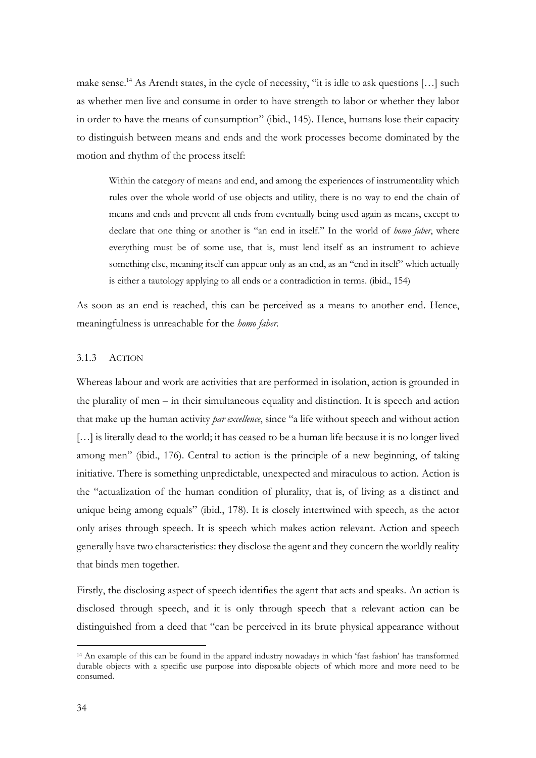make sense.<sup>14</sup> As Arendt states, in the cycle of necessity, "it is idle to ask questions [...] such as whether men live and consume in order to have strength to labor or whether they labor in order to have the means of consumption" (ibid., 145). Hence, humans lose their capacity to distinguish between means and ends and the work processes become dominated by the motion and rhythm of the process itself:

Within the category of means and end, and among the experiences of instrumentality which rules over the whole world of use objects and utility, there is no way to end the chain of means and ends and prevent all ends from eventually being used again as means, except to declare that one thing or another is "an end in itself." In the world of *homo faber*, where everything must be of some use, that is, must lend itself as an instrument to achieve something else, meaning itself can appear only as an end, as an "end in itself" which actually is either a tautology applying to all ends or a contradiction in terms. (ibid., 154)

As soon as an end is reached, this can be perceived as a means to another end. Hence, meaningfulness is unreachable for the *homo faber.* 

#### 3.1.3 ACTION

Whereas labour and work are activities that are performed in isolation, action is grounded in the plurality of men – in their simultaneous equality and distinction. It is speech and action that make up the human activity *par excellence*, since "a life without speech and without action [...] is literally dead to the world; it has ceased to be a human life because it is no longer lived among men" (ibid., 176). Central to action is the principle of a new beginning, of taking initiative. There is something unpredictable, unexpected and miraculous to action. Action is the "actualization of the human condition of plurality, that is, of living as a distinct and unique being among equals" (ibid., 178). It is closely intertwined with speech, as the actor only arises through speech. It is speech which makes action relevant. Action and speech generally have two characteristics: they disclose the agent and they concern the worldly reality that binds men together.

Firstly, the disclosing aspect of speech identifies the agent that acts and speaks. An action is disclosed through speech, and it is only through speech that a relevant action can be distinguished from a deed that "can be perceived in its brute physical appearance without

<sup>14</sup> An example of this can be found in the apparel industry nowadays in which 'fast fashion' has transformed durable objects with a specific use purpose into disposable objects of which more and more need to be consumed.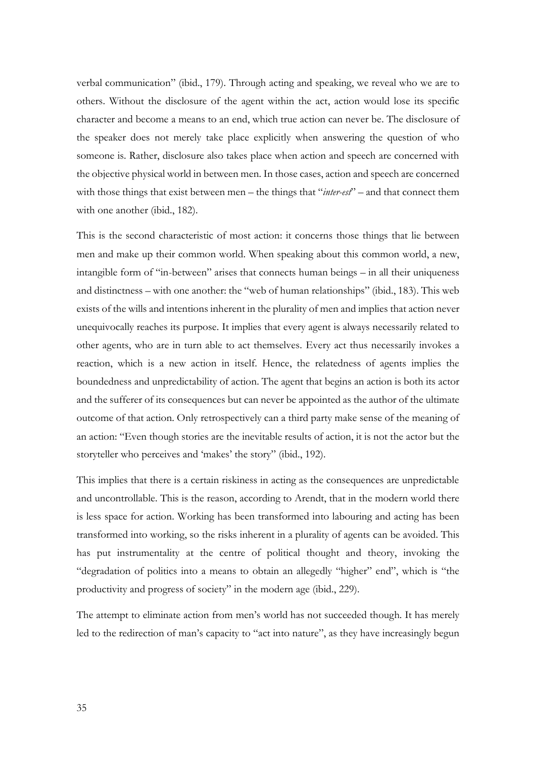verbal communication" (ibid., 179). Through acting and speaking, we reveal who we are to others. Without the disclosure of the agent within the act, action would lose its specific character and become a means to an end, which true action can never be. The disclosure of the speaker does not merely take place explicitly when answering the question of who someone is. Rather, disclosure also takes place when action and speech are concerned with the objective physical world in between men. In those cases, action and speech are concerned with those things that exist between men – the things that "*inter-est*" – and that connect them with one another (ibid., 182).

This is the second characteristic of most action: it concerns those things that lie between men and make up their common world. When speaking about this common world, a new, intangible form of "in-between" arises that connects human beings – in all their uniqueness and distinctness – with one another: the "web of human relationships" (ibid., 183). This web exists of the wills and intentions inherent in the plurality of men and implies that action never unequivocally reaches its purpose. It implies that every agent is always necessarily related to other agents, who are in turn able to act themselves. Every act thus necessarily invokes a reaction, which is a new action in itself. Hence, the relatedness of agents implies the boundedness and unpredictability of action. The agent that begins an action is both its actor and the sufferer of its consequences but can never be appointed as the author of the ultimate outcome of that action. Only retrospectively can a third party make sense of the meaning of an action: "Even though stories are the inevitable results of action, it is not the actor but the storyteller who perceives and 'makes' the story" (ibid., 192).

This implies that there is a certain riskiness in acting as the consequences are unpredictable and uncontrollable. This is the reason, according to Arendt, that in the modern world there is less space for action. Working has been transformed into labouring and acting has been transformed into working, so the risks inherent in a plurality of agents can be avoided. This has put instrumentality at the centre of political thought and theory, invoking the "degradation of politics into a means to obtain an allegedly "higher" end", which is "the productivity and progress of society" in the modern age (ibid., 229).

The attempt to eliminate action from men's world has not succeeded though. It has merely led to the redirection of man's capacity to "act into nature", as they have increasingly begun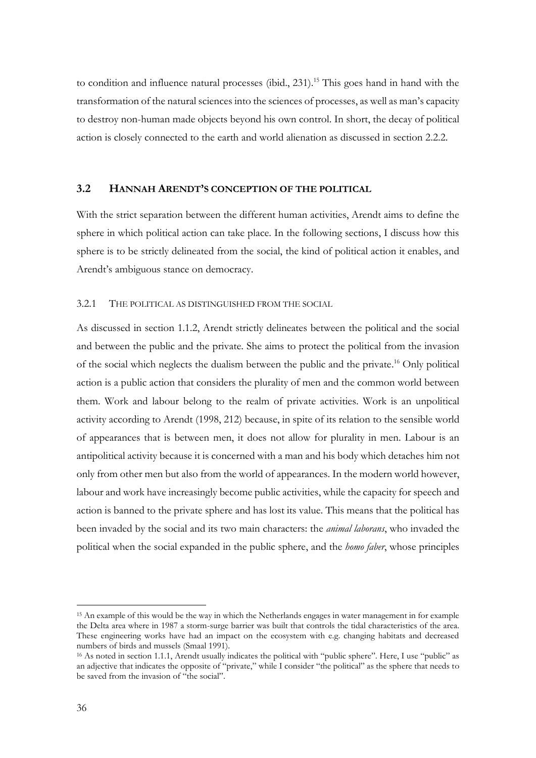to condition and influence natural processes (ibid., 231). <sup>15</sup> This goes hand in hand with the transformation of the natural sciences into the sciences of processes, as well as man's capacity to destroy non-human made objects beyond his own control. In short, the decay of political action is closely connected to the earth and world alienation as discussed in section 2.2.2.

#### **3.2 HANNAH ARENDT'S CONCEPTION OF THE POLITICAL**

With the strict separation between the different human activities, Arendt aims to define the sphere in which political action can take place. In the following sections, I discuss how this sphere is to be strictly delineated from the social, the kind of political action it enables, and Arendt's ambiguous stance on democracy.

#### 3.2.1 THE POLITICAL AS DISTINGUISHED FROM THE SOCIAL

As discussed in section 1.1.2, Arendt strictly delineates between the political and the social and between the public and the private. She aims to protect the political from the invasion of the social which neglects the dualism between the public and the private. <sup>16</sup> Only political action is a public action that considers the plurality of men and the common world between them. Work and labour belong to the realm of private activities. Work is an unpolitical activity according to Arendt (1998, 212) because, in spite of its relation to the sensible world of appearances that is between men, it does not allow for plurality in men. Labour is an antipolitical activity because it is concerned with a man and his body which detaches him not only from other men but also from the world of appearances. In the modern world however, labour and work have increasingly become public activities, while the capacity for speech and action is banned to the private sphere and has lost its value. This means that the political has been invaded by the social and its two main characters: the *animal laborans*, who invaded the political when the social expanded in the public sphere, and the *homo faber*, whose principles

<sup>15</sup> An example of this would be the way in which the Netherlands engages in water management in for example the Delta area where in 1987 a storm-surge barrier was built that controls the tidal characteristics of the area. These engineering works have had an impact on the ecosystem with e.g. changing habitats and decreased numbers of birds and mussels (Smaal 1991).

<sup>&</sup>lt;sup>16</sup> As noted in section 1.1.1, Arendt usually indicates the political with "public sphere". Here, I use "public" as an adjective that indicates the opposite of "private," while I consider "the political" as the sphere that needs to be saved from the invasion of "the social".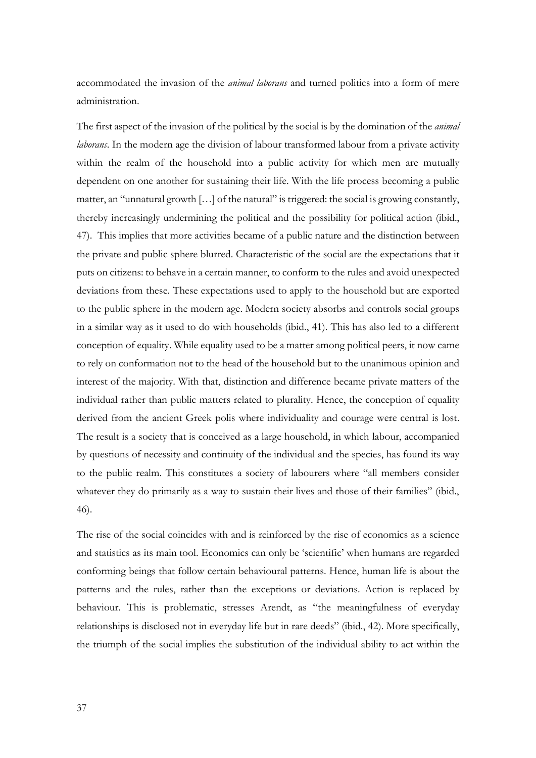accommodated the invasion of the *animal laborans* and turned politics into a form of mere administration.

The first aspect of the invasion of the political by the social is by the domination of the *animal laborans*. In the modern age the division of labour transformed labour from a private activity within the realm of the household into a public activity for which men are mutually dependent on one another for sustaining their life. With the life process becoming a public matter, an "unnatural growth […] of the natural" is triggered: the social is growing constantly, thereby increasingly undermining the political and the possibility for political action (ibid., 47). This implies that more activities became of a public nature and the distinction between the private and public sphere blurred. Characteristic of the social are the expectations that it puts on citizens: to behave in a certain manner, to conform to the rules and avoid unexpected deviations from these. These expectations used to apply to the household but are exported to the public sphere in the modern age. Modern society absorbs and controls social groups in a similar way as it used to do with households (ibid., 41). This has also led to a different conception of equality. While equality used to be a matter among political peers, it now came to rely on conformation not to the head of the household but to the unanimous opinion and interest of the majority. With that, distinction and difference became private matters of the individual rather than public matters related to plurality. Hence, the conception of equality derived from the ancient Greek polis where individuality and courage were central is lost. The result is a society that is conceived as a large household, in which labour, accompanied by questions of necessity and continuity of the individual and the species, has found its way to the public realm. This constitutes a society of labourers where "all members consider whatever they do primarily as a way to sustain their lives and those of their families" (ibid., 46).

The rise of the social coincides with and is reinforced by the rise of economics as a science and statistics as its main tool. Economics can only be 'scientific' when humans are regarded conforming beings that follow certain behavioural patterns. Hence, human life is about the patterns and the rules, rather than the exceptions or deviations. Action is replaced by behaviour. This is problematic, stresses Arendt, as "the meaningfulness of everyday relationships is disclosed not in everyday life but in rare deeds" (ibid., 42). More specifically, the triumph of the social implies the substitution of the individual ability to act within the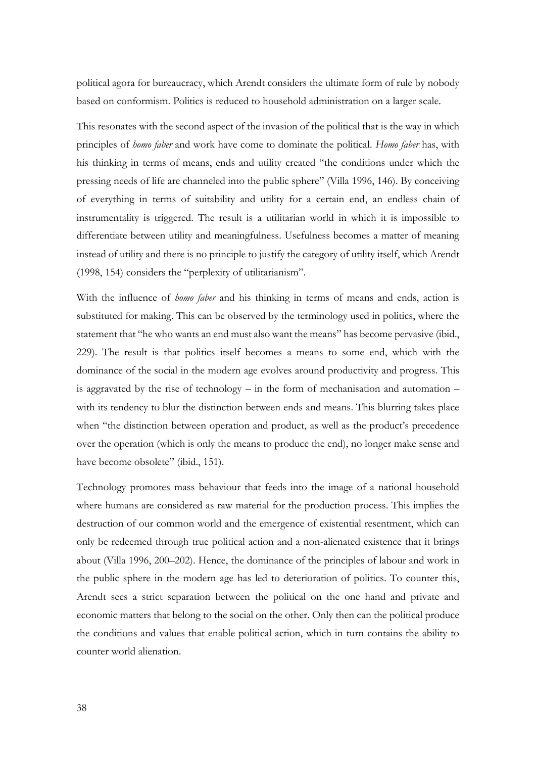political agora for bureaucracy, which Arendt considers the ultimate form of rule by nobody based on conformism. Politics is reduced to household administration on a larger scale.

This resonates with the second aspect of the invasion of the political that is the way in which principles of *homo faber* and work have come to dominate the political. *Homo faber* has, with his thinking in terms of means, ends and utility created "the conditions under which the pressing needs of life are channeled into the public sphere" (Villa 1996, 146). By conceiving of everything in terms of suitability and utility for a certain end, an endless chain of instrumentality is triggered. The result is a utilitarian world in which it is impossible to differentiate between utility and meaningfulness. Usefulness becomes a matter of meaning instead of utility and there is no principle to justify the category of utility itself, which Arendt (1998, 154) considers the "perplexity of utilitarianism".

With the influence of *homo faber* and his thinking in terms of means and ends, action is substituted for making. This can be observed by the terminology used in politics, where the statement that "he who wants an end must also want the means" has become pervasive (ibid., 229). The result is that politics itself becomes a means to some end, which with the dominance of the social in the modern age evolves around productivity and progress. This is aggravated by the rise of technology – in the form of mechanisation and automation – with its tendency to blur the distinction between ends and means. This blurring takes place when "the distinction between operation and product, as well as the product's precedence over the operation (which is only the means to produce the end), no longer make sense and have become obsolete" (ibid., 151).

Technology promotes mass behaviour that feeds into the image of a national household where humans are considered as raw material for the production process. This implies the destruction of our common world and the emergence of existential resentment, which can only be redeemed through true political action and a non-alienated existence that it brings about (Villa 1996, 200–202). Hence, the dominance of the principles of labour and work in the public sphere in the modern age has led to deterioration of politics. To counter this, Arendt sees a strict separation between the political on the one hand and private and economic matters that belong to the social on the other. Only then can the political produce the conditions and values that enable political action, which in turn contains the ability to counter world alienation.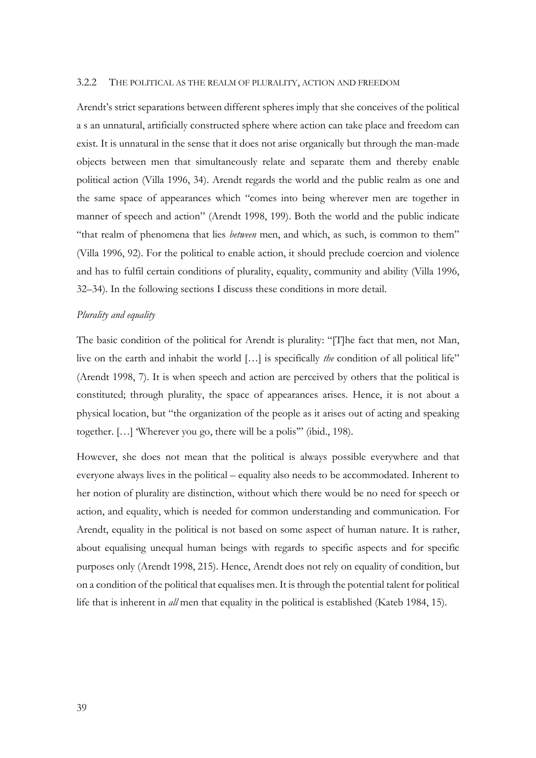#### 3.2.2 THE POLITICAL AS THE REALM OF PLURALITY, ACTION AND FREEDOM

Arendt's strict separations between different spheres imply that she conceives of the political a s an unnatural, artificially constructed sphere where action can take place and freedom can exist. It is unnatural in the sense that it does not arise organically but through the man-made objects between men that simultaneously relate and separate them and thereby enable political action (Villa 1996, 34). Arendt regards the world and the public realm as one and the same space of appearances which "comes into being wherever men are together in manner of speech and action" (Arendt 1998, 199). Both the world and the public indicate "that realm of phenomena that lies *between* men, and which, as such, is common to them" (Villa 1996, 92). For the political to enable action, it should preclude coercion and violence and has to fulfil certain conditions of plurality, equality, community and ability (Villa 1996, 32–34). In the following sections I discuss these conditions in more detail.

#### *Plurality and equality*

The basic condition of the political for Arendt is plurality: "[T]he fact that men, not Man, live on the earth and inhabit the world […] is specifically *the* condition of all political life" (Arendt 1998, 7). It is when speech and action are perceived by others that the political is constituted; through plurality, the space of appearances arises. Hence, it is not about a physical location, but "the organization of the people as it arises out of acting and speaking together. […] 'Wherever you go, there will be a polis'" (ibid., 198).

However, she does not mean that the political is always possible everywhere and that everyone always lives in the political – equality also needs to be accommodated. Inherent to her notion of plurality are distinction, without which there would be no need for speech or action, and equality, which is needed for common understanding and communication. For Arendt, equality in the political is not based on some aspect of human nature. It is rather, about equalising unequal human beings with regards to specific aspects and for specific purposes only (Arendt 1998, 215). Hence, Arendt does not rely on equality of condition, but on a condition of the political that equalises men. It is through the potential talent for political life that is inherent in *all* men that equality in the political is established (Kateb 1984, 15).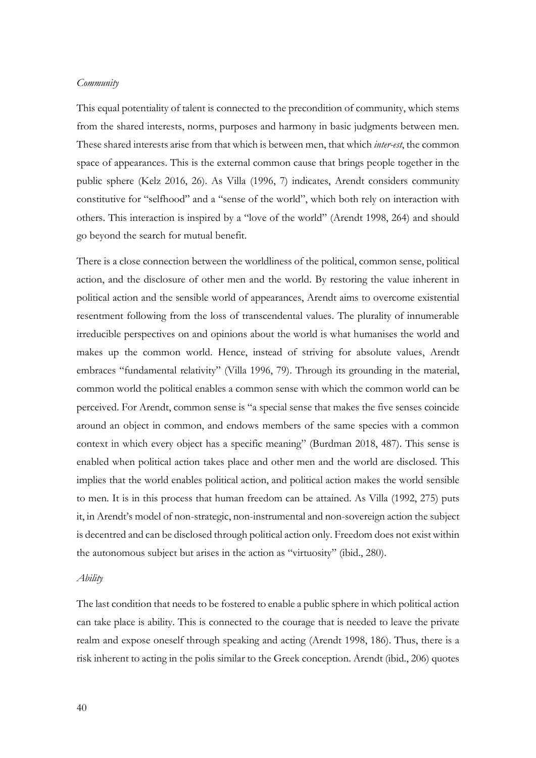#### *Community*

This equal potentiality of talent is connected to the precondition of community, which stems from the shared interests, norms, purposes and harmony in basic judgments between men. These shared interests arise from that which is between men, that which *inter-est*, the common space of appearances. This is the external common cause that brings people together in the public sphere (Kelz 2016, 26). As Villa (1996, 7) indicates, Arendt considers community constitutive for "selfhood" and a "sense of the world", which both rely on interaction with others. This interaction is inspired by a "love of the world" (Arendt 1998, 264) and should go beyond the search for mutual benefit.

There is a close connection between the worldliness of the political, common sense, political action, and the disclosure of other men and the world. By restoring the value inherent in political action and the sensible world of appearances, Arendt aims to overcome existential resentment following from the loss of transcendental values. The plurality of innumerable irreducible perspectives on and opinions about the world is what humanises the world and makes up the common world. Hence, instead of striving for absolute values, Arendt embraces "fundamental relativity" (Villa 1996, 79). Through its grounding in the material, common world the political enables a common sense with which the common world can be perceived. For Arendt, common sense is "a special sense that makes the five senses coincide around an object in common, and endows members of the same species with a common context in which every object has a specific meaning" (Burdman 2018, 487). This sense is enabled when political action takes place and other men and the world are disclosed. This implies that the world enables political action, and political action makes the world sensible to men. It is in this process that human freedom can be attained. As Villa (1992, 275) puts it, in Arendt's model of non-strategic, non-instrumental and non-sovereign action the subject is decentred and can be disclosed through political action only. Freedom does not exist within the autonomous subject but arises in the action as "virtuosity" (ibid., 280).

#### *Ability*

The last condition that needs to be fostered to enable a public sphere in which political action can take place is ability. This is connected to the courage that is needed to leave the private realm and expose oneself through speaking and acting (Arendt 1998, 186). Thus, there is a risk inherent to acting in the polis similar to the Greek conception. Arendt (ibid., 206) quotes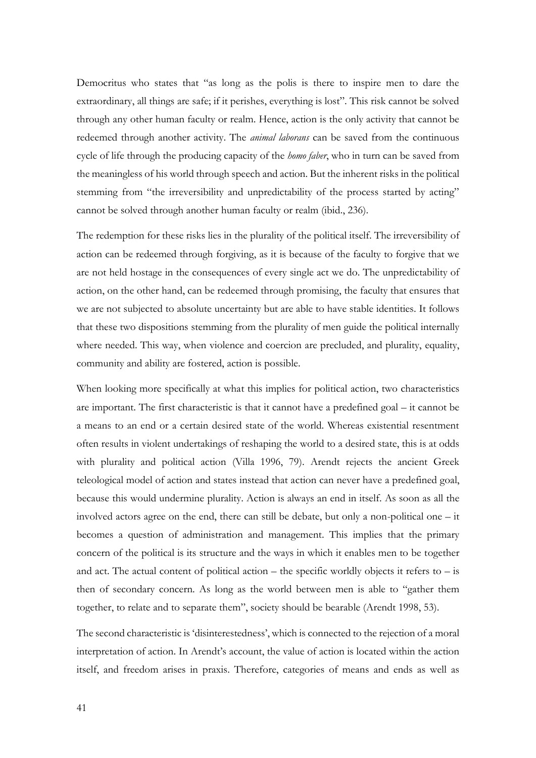Democritus who states that "as long as the polis is there to inspire men to dare the extraordinary, all things are safe; if it perishes, everything is lost". This risk cannot be solved through any other human faculty or realm. Hence, action is the only activity that cannot be redeemed through another activity. The *animal laborans* can be saved from the continuous cycle of life through the producing capacity of the *homo faber*, who in turn can be saved from the meaningless of his world through speech and action. But the inherent risks in the political stemming from "the irreversibility and unpredictability of the process started by acting" cannot be solved through another human faculty or realm (ibid., 236).

The redemption for these risks lies in the plurality of the political itself. The irreversibility of action can be redeemed through forgiving, as it is because of the faculty to forgive that we are not held hostage in the consequences of every single act we do. The unpredictability of action, on the other hand, can be redeemed through promising, the faculty that ensures that we are not subjected to absolute uncertainty but are able to have stable identities. It follows that these two dispositions stemming from the plurality of men guide the political internally where needed. This way, when violence and coercion are precluded, and plurality, equality, community and ability are fostered, action is possible.

When looking more specifically at what this implies for political action, two characteristics are important. The first characteristic is that it cannot have a predefined goal – it cannot be a means to an end or a certain desired state of the world. Whereas existential resentment often results in violent undertakings of reshaping the world to a desired state, this is at odds with plurality and political action (Villa 1996, 79). Arendt rejects the ancient Greek teleological model of action and states instead that action can never have a predefined goal, because this would undermine plurality. Action is always an end in itself. As soon as all the involved actors agree on the end, there can still be debate, but only a non-political one – it becomes a question of administration and management. This implies that the primary concern of the political is its structure and the ways in which it enables men to be together and act. The actual content of political action – the specific worldly objects it refers to – is then of secondary concern. As long as the world between men is able to "gather them together, to relate and to separate them", society should be bearable (Arendt 1998, 53).

The second characteristic is 'disinterestedness', which is connected to the rejection of a moral interpretation of action. In Arendt's account, the value of action is located within the action itself, and freedom arises in praxis. Therefore, categories of means and ends as well as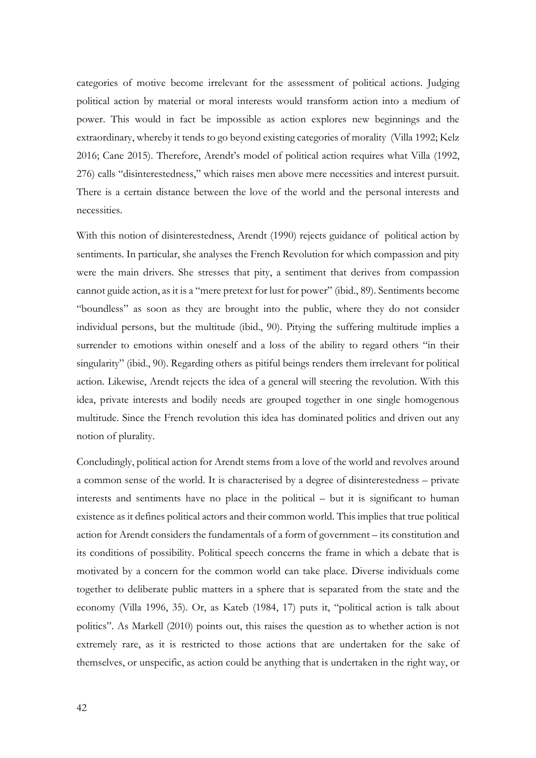categories of motive become irrelevant for the assessment of political actions. Judging political action by material or moral interests would transform action into a medium of power. This would in fact be impossible as action explores new beginnings and the extraordinary, whereby it tends to go beyond existing categories of morality (Villa 1992; Kelz 2016; Cane 2015). Therefore, Arendt's model of political action requires what Villa (1992, 276) calls "disinterestedness," which raises men above mere necessities and interest pursuit. There is a certain distance between the love of the world and the personal interests and necessities.

With this notion of disinterestedness, Arendt (1990) rejects guidance of political action by sentiments. In particular, she analyses the French Revolution for which compassion and pity were the main drivers. She stresses that pity, a sentiment that derives from compassion cannot guide action, as it is a "mere pretext for lust for power" (ibid., 89). Sentiments become "boundless" as soon as they are brought into the public, where they do not consider individual persons, but the multitude (ibid., 90). Pitying the suffering multitude implies a surrender to emotions within oneself and a loss of the ability to regard others "in their singularity" (ibid., 90). Regarding others as pitiful beings renders them irrelevant for political action. Likewise, Arendt rejects the idea of a general will steering the revolution. With this idea, private interests and bodily needs are grouped together in one single homogenous multitude. Since the French revolution this idea has dominated politics and driven out any notion of plurality.

Concludingly, political action for Arendt stems from a love of the world and revolves around a common sense of the world. It is characterised by a degree of disinterestedness – private interests and sentiments have no place in the political – but it is significant to human existence as it defines political actors and their common world. This implies that true political action for Arendt considers the fundamentals of a form of government – its constitution and its conditions of possibility. Political speech concerns the frame in which a debate that is motivated by a concern for the common world can take place. Diverse individuals come together to deliberate public matters in a sphere that is separated from the state and the economy (Villa 1996, 35). Or, as Kateb (1984, 17) puts it, "political action is talk about politics". As Markell (2010) points out, this raises the question as to whether action is not extremely rare, as it is restricted to those actions that are undertaken for the sake of themselves, or unspecific, as action could be anything that is undertaken in the right way, or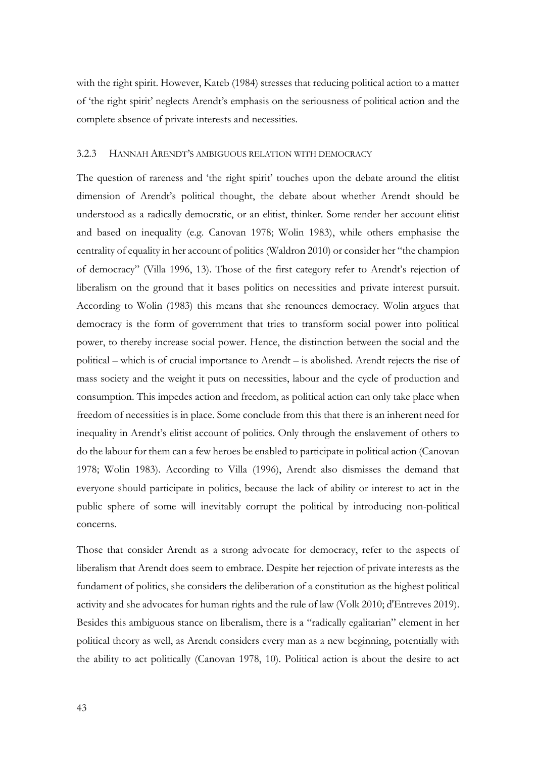with the right spirit. However, Kateb (1984) stresses that reducing political action to a matter of 'the right spirit' neglects Arendt's emphasis on the seriousness of political action and the complete absence of private interests and necessities.

#### 3.2.3 HANNAH ARENDT'S AMBIGUOUS RELATION WITH DEMOCRACY

The question of rareness and 'the right spirit' touches upon the debate around the elitist dimension of Arendt's political thought, the debate about whether Arendt should be understood as a radically democratic, or an elitist, thinker. Some render her account elitist and based on inequality (e.g. Canovan 1978; Wolin 1983), while others emphasise the centrality of equality in her account of politics (Waldron 2010) or consider her "the champion of democracy" (Villa 1996, 13). Those of the first category refer to Arendt's rejection of liberalism on the ground that it bases politics on necessities and private interest pursuit. According to Wolin (1983) this means that she renounces democracy. Wolin argues that democracy is the form of government that tries to transform social power into political power, to thereby increase social power. Hence, the distinction between the social and the political – which is of crucial importance to Arendt – is abolished. Arendt rejects the rise of mass society and the weight it puts on necessities, labour and the cycle of production and consumption. This impedes action and freedom, as political action can only take place when freedom of necessities is in place. Some conclude from this that there is an inherent need for inequality in Arendt's elitist account of politics. Only through the enslavement of others to do the labour for them can a few heroes be enabled to participate in political action (Canovan 1978; Wolin 1983). According to Villa (1996), Arendt also dismisses the demand that everyone should participate in politics, because the lack of ability or interest to act in the public sphere of some will inevitably corrupt the political by introducing non-political concerns.

Those that consider Arendt as a strong advocate for democracy, refer to the aspects of liberalism that Arendt does seem to embrace. Despite her rejection of private interests as the fundament of politics, she considers the deliberation of a constitution as the highest political activity and she advocates for human rights and the rule of law (Volk 2010; d'Entreves 2019). Besides this ambiguous stance on liberalism, there is a "radically egalitarian" element in her political theory as well, as Arendt considers every man as a new beginning, potentially with the ability to act politically (Canovan 1978, 10). Political action is about the desire to act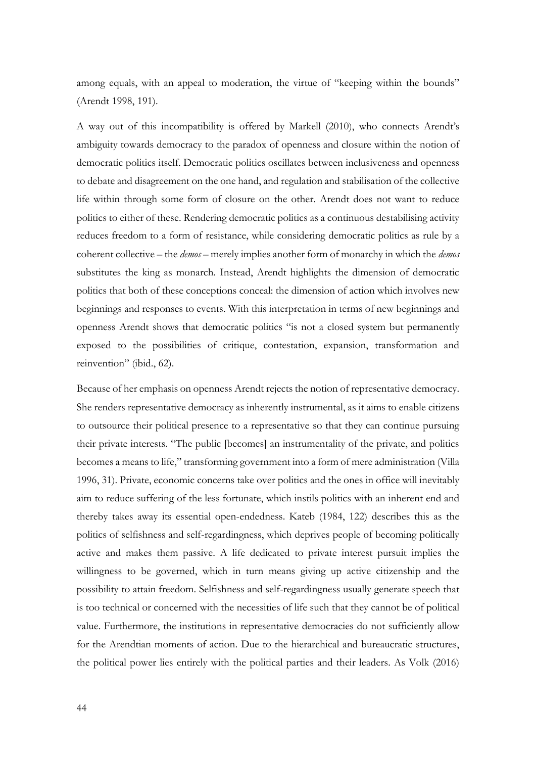among equals, with an appeal to moderation, the virtue of "keeping within the bounds" (Arendt 1998, 191).

A way out of this incompatibility is offered by Markell (2010), who connects Arendt's ambiguity towards democracy to the paradox of openness and closure within the notion of democratic politics itself. Democratic politics oscillates between inclusiveness and openness to debate and disagreement on the one hand, and regulation and stabilisation of the collective life within through some form of closure on the other. Arendt does not want to reduce politics to either of these. Rendering democratic politics as a continuous destabilising activity reduces freedom to a form of resistance, while considering democratic politics as rule by a coherent collective – the *demos* – merely implies another form of monarchy in which the *demos* substitutes the king as monarch. Instead, Arendt highlights the dimension of democratic politics that both of these conceptions conceal: the dimension of action which involves new beginnings and responses to events. With this interpretation in terms of new beginnings and openness Arendt shows that democratic politics "is not a closed system but permanently exposed to the possibilities of critique, contestation, expansion, transformation and reinvention" (ibid., 62).

Because of her emphasis on openness Arendt rejects the notion of representative democracy. She renders representative democracy as inherently instrumental, as it aims to enable citizens to outsource their political presence to a representative so that they can continue pursuing their private interests. "The public [becomes] an instrumentality of the private, and politics becomes a means to life," transforming government into a form of mere administration (Villa 1996, 31). Private, economic concerns take over politics and the ones in office will inevitably aim to reduce suffering of the less fortunate, which instils politics with an inherent end and thereby takes away its essential open-endedness. Kateb (1984, 122) describes this as the politics of selfishness and self-regardingness, which deprives people of becoming politically active and makes them passive. A life dedicated to private interest pursuit implies the willingness to be governed, which in turn means giving up active citizenship and the possibility to attain freedom. Selfishness and self-regardingness usually generate speech that is too technical or concerned with the necessities of life such that they cannot be of political value. Furthermore, the institutions in representative democracies do not sufficiently allow for the Arendtian moments of action. Due to the hierarchical and bureaucratic structures, the political power lies entirely with the political parties and their leaders. As Volk (2016)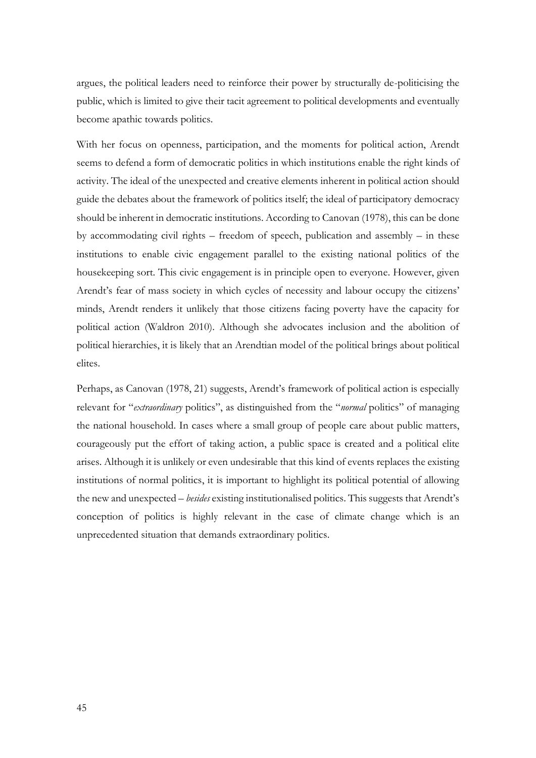argues, the political leaders need to reinforce their power by structurally de-politicising the public, which is limited to give their tacit agreement to political developments and eventually become apathic towards politics.

With her focus on openness, participation, and the moments for political action, Arendt seems to defend a form of democratic politics in which institutions enable the right kinds of activity. The ideal of the unexpected and creative elements inherent in political action should guide the debates about the framework of politics itself; the ideal of participatory democracy should be inherent in democratic institutions. According to Canovan (1978), this can be done by accommodating civil rights – freedom of speech, publication and assembly – in these institutions to enable civic engagement parallel to the existing national politics of the housekeeping sort. This civic engagement is in principle open to everyone. However, given Arendt's fear of mass society in which cycles of necessity and labour occupy the citizens' minds, Arendt renders it unlikely that those citizens facing poverty have the capacity for political action (Waldron 2010). Although she advocates inclusion and the abolition of political hierarchies, it is likely that an Arendtian model of the political brings about political elites.

Perhaps, as Canovan (1978, 21) suggests, Arendt's framework of political action is especially relevant for "*extraordinary* politics", as distinguished from the "*normal* politics" of managing the national household. In cases where a small group of people care about public matters, courageously put the effort of taking action, a public space is created and a political elite arises. Although it is unlikely or even undesirable that this kind of events replaces the existing institutions of normal politics, it is important to highlight its political potential of allowing the new and unexpected – *besides* existing institutionalised politics. This suggests that Arendt's conception of politics is highly relevant in the case of climate change which is an unprecedented situation that demands extraordinary politics.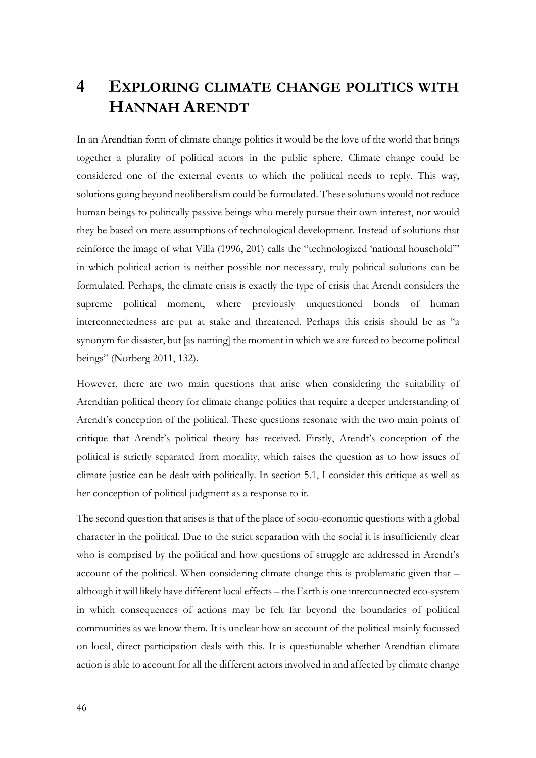## **4 EXPLORING CLIMATE CHANGE POLITICS WITH HANNAH ARENDT**

In an Arendtian form of climate change politics it would be the love of the world that brings together a plurality of political actors in the public sphere. Climate change could be considered one of the external events to which the political needs to reply. This way, solutions going beyond neoliberalism could be formulated. These solutions would not reduce human beings to politically passive beings who merely pursue their own interest, nor would they be based on mere assumptions of technological development. Instead of solutions that reinforce the image of what Villa (1996, 201) calls the "technologized 'national household'" in which political action is neither possible nor necessary, truly political solutions can be formulated. Perhaps, the climate crisis is exactly the type of crisis that Arendt considers the supreme political moment, where previously unquestioned bonds of human interconnectedness are put at stake and threatened. Perhaps this crisis should be as "a synonym for disaster, but [as naming] the moment in which we are forced to become political beings" (Norberg 2011, 132).

However, there are two main questions that arise when considering the suitability of Arendtian political theory for climate change politics that require a deeper understanding of Arendt's conception of the political. These questions resonate with the two main points of critique that Arendt's political theory has received. Firstly, Arendt's conception of the political is strictly separated from morality, which raises the question as to how issues of climate justice can be dealt with politically. In section 5.1, I consider this critique as well as her conception of political judgment as a response to it.

The second question that arises is that of the place of socio-economic questions with a global character in the political. Due to the strict separation with the social it is insufficiently clear who is comprised by the political and how questions of struggle are addressed in Arendt's account of the political. When considering climate change this is problematic given that – although it will likely have different local effects – the Earth is one interconnected eco-system in which consequences of actions may be felt far beyond the boundaries of political communities as we know them. It is unclear how an account of the political mainly focussed on local, direct participation deals with this. It is questionable whether Arendtian climate action is able to account for all the different actors involved in and affected by climate change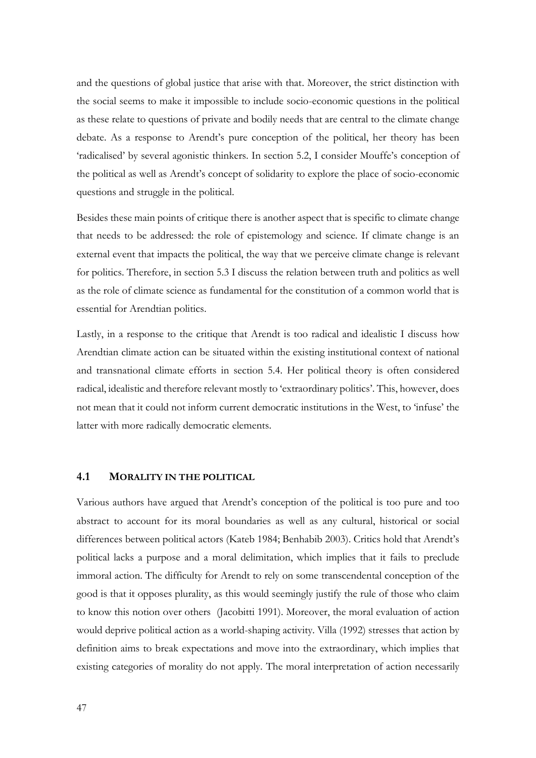and the questions of global justice that arise with that. Moreover, the strict distinction with the social seems to make it impossible to include socio-economic questions in the political as these relate to questions of private and bodily needs that are central to the climate change debate. As a response to Arendt's pure conception of the political, her theory has been 'radicalised' by several agonistic thinkers. In section 5.2, I consider Mouffe's conception of the political as well as Arendt's concept of solidarity to explore the place of socio-economic questions and struggle in the political.

Besides these main points of critique there is another aspect that is specific to climate change that needs to be addressed: the role of epistemology and science. If climate change is an external event that impacts the political, the way that we perceive climate change is relevant for politics. Therefore, in section 5.3 I discuss the relation between truth and politics as well as the role of climate science as fundamental for the constitution of a common world that is essential for Arendtian politics.

Lastly, in a response to the critique that Arendt is too radical and idealistic I discuss how Arendtian climate action can be situated within the existing institutional context of national and transnational climate efforts in section 5.4. Her political theory is often considered radical, idealistic and therefore relevant mostly to 'extraordinary politics'. This, however, does not mean that it could not inform current democratic institutions in the West, to 'infuse' the latter with more radically democratic elements.

#### **4.1 MORALITY IN THE POLITICAL**

Various authors have argued that Arendt's conception of the political is too pure and too abstract to account for its moral boundaries as well as any cultural, historical or social differences between political actors (Kateb 1984; Benhabib 2003). Critics hold that Arendt's political lacks a purpose and a moral delimitation, which implies that it fails to preclude immoral action. The difficulty for Arendt to rely on some transcendental conception of the good is that it opposes plurality, as this would seemingly justify the rule of those who claim to know this notion over others (Jacobitti 1991). Moreover, the moral evaluation of action would deprive political action as a world-shaping activity. Villa (1992) stresses that action by definition aims to break expectations and move into the extraordinary, which implies that existing categories of morality do not apply. The moral interpretation of action necessarily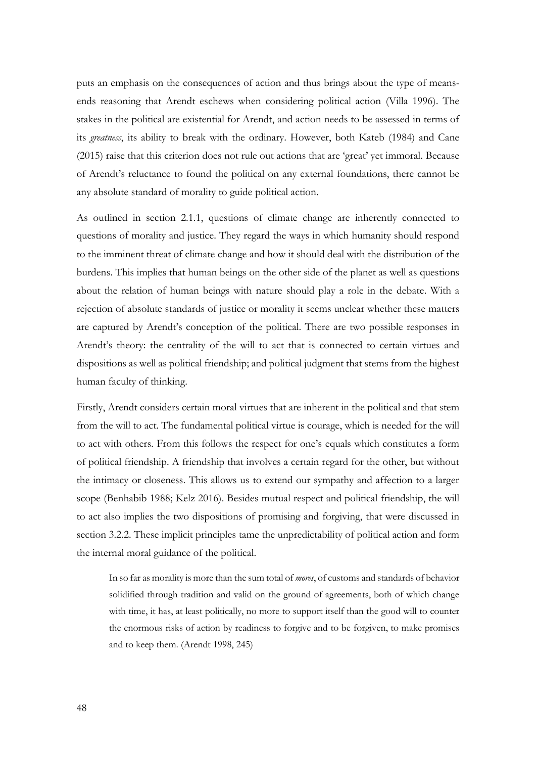puts an emphasis on the consequences of action and thus brings about the type of meansends reasoning that Arendt eschews when considering political action (Villa 1996). The stakes in the political are existential for Arendt, and action needs to be assessed in terms of its *greatness*, its ability to break with the ordinary. However, both Kateb (1984) and Cane (2015) raise that this criterion does not rule out actions that are 'great' yet immoral. Because of Arendt's reluctance to found the political on any external foundations, there cannot be any absolute standard of morality to guide political action.

As outlined in section 2.1.1, questions of climate change are inherently connected to questions of morality and justice. They regard the ways in which humanity should respond to the imminent threat of climate change and how it should deal with the distribution of the burdens. This implies that human beings on the other side of the planet as well as questions about the relation of human beings with nature should play a role in the debate. With a rejection of absolute standards of justice or morality it seems unclear whether these matters are captured by Arendt's conception of the political. There are two possible responses in Arendt's theory: the centrality of the will to act that is connected to certain virtues and dispositions as well as political friendship; and political judgment that stems from the highest human faculty of thinking.

Firstly, Arendt considers certain moral virtues that are inherent in the political and that stem from the will to act. The fundamental political virtue is courage, which is needed for the will to act with others. From this follows the respect for one's equals which constitutes a form of political friendship. A friendship that involves a certain regard for the other, but without the intimacy or closeness. This allows us to extend our sympathy and affection to a larger scope (Benhabib 1988; Kelz 2016). Besides mutual respect and political friendship, the will to act also implies the two dispositions of promising and forgiving, that were discussed in section 3.2.2. These implicit principles tame the unpredictability of political action and form the internal moral guidance of the political.

In so far as morality is more than the sum total of *mores*, of customs and standards of behavior solidified through tradition and valid on the ground of agreements, both of which change with time, it has, at least politically, no more to support itself than the good will to counter the enormous risks of action by readiness to forgive and to be forgiven, to make promises and to keep them. (Arendt 1998, 245)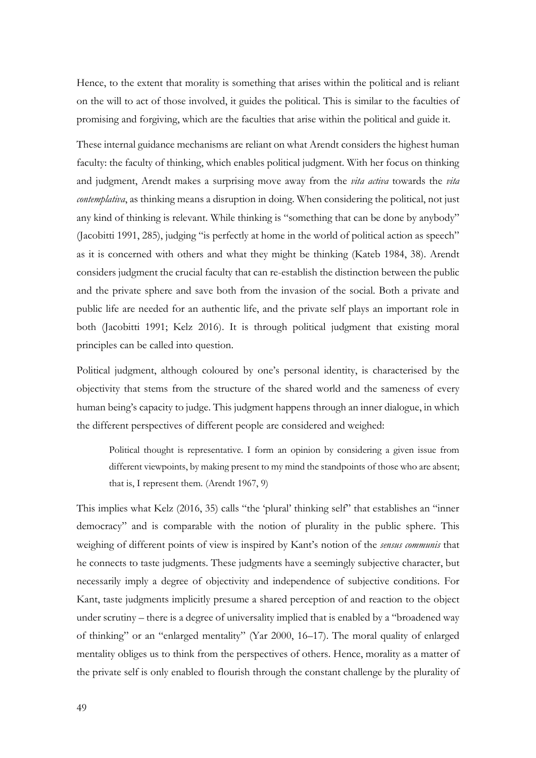Hence, to the extent that morality is something that arises within the political and is reliant on the will to act of those involved, it guides the political. This is similar to the faculties of promising and forgiving, which are the faculties that arise within the political and guide it.

These internal guidance mechanisms are reliant on what Arendt considers the highest human faculty: the faculty of thinking, which enables political judgment. With her focus on thinking and judgment, Arendt makes a surprising move away from the *vita activa* towards the *vita contemplativa*, as thinking means a disruption in doing. When considering the political, not just any kind of thinking is relevant. While thinking is "something that can be done by anybody" (Jacobitti 1991, 285), judging "is perfectly at home in the world of political action as speech" as it is concerned with others and what they might be thinking (Kateb 1984, 38). Arendt considers judgment the crucial faculty that can re-establish the distinction between the public and the private sphere and save both from the invasion of the social. Both a private and public life are needed for an authentic life, and the private self plays an important role in both (Jacobitti 1991; Kelz 2016). It is through political judgment that existing moral principles can be called into question.

Political judgment, although coloured by one's personal identity, is characterised by the objectivity that stems from the structure of the shared world and the sameness of every human being's capacity to judge. This judgment happens through an inner dialogue, in which the different perspectives of different people are considered and weighed:

Political thought is representative. I form an opinion by considering a given issue from different viewpoints, by making present to my mind the standpoints of those who are absent; that is, I represent them. (Arendt 1967, 9)

This implies what Kelz (2016, 35) calls "the 'plural' thinking self" that establishes an "inner democracy" and is comparable with the notion of plurality in the public sphere. This weighing of different points of view is inspired by Kant's notion of the *sensus communis* that he connects to taste judgments. These judgments have a seemingly subjective character, but necessarily imply a degree of objectivity and independence of subjective conditions. For Kant, taste judgments implicitly presume a shared perception of and reaction to the object under scrutiny – there is a degree of universality implied that is enabled by a "broadened way of thinking" or an "enlarged mentality" (Yar 2000, 16–17). The moral quality of enlarged mentality obliges us to think from the perspectives of others. Hence, morality as a matter of the private self is only enabled to flourish through the constant challenge by the plurality of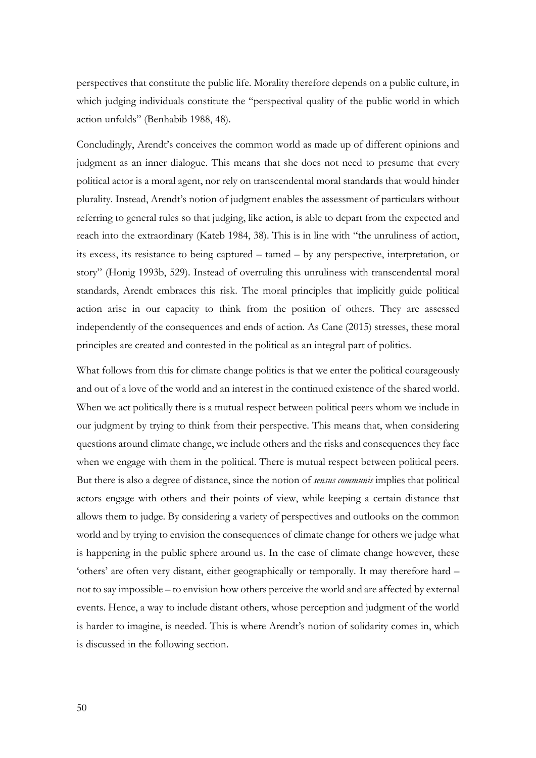perspectives that constitute the public life. Morality therefore depends on a public culture, in which judging individuals constitute the "perspectival quality of the public world in which action unfolds" (Benhabib 1988, 48).

Concludingly, Arendt's conceives the common world as made up of different opinions and judgment as an inner dialogue. This means that she does not need to presume that every political actor is a moral agent, nor rely on transcendental moral standards that would hinder plurality. Instead, Arendt's notion of judgment enables the assessment of particulars without referring to general rules so that judging, like action, is able to depart from the expected and reach into the extraordinary (Kateb 1984, 38). This is in line with "the unruliness of action, its excess, its resistance to being captured – tamed – by any perspective, interpretation, or story" (Honig 1993b, 529). Instead of overruling this unruliness with transcendental moral standards, Arendt embraces this risk. The moral principles that implicitly guide political action arise in our capacity to think from the position of others. They are assessed independently of the consequences and ends of action. As Cane (2015) stresses, these moral principles are created and contested in the political as an integral part of politics.

What follows from this for climate change politics is that we enter the political courageously and out of a love of the world and an interest in the continued existence of the shared world. When we act politically there is a mutual respect between political peers whom we include in our judgment by trying to think from their perspective. This means that, when considering questions around climate change, we include others and the risks and consequences they face when we engage with them in the political. There is mutual respect between political peers. But there is also a degree of distance, since the notion of *sensus communis* implies that political actors engage with others and their points of view, while keeping a certain distance that allows them to judge. By considering a variety of perspectives and outlooks on the common world and by trying to envision the consequences of climate change for others we judge what is happening in the public sphere around us. In the case of climate change however, these 'others' are often very distant, either geographically or temporally. It may therefore hard – not to say impossible – to envision how others perceive the world and are affected by external events. Hence, a way to include distant others, whose perception and judgment of the world is harder to imagine, is needed. This is where Arendt's notion of solidarity comes in, which is discussed in the following section.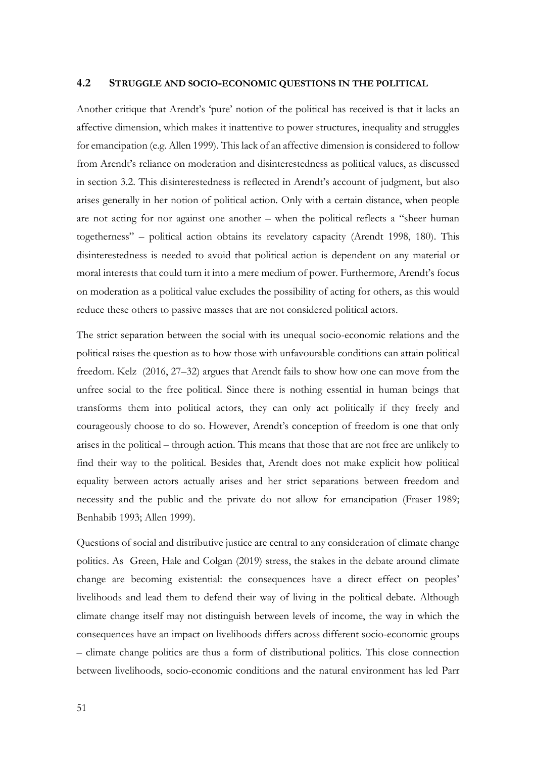#### **4.2 STRUGGLE AND SOCIO-ECONOMIC QUESTIONS IN THE POLITICAL**

Another critique that Arendt's 'pure' notion of the political has received is that it lacks an affective dimension, which makes it inattentive to power structures, inequality and struggles for emancipation (e.g. Allen 1999). This lack of an affective dimension is considered to follow from Arendt's reliance on moderation and disinterestedness as political values, as discussed in section 3.2. This disinterestedness is reflected in Arendt's account of judgment, but also arises generally in her notion of political action. Only with a certain distance, when people are not acting for nor against one another – when the political reflects a "sheer human togetherness" – political action obtains its revelatory capacity (Arendt 1998, 180). This disinterestedness is needed to avoid that political action is dependent on any material or moral interests that could turn it into a mere medium of power. Furthermore, Arendt's focus on moderation as a political value excludes the possibility of acting for others, as this would reduce these others to passive masses that are not considered political actors.

The strict separation between the social with its unequal socio-economic relations and the political raises the question as to how those with unfavourable conditions can attain political freedom. Kelz (2016, 27–32) argues that Arendt fails to show how one can move from the unfree social to the free political. Since there is nothing essential in human beings that transforms them into political actors, they can only act politically if they freely and courageously choose to do so. However, Arendt's conception of freedom is one that only arises in the political – through action. This means that those that are not free are unlikely to find their way to the political. Besides that, Arendt does not make explicit how political equality between actors actually arises and her strict separations between freedom and necessity and the public and the private do not allow for emancipation (Fraser 1989; Benhabib 1993; Allen 1999).

Questions of social and distributive justice are central to any consideration of climate change politics. As Green, Hale and Colgan (2019) stress, the stakes in the debate around climate change are becoming existential: the consequences have a direct effect on peoples' livelihoods and lead them to defend their way of living in the political debate. Although climate change itself may not distinguish between levels of income, the way in which the consequences have an impact on livelihoods differs across different socio-economic groups – climate change politics are thus a form of distributional politics. This close connection between livelihoods, socio-economic conditions and the natural environment has led Parr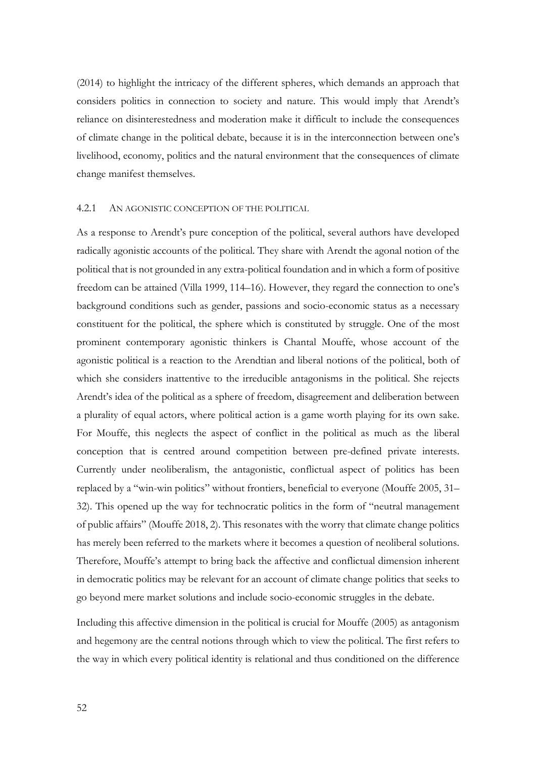(2014) to highlight the intricacy of the different spheres, which demands an approach that considers politics in connection to society and nature. This would imply that Arendt's reliance on disinterestedness and moderation make it difficult to include the consequences of climate change in the political debate, because it is in the interconnection between one's livelihood, economy, politics and the natural environment that the consequences of climate change manifest themselves.

#### 4.2.1 AN AGONISTIC CONCEPTION OF THE POLITICAL

As a response to Arendt's pure conception of the political, several authors have developed radically agonistic accounts of the political. They share with Arendt the agonal notion of the political that is not grounded in any extra-political foundation and in which a form of positive freedom can be attained (Villa 1999, 114–16). However, they regard the connection to one's background conditions such as gender, passions and socio-economic status as a necessary constituent for the political, the sphere which is constituted by struggle. One of the most prominent contemporary agonistic thinkers is Chantal Mouffe, whose account of the agonistic political is a reaction to the Arendtian and liberal notions of the political, both of which she considers inattentive to the irreducible antagonisms in the political. She rejects Arendt's idea of the political as a sphere of freedom, disagreement and deliberation between a plurality of equal actors, where political action is a game worth playing for its own sake. For Mouffe, this neglects the aspect of conflict in the political as much as the liberal conception that is centred around competition between pre-defined private interests. Currently under neoliberalism, the antagonistic, conflictual aspect of politics has been replaced by a "win-win politics" without frontiers, beneficial to everyone (Mouffe 2005, 31– 32). This opened up the way for technocratic politics in the form of "neutral management of public affairs" (Mouffe 2018, 2). This resonates with the worry that climate change politics has merely been referred to the markets where it becomes a question of neoliberal solutions. Therefore, Mouffe's attempt to bring back the affective and conflictual dimension inherent in democratic politics may be relevant for an account of climate change politics that seeks to go beyond mere market solutions and include socio-economic struggles in the debate.

Including this affective dimension in the political is crucial for Mouffe (2005) as antagonism and hegemony are the central notions through which to view the political. The first refers to the way in which every political identity is relational and thus conditioned on the difference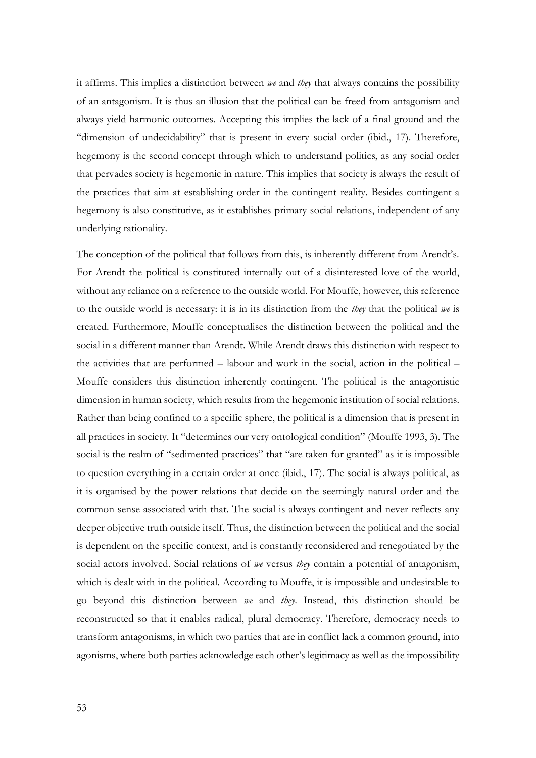it affirms. This implies a distinction between *we* and *they* that always contains the possibility of an antagonism. It is thus an illusion that the political can be freed from antagonism and always yield harmonic outcomes. Accepting this implies the lack of a final ground and the "dimension of undecidability" that is present in every social order (ibid., 17). Therefore, hegemony is the second concept through which to understand politics, as any social order that pervades society is hegemonic in nature. This implies that society is always the result of the practices that aim at establishing order in the contingent reality. Besides contingent a hegemony is also constitutive, as it establishes primary social relations, independent of any underlying rationality.

The conception of the political that follows from this, is inherently different from Arendt's. For Arendt the political is constituted internally out of a disinterested love of the world, without any reliance on a reference to the outside world. For Mouffe, however, this reference to the outside world is necessary: it is in its distinction from the *they* that the political *we* is created. Furthermore, Mouffe conceptualises the distinction between the political and the social in a different manner than Arendt. While Arendt draws this distinction with respect to the activities that are performed – labour and work in the social, action in the political – Mouffe considers this distinction inherently contingent. The political is the antagonistic dimension in human society, which results from the hegemonic institution of social relations. Rather than being confined to a specific sphere, the political is a dimension that is present in all practices in society. It "determines our very ontological condition" (Mouffe 1993, 3). The social is the realm of "sedimented practices" that "are taken for granted" as it is impossible to question everything in a certain order at once (ibid., 17). The social is always political, as it is organised by the power relations that decide on the seemingly natural order and the common sense associated with that. The social is always contingent and never reflects any deeper objective truth outside itself. Thus, the distinction between the political and the social is dependent on the specific context, and is constantly reconsidered and renegotiated by the social actors involved. Social relations of *we* versus *they* contain a potential of antagonism, which is dealt with in the political. According to Mouffe, it is impossible and undesirable to go beyond this distinction between *we* and *they*. Instead, this distinction should be reconstructed so that it enables radical, plural democracy. Therefore, democracy needs to transform antagonisms, in which two parties that are in conflict lack a common ground, into agonisms, where both parties acknowledge each other's legitimacy as well as the impossibility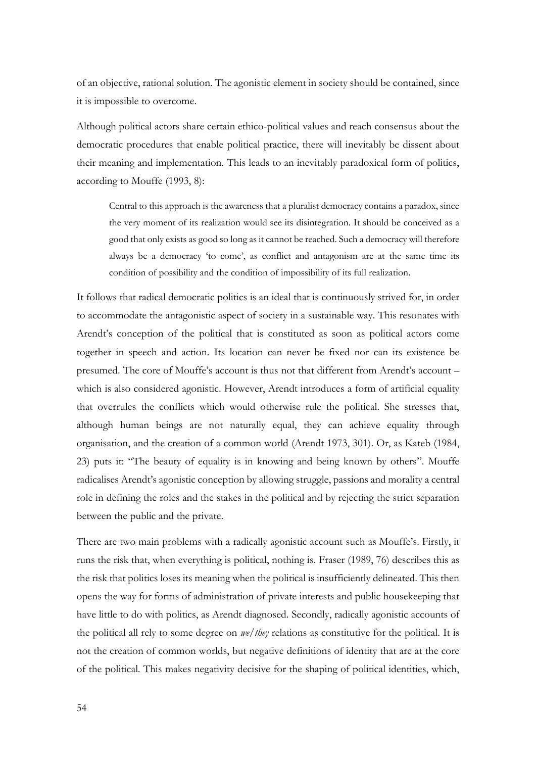of an objective, rational solution. The agonistic element in society should be contained, since it is impossible to overcome.

Although political actors share certain ethico-political values and reach consensus about the democratic procedures that enable political practice, there will inevitably be dissent about their meaning and implementation. This leads to an inevitably paradoxical form of politics, according to Mouffe (1993, 8):

Central to this approach is the awareness that a pluralist democracy contains a paradox, since the very moment of its realization would see its disintegration. It should be conceived as a good that only exists as good so long as it cannot be reached. Such a democracy will therefore always be a democracy 'to come', as conflict and antagonism are at the same time its condition of possibility and the condition of impossibility of its full realization.

It follows that radical democratic politics is an ideal that is continuously strived for, in order to accommodate the antagonistic aspect of society in a sustainable way. This resonates with Arendt's conception of the political that is constituted as soon as political actors come together in speech and action. Its location can never be fixed nor can its existence be presumed. The core of Mouffe's account is thus not that different from Arendt's account – which is also considered agonistic. However, Arendt introduces a form of artificial equality that overrules the conflicts which would otherwise rule the political. She stresses that, although human beings are not naturally equal, they can achieve equality through organisation, and the creation of a common world (Arendt 1973, 301). Or, as Kateb (1984, 23) puts it: "The beauty of equality is in knowing and being known by others". Mouffe radicalises Arendt's agonistic conception by allowing struggle, passions and morality a central role in defining the roles and the stakes in the political and by rejecting the strict separation between the public and the private.

There are two main problems with a radically agonistic account such as Mouffe's. Firstly, it runs the risk that, when everything is political, nothing is. Fraser (1989, 76) describes this as the risk that politics loses its meaning when the political is insufficiently delineated. This then opens the way for forms of administration of private interests and public housekeeping that have little to do with politics, as Arendt diagnosed. Secondly, radically agonistic accounts of the political all rely to some degree on *we/they* relations as constitutive for the political. It is not the creation of common worlds, but negative definitions of identity that are at the core of the political. This makes negativity decisive for the shaping of political identities, which,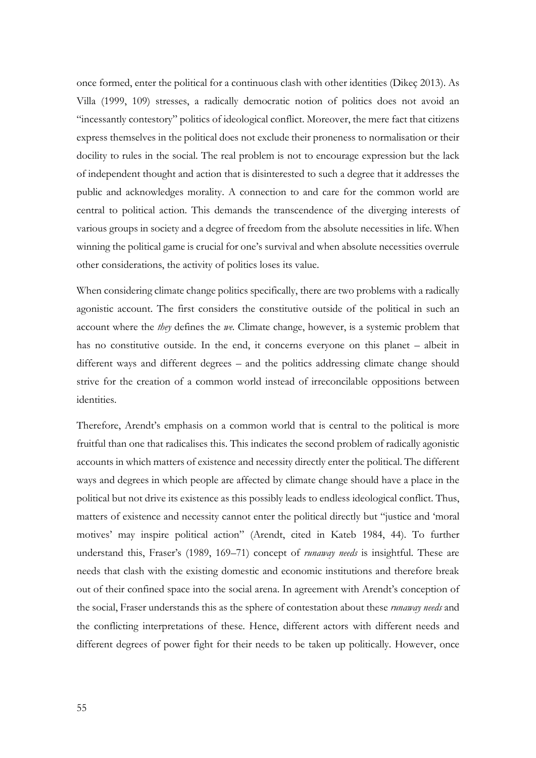once formed, enter the political for a continuous clash with other identities (Dikeç 2013). As Villa (1999, 109) stresses, a radically democratic notion of politics does not avoid an "incessantly contestory" politics of ideological conflict. Moreover, the mere fact that citizens express themselves in the political does not exclude their proneness to normalisation or their docility to rules in the social. The real problem is not to encourage expression but the lack of independent thought and action that is disinterested to such a degree that it addresses the public and acknowledges morality. A connection to and care for the common world are central to political action. This demands the transcendence of the diverging interests of various groups in society and a degree of freedom from the absolute necessities in life. When winning the political game is crucial for one's survival and when absolute necessities overrule other considerations, the activity of politics loses its value.

When considering climate change politics specifically, there are two problems with a radically agonistic account. The first considers the constitutive outside of the political in such an account where the *they* defines the *we.* Climate change, however, is a systemic problem that has no constitutive outside. In the end, it concerns everyone on this planet – albeit in different ways and different degrees – and the politics addressing climate change should strive for the creation of a common world instead of irreconcilable oppositions between identities.

Therefore, Arendt's emphasis on a common world that is central to the political is more fruitful than one that radicalises this. This indicates the second problem of radically agonistic accounts in which matters of existence and necessity directly enter the political. The different ways and degrees in which people are affected by climate change should have a place in the political but not drive its existence as this possibly leads to endless ideological conflict. Thus, matters of existence and necessity cannot enter the political directly but "justice and 'moral motives' may inspire political action" (Arendt, cited in Kateb 1984, 44). To further understand this, Fraser's (1989, 169–71) concept of *runaway needs* is insightful. These are needs that clash with the existing domestic and economic institutions and therefore break out of their confined space into the social arena. In agreement with Arendt's conception of the social, Fraser understands this as the sphere of contestation about these *runaway needs* and the conflicting interpretations of these. Hence, different actors with different needs and different degrees of power fight for their needs to be taken up politically. However, once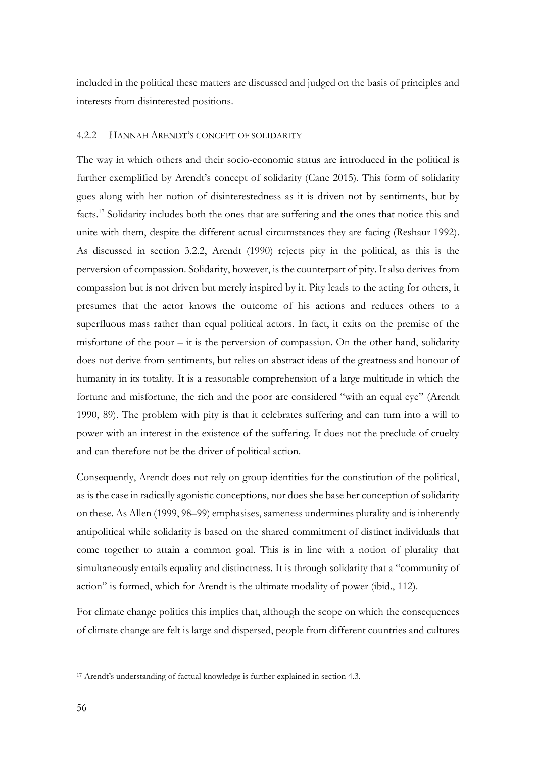included in the political these matters are discussed and judged on the basis of principles and interests from disinterested positions.

#### 4.2.2 HANNAH ARENDT'S CONCEPT OF SOLIDARITY

The way in which others and their socio-economic status are introduced in the political is further exemplified by Arendt's concept of solidarity (Cane 2015). This form of solidarity goes along with her notion of disinterestedness as it is driven not by sentiments, but by facts. <sup>17</sup> Solidarity includes both the ones that are suffering and the ones that notice this and unite with them, despite the different actual circumstances they are facing (Reshaur 1992). As discussed in section 3.2.2, Arendt (1990) rejects pity in the political, as this is the perversion of compassion. Solidarity, however, is the counterpart of pity. It also derives from compassion but is not driven but merely inspired by it. Pity leads to the acting for others, it presumes that the actor knows the outcome of his actions and reduces others to a superfluous mass rather than equal political actors. In fact, it exits on the premise of the misfortune of the poor – it is the perversion of compassion. On the other hand, solidarity does not derive from sentiments, but relies on abstract ideas of the greatness and honour of humanity in its totality. It is a reasonable comprehension of a large multitude in which the fortune and misfortune, the rich and the poor are considered "with an equal eye" (Arendt 1990, 89). The problem with pity is that it celebrates suffering and can turn into a will to power with an interest in the existence of the suffering. It does not the preclude of cruelty and can therefore not be the driver of political action.

Consequently, Arendt does not rely on group identities for the constitution of the political, as is the case in radically agonistic conceptions, nor does she base her conception of solidarity on these. As Allen (1999, 98–99) emphasises, sameness undermines plurality and is inherently antipolitical while solidarity is based on the shared commitment of distinct individuals that come together to attain a common goal. This is in line with a notion of plurality that simultaneously entails equality and distinctness. It is through solidarity that a "community of action" is formed, which for Arendt is the ultimate modality of power (ibid., 112).

For climate change politics this implies that, although the scope on which the consequences of climate change are felt is large and dispersed, people from different countries and cultures

<sup>17</sup> Arendt's understanding of factual knowledge is further explained in section 4.3.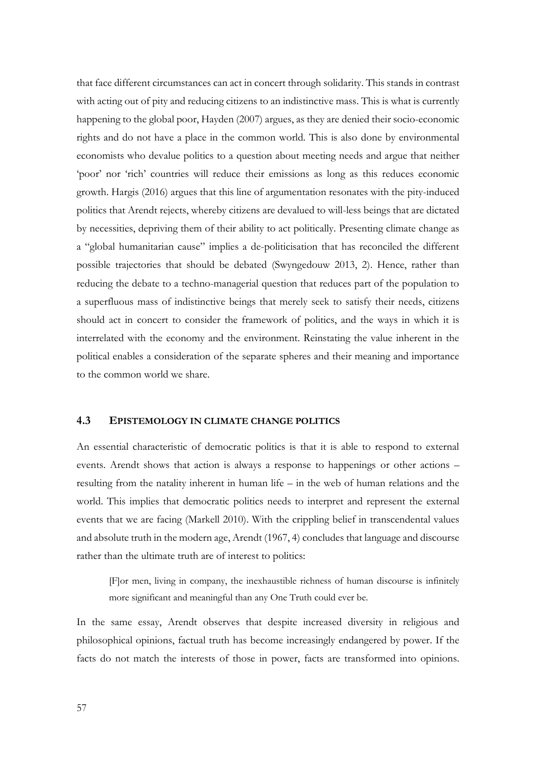that face different circumstances can act in concert through solidarity. This stands in contrast with acting out of pity and reducing citizens to an indistinctive mass. This is what is currently happening to the global poor, Hayden (2007) argues, as they are denied their socio-economic rights and do not have a place in the common world. This is also done by environmental economists who devalue politics to a question about meeting needs and argue that neither 'poor' nor 'rich' countries will reduce their emissions as long as this reduces economic growth. Hargis (2016) argues that this line of argumentation resonates with the pity-induced politics that Arendt rejects, whereby citizens are devalued to will-less beings that are dictated by necessities, depriving them of their ability to act politically. Presenting climate change as a "global humanitarian cause" implies a de-politicisation that has reconciled the different possible trajectories that should be debated (Swyngedouw 2013, 2). Hence, rather than reducing the debate to a techno-managerial question that reduces part of the population to a superfluous mass of indistinctive beings that merely seek to satisfy their needs, citizens should act in concert to consider the framework of politics, and the ways in which it is interrelated with the economy and the environment. Reinstating the value inherent in the political enables a consideration of the separate spheres and their meaning and importance to the common world we share.

#### **4.3 EPISTEMOLOGY IN CLIMATE CHANGE POLITICS**

An essential characteristic of democratic politics is that it is able to respond to external events. Arendt shows that action is always a response to happenings or other actions – resulting from the natality inherent in human life – in the web of human relations and the world. This implies that democratic politics needs to interpret and represent the external events that we are facing (Markell 2010). With the crippling belief in transcendental values and absolute truth in the modern age, Arendt (1967, 4) concludes that language and discourse rather than the ultimate truth are of interest to politics:

[F]or men, living in company, the inexhaustible richness of human discourse is infinitely more significant and meaningful than any One Truth could ever be.

In the same essay, Arendt observes that despite increased diversity in religious and philosophical opinions, factual truth has become increasingly endangered by power. If the facts do not match the interests of those in power, facts are transformed into opinions.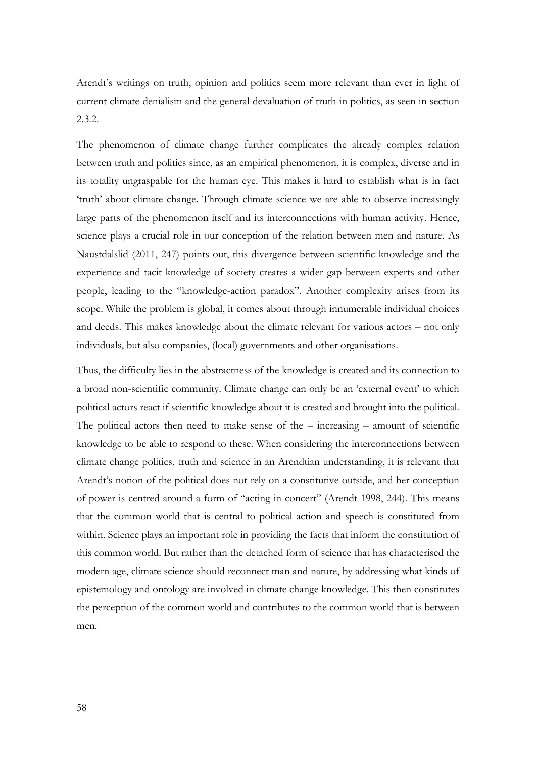Arendt's writings on truth, opinion and politics seem more relevant than ever in light of current climate denialism and the general devaluation of truth in politics, as seen in section 2.3.2.

The phenomenon of climate change further complicates the already complex relation between truth and politics since, as an empirical phenomenon, it is complex, diverse and in its totality ungraspable for the human eye. This makes it hard to establish what is in fact 'truth' about climate change. Through climate science we are able to observe increasingly large parts of the phenomenon itself and its interconnections with human activity. Hence, science plays a crucial role in our conception of the relation between men and nature. As Naustdalslid (2011, 247) points out, this divergence between scientific knowledge and the experience and tacit knowledge of society creates a wider gap between experts and other people, leading to the "knowledge-action paradox". Another complexity arises from its scope. While the problem is global, it comes about through innumerable individual choices and deeds. This makes knowledge about the climate relevant for various actors – not only individuals, but also companies, (local) governments and other organisations.

Thus, the difficulty lies in the abstractness of the knowledge is created and its connection to a broad non-scientific community. Climate change can only be an 'external event' to which political actors react if scientific knowledge about it is created and brought into the political. The political actors then need to make sense of the – increasing – amount of scientific knowledge to be able to respond to these. When considering the interconnections between climate change politics, truth and science in an Arendtian understanding, it is relevant that Arendt's notion of the political does not rely on a constitutive outside, and her conception of power is centred around a form of "acting in concert" (Arendt 1998, 244). This means that the common world that is central to political action and speech is constituted from within. Science plays an important role in providing the facts that inform the constitution of this common world. But rather than the detached form of science that has characterised the modern age, climate science should reconnect man and nature, by addressing what kinds of epistemology and ontology are involved in climate change knowledge. This then constitutes the perception of the common world and contributes to the common world that is between men.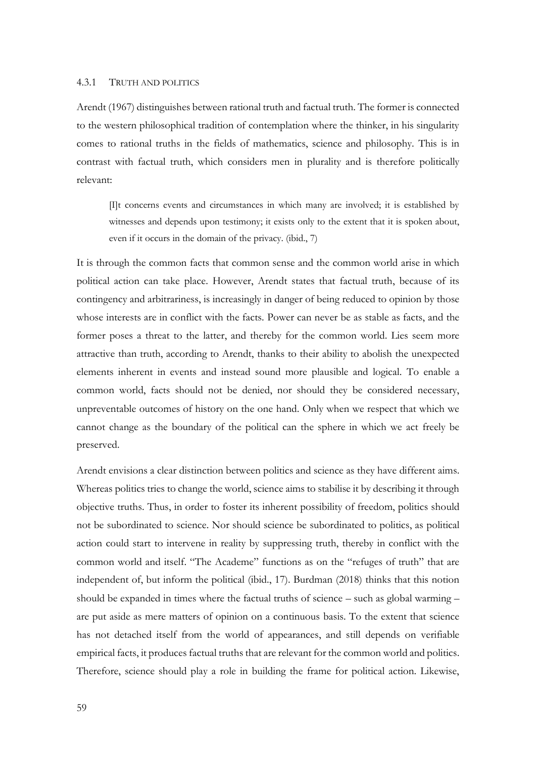#### 4.3.1 TRUTH AND POLITICS

Arendt (1967) distinguishes between rational truth and factual truth. The former is connected to the western philosophical tradition of contemplation where the thinker, in his singularity comes to rational truths in the fields of mathematics, science and philosophy. This is in contrast with factual truth, which considers men in plurality and is therefore politically relevant:

[I]t concerns events and circumstances in which many are involved; it is established by witnesses and depends upon testimony; it exists only to the extent that it is spoken about, even if it occurs in the domain of the privacy. (ibid., 7)

It is through the common facts that common sense and the common world arise in which political action can take place. However, Arendt states that factual truth, because of its contingency and arbitrariness, is increasingly in danger of being reduced to opinion by those whose interests are in conflict with the facts. Power can never be as stable as facts, and the former poses a threat to the latter, and thereby for the common world. Lies seem more attractive than truth, according to Arendt, thanks to their ability to abolish the unexpected elements inherent in events and instead sound more plausible and logical. To enable a common world, facts should not be denied, nor should they be considered necessary, unpreventable outcomes of history on the one hand. Only when we respect that which we cannot change as the boundary of the political can the sphere in which we act freely be preserved.

Arendt envisions a clear distinction between politics and science as they have different aims. Whereas politics tries to change the world, science aims to stabilise it by describing it through objective truths. Thus, in order to foster its inherent possibility of freedom, politics should not be subordinated to science. Nor should science be subordinated to politics, as political action could start to intervene in reality by suppressing truth, thereby in conflict with the common world and itself. "The Academe" functions as on the "refuges of truth" that are independent of, but inform the political (ibid., 17). Burdman (2018) thinks that this notion should be expanded in times where the factual truths of science – such as global warming – are put aside as mere matters of opinion on a continuous basis. To the extent that science has not detached itself from the world of appearances, and still depends on verifiable empirical facts, it produces factual truths that are relevant for the common world and politics. Therefore, science should play a role in building the frame for political action. Likewise,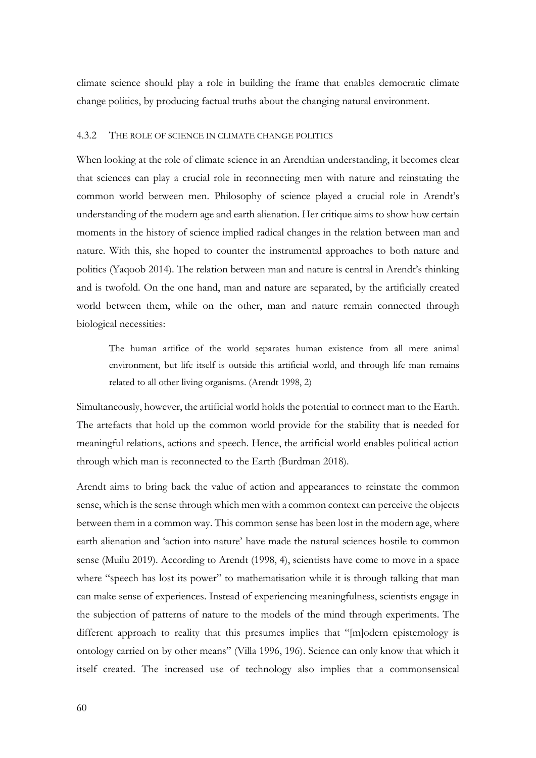climate science should play a role in building the frame that enables democratic climate change politics, by producing factual truths about the changing natural environment.

#### 4.3.2 THE ROLE OF SCIENCE IN CLIMATE CHANGE POLITICS

When looking at the role of climate science in an Arendtian understanding, it becomes clear that sciences can play a crucial role in reconnecting men with nature and reinstating the common world between men. Philosophy of science played a crucial role in Arendt's understanding of the modern age and earth alienation. Her critique aims to show how certain moments in the history of science implied radical changes in the relation between man and nature. With this, she hoped to counter the instrumental approaches to both nature and politics (Yaqoob 2014). The relation between man and nature is central in Arendt's thinking and is twofold. On the one hand, man and nature are separated, by the artificially created world between them, while on the other, man and nature remain connected through biological necessities:

The human artifice of the world separates human existence from all mere animal environment, but life itself is outside this artificial world, and through life man remains related to all other living organisms. (Arendt 1998, 2)

Simultaneously, however, the artificial world holds the potential to connect man to the Earth. The artefacts that hold up the common world provide for the stability that is needed for meaningful relations, actions and speech. Hence, the artificial world enables political action through which man is reconnected to the Earth (Burdman 2018).

Arendt aims to bring back the value of action and appearances to reinstate the common sense, which is the sense through which men with a common context can perceive the objects between them in a common way. This common sense has been lost in the modern age, where earth alienation and 'action into nature' have made the natural sciences hostile to common sense (Muilu 2019). According to Arendt (1998, 4), scientists have come to move in a space where "speech has lost its power" to mathematisation while it is through talking that man can make sense of experiences. Instead of experiencing meaningfulness, scientists engage in the subjection of patterns of nature to the models of the mind through experiments. The different approach to reality that this presumes implies that "[m]odern epistemology is ontology carried on by other means" (Villa 1996, 196). Science can only know that which it itself created. The increased use of technology also implies that a commonsensical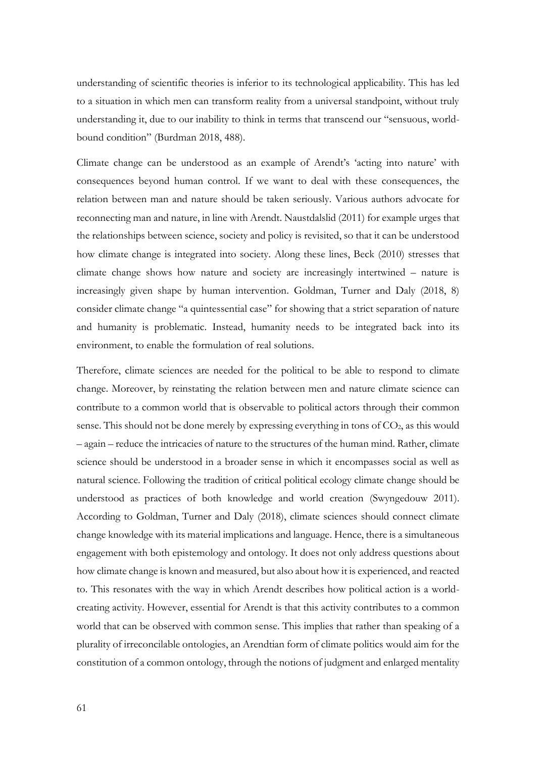understanding of scientific theories is inferior to its technological applicability. This has led to a situation in which men can transform reality from a universal standpoint, without truly understanding it, due to our inability to think in terms that transcend our "sensuous, worldbound condition" (Burdman 2018, 488).

Climate change can be understood as an example of Arendt's 'acting into nature' with consequences beyond human control. If we want to deal with these consequences, the relation between man and nature should be taken seriously. Various authors advocate for reconnecting man and nature, in line with Arendt. Naustdalslid (2011) for example urges that the relationships between science, society and policy is revisited, so that it can be understood how climate change is integrated into society. Along these lines, Beck (2010) stresses that climate change shows how nature and society are increasingly intertwined – nature is increasingly given shape by human intervention. Goldman, Turner and Daly (2018, 8) consider climate change "a quintessential case" for showing that a strict separation of nature and humanity is problematic. Instead, humanity needs to be integrated back into its environment, to enable the formulation of real solutions.

Therefore, climate sciences are needed for the political to be able to respond to climate change. Moreover, by reinstating the relation between men and nature climate science can contribute to a common world that is observable to political actors through their common sense. This should not be done merely by expressing everything in tons of  $CO<sub>2</sub>$ , as this would – again – reduce the intricacies of nature to the structures of the human mind. Rather, climate science should be understood in a broader sense in which it encompasses social as well as natural science. Following the tradition of critical political ecology climate change should be understood as practices of both knowledge and world creation (Swyngedouw 2011). According to Goldman, Turner and Daly (2018), climate sciences should connect climate change knowledge with its material implications and language. Hence, there is a simultaneous engagement with both epistemology and ontology. It does not only address questions about how climate change is known and measured, but also about how it is experienced, and reacted to. This resonates with the way in which Arendt describes how political action is a worldcreating activity. However, essential for Arendt is that this activity contributes to a common world that can be observed with common sense. This implies that rather than speaking of a plurality of irreconcilable ontologies, an Arendtian form of climate politics would aim for the constitution of a common ontology, through the notions of judgment and enlarged mentality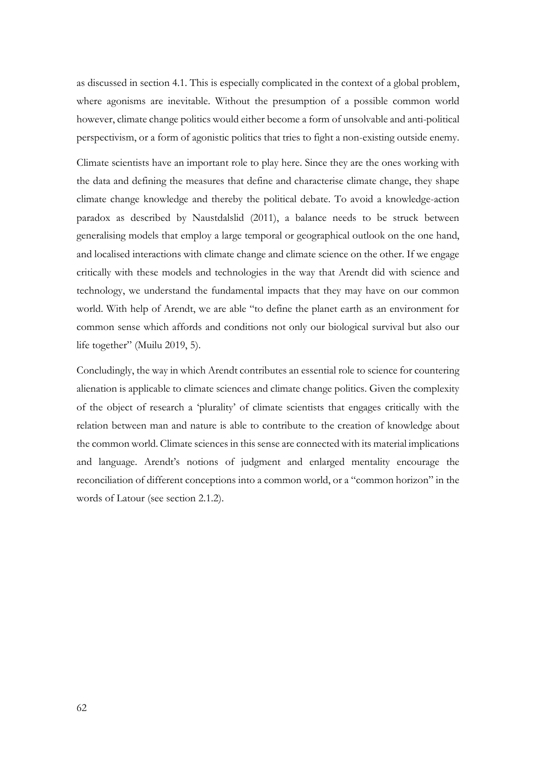as discussed in section 4.1. This is especially complicated in the context of a global problem, where agonisms are inevitable. Without the presumption of a possible common world however, climate change politics would either become a form of unsolvable and anti-political perspectivism, or a form of agonistic politics that tries to fight a non-existing outside enemy.

Climate scientists have an important role to play here. Since they are the ones working with the data and defining the measures that define and characterise climate change, they shape climate change knowledge and thereby the political debate. To avoid a knowledge-action paradox as described by Naustdalslid (2011), a balance needs to be struck between generalising models that employ a large temporal or geographical outlook on the one hand, and localised interactions with climate change and climate science on the other. If we engage critically with these models and technologies in the way that Arendt did with science and technology, we understand the fundamental impacts that they may have on our common world. With help of Arendt, we are able "to define the planet earth as an environment for common sense which affords and conditions not only our biological survival but also our life together" (Muilu 2019, 5).

Concludingly, the way in which Arendt contributes an essential role to science for countering alienation is applicable to climate sciences and climate change politics. Given the complexity of the object of research a 'plurality' of climate scientists that engages critically with the relation between man and nature is able to contribute to the creation of knowledge about the common world. Climate sciences in this sense are connected with its material implications and language. Arendt's notions of judgment and enlarged mentality encourage the reconciliation of different conceptions into a common world, or a "common horizon" in the words of Latour (see section 2.1.2).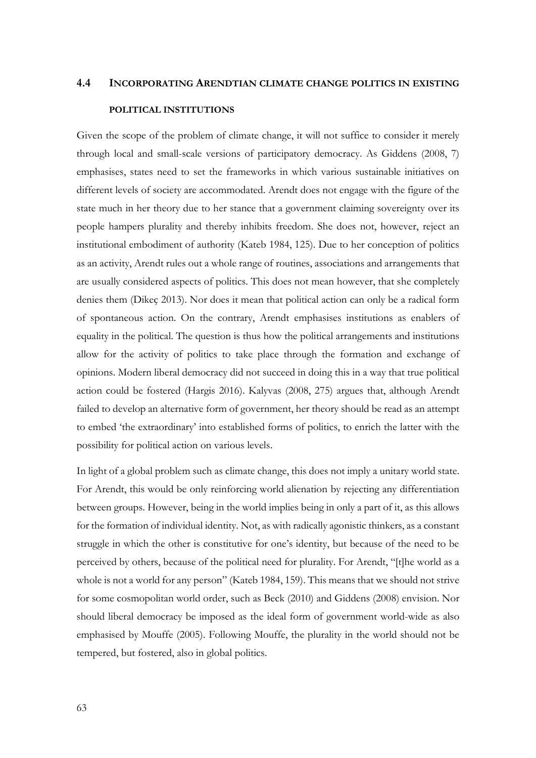# **4.4 INCORPORATING ARENDTIAN CLIMATE CHANGE POLITICS IN EXISTING POLITICAL INSTITUTIONS**

Given the scope of the problem of climate change, it will not suffice to consider it merely through local and small-scale versions of participatory democracy. As Giddens (2008, 7) emphasises, states need to set the frameworks in which various sustainable initiatives on different levels of society are accommodated. Arendt does not engage with the figure of the state much in her theory due to her stance that a government claiming sovereignty over its people hampers plurality and thereby inhibits freedom. She does not, however, reject an institutional embodiment of authority (Kateb 1984, 125). Due to her conception of politics as an activity, Arendt rules out a whole range of routines, associations and arrangements that are usually considered aspects of politics. This does not mean however, that she completely denies them (Dikeç 2013). Nor does it mean that political action can only be a radical form of spontaneous action. On the contrary, Arendt emphasises institutions as enablers of equality in the political. The question is thus how the political arrangements and institutions allow for the activity of politics to take place through the formation and exchange of opinions. Modern liberal democracy did not succeed in doing this in a way that true political action could be fostered (Hargis 2016). Kalyvas (2008, 275) argues that, although Arendt failed to develop an alternative form of government, her theory should be read as an attempt to embed 'the extraordinary' into established forms of politics, to enrich the latter with the possibility for political action on various levels.

In light of a global problem such as climate change, this does not imply a unitary world state. For Arendt, this would be only reinforcing world alienation by rejecting any differentiation between groups. However, being in the world implies being in only a part of it, as this allows for the formation of individual identity. Not, as with radically agonistic thinkers, as a constant struggle in which the other is constitutive for one's identity, but because of the need to be perceived by others, because of the political need for plurality. For Arendt, "[t]he world as a whole is not a world for any person" (Kateb 1984, 159). This means that we should not strive for some cosmopolitan world order, such as Beck (2010) and Giddens (2008) envision. Nor should liberal democracy be imposed as the ideal form of government world-wide as also emphasised by Mouffe (2005). Following Mouffe, the plurality in the world should not be tempered, but fostered, also in global politics.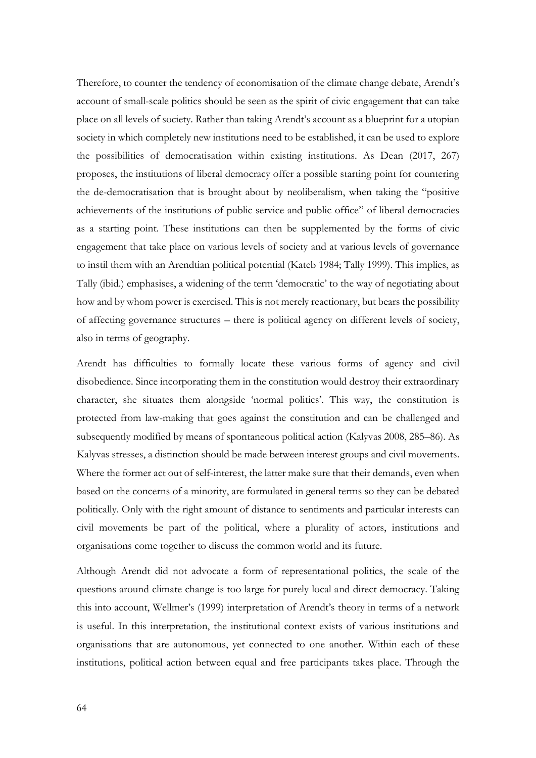Therefore, to counter the tendency of economisation of the climate change debate, Arendt's account of small-scale politics should be seen as the spirit of civic engagement that can take place on all levels of society. Rather than taking Arendt's account as a blueprint for a utopian society in which completely new institutions need to be established, it can be used to explore the possibilities of democratisation within existing institutions. As Dean (2017, 267) proposes, the institutions of liberal democracy offer a possible starting point for countering the de-democratisation that is brought about by neoliberalism, when taking the "positive achievements of the institutions of public service and public office" of liberal democracies as a starting point. These institutions can then be supplemented by the forms of civic engagement that take place on various levels of society and at various levels of governance to instil them with an Arendtian political potential (Kateb 1984; Tally 1999). This implies, as Tally (ibid.) emphasises, a widening of the term 'democratic' to the way of negotiating about how and by whom power is exercised. This is not merely reactionary, but bears the possibility of affecting governance structures – there is political agency on different levels of society, also in terms of geography.

Arendt has difficulties to formally locate these various forms of agency and civil disobedience. Since incorporating them in the constitution would destroy their extraordinary character, she situates them alongside 'normal politics'. This way, the constitution is protected from law-making that goes against the constitution and can be challenged and subsequently modified by means of spontaneous political action (Kalyvas 2008, 285–86). As Kalyvas stresses, a distinction should be made between interest groups and civil movements. Where the former act out of self-interest, the latter make sure that their demands, even when based on the concerns of a minority, are formulated in general terms so they can be debated politically. Only with the right amount of distance to sentiments and particular interests can civil movements be part of the political, where a plurality of actors, institutions and organisations come together to discuss the common world and its future.

Although Arendt did not advocate a form of representational politics, the scale of the questions around climate change is too large for purely local and direct democracy. Taking this into account, Wellmer's (1999) interpretation of Arendt's theory in terms of a network is useful. In this interpretation, the institutional context exists of various institutions and organisations that are autonomous, yet connected to one another. Within each of these institutions, political action between equal and free participants takes place. Through the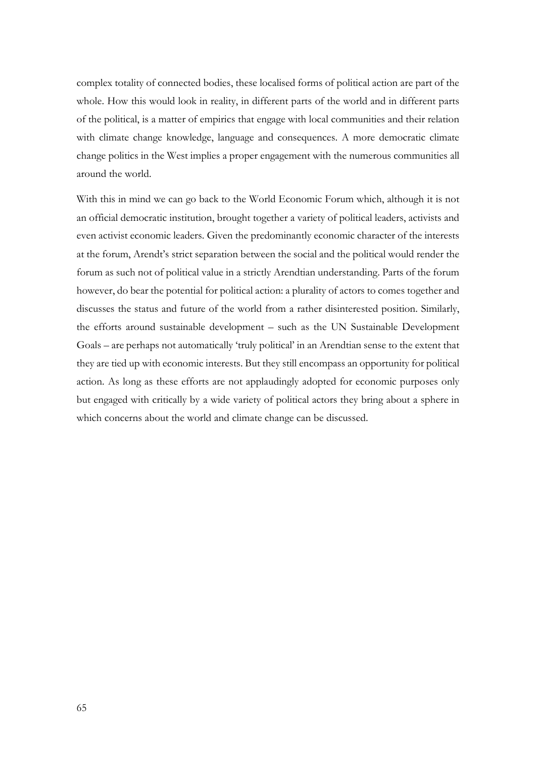complex totality of connected bodies, these localised forms of political action are part of the whole. How this would look in reality, in different parts of the world and in different parts of the political, is a matter of empirics that engage with local communities and their relation with climate change knowledge, language and consequences. A more democratic climate change politics in the West implies a proper engagement with the numerous communities all around the world.

With this in mind we can go back to the World Economic Forum which, although it is not an official democratic institution, brought together a variety of political leaders, activists and even activist economic leaders. Given the predominantly economic character of the interests at the forum, Arendt's strict separation between the social and the political would render the forum as such not of political value in a strictly Arendtian understanding. Parts of the forum however, do bear the potential for political action: a plurality of actors to comes together and discusses the status and future of the world from a rather disinterested position. Similarly, the efforts around sustainable development – such as the UN Sustainable Development Goals – are perhaps not automatically 'truly political' in an Arendtian sense to the extent that they are tied up with economic interests. But they still encompass an opportunity for political action. As long as these efforts are not applaudingly adopted for economic purposes only but engaged with critically by a wide variety of political actors they bring about a sphere in which concerns about the world and climate change can be discussed.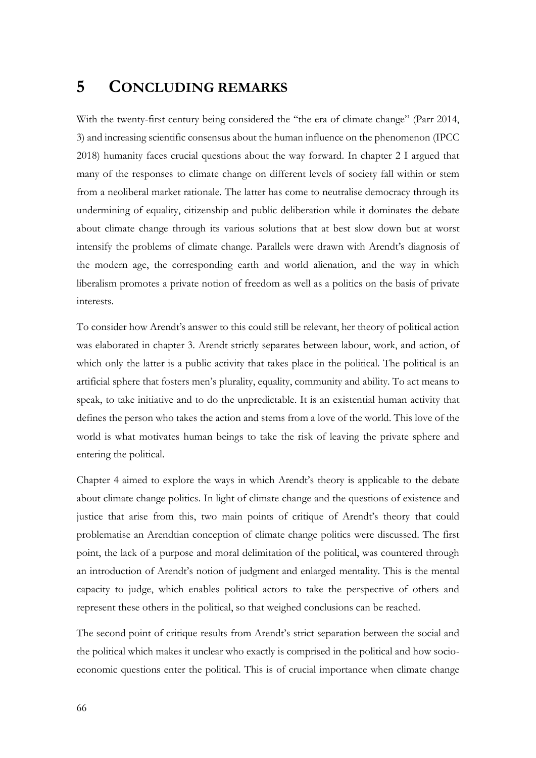### **5 CONCLUDING REMARKS**

With the twenty-first century being considered the "the era of climate change" (Parr 2014, 3) and increasing scientific consensus about the human influence on the phenomenon (IPCC 2018) humanity faces crucial questions about the way forward. In chapter 2 I argued that many of the responses to climate change on different levels of society fall within or stem from a neoliberal market rationale. The latter has come to neutralise democracy through its undermining of equality, citizenship and public deliberation while it dominates the debate about climate change through its various solutions that at best slow down but at worst intensify the problems of climate change. Parallels were drawn with Arendt's diagnosis of the modern age, the corresponding earth and world alienation, and the way in which liberalism promotes a private notion of freedom as well as a politics on the basis of private interests.

To consider how Arendt's answer to this could still be relevant, her theory of political action was elaborated in chapter 3. Arendt strictly separates between labour, work, and action, of which only the latter is a public activity that takes place in the political. The political is an artificial sphere that fosters men's plurality, equality, community and ability. To act means to speak, to take initiative and to do the unpredictable. It is an existential human activity that defines the person who takes the action and stems from a love of the world. This love of the world is what motivates human beings to take the risk of leaving the private sphere and entering the political.

Chapter 4 aimed to explore the ways in which Arendt's theory is applicable to the debate about climate change politics. In light of climate change and the questions of existence and justice that arise from this, two main points of critique of Arendt's theory that could problematise an Arendtian conception of climate change politics were discussed. The first point, the lack of a purpose and moral delimitation of the political, was countered through an introduction of Arendt's notion of judgment and enlarged mentality. This is the mental capacity to judge, which enables political actors to take the perspective of others and represent these others in the political, so that weighed conclusions can be reached.

The second point of critique results from Arendt's strict separation between the social and the political which makes it unclear who exactly is comprised in the political and how socioeconomic questions enter the political. This is of crucial importance when climate change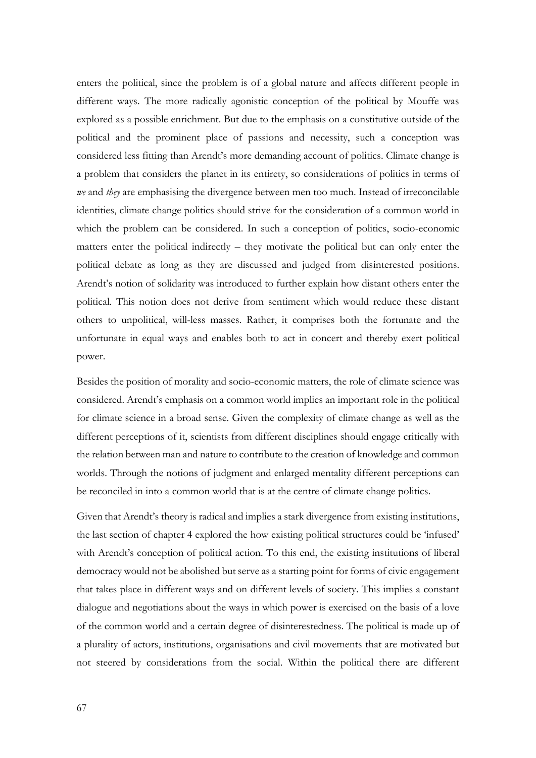enters the political, since the problem is of a global nature and affects different people in different ways. The more radically agonistic conception of the political by Mouffe was explored as a possible enrichment. But due to the emphasis on a constitutive outside of the political and the prominent place of passions and necessity, such a conception was considered less fitting than Arendt's more demanding account of politics. Climate change is a problem that considers the planet in its entirety, so considerations of politics in terms of *we* and *they* are emphasising the divergence between men too much. Instead of irreconcilable identities, climate change politics should strive for the consideration of a common world in which the problem can be considered. In such a conception of politics, socio-economic matters enter the political indirectly – they motivate the political but can only enter the political debate as long as they are discussed and judged from disinterested positions. Arendt's notion of solidarity was introduced to further explain how distant others enter the political. This notion does not derive from sentiment which would reduce these distant others to unpolitical, will-less masses. Rather, it comprises both the fortunate and the unfortunate in equal ways and enables both to act in concert and thereby exert political power.

Besides the position of morality and socio-economic matters, the role of climate science was considered. Arendt's emphasis on a common world implies an important role in the political for climate science in a broad sense. Given the complexity of climate change as well as the different perceptions of it, scientists from different disciplines should engage critically with the relation between man and nature to contribute to the creation of knowledge and common worlds. Through the notions of judgment and enlarged mentality different perceptions can be reconciled in into a common world that is at the centre of climate change politics.

Given that Arendt's theory is radical and implies a stark divergence from existing institutions, the last section of chapter 4 explored the how existing political structures could be 'infused' with Arendt's conception of political action. To this end, the existing institutions of liberal democracy would not be abolished but serve as a starting point for forms of civic engagement that takes place in different ways and on different levels of society. This implies a constant dialogue and negotiations about the ways in which power is exercised on the basis of a love of the common world and a certain degree of disinterestedness. The political is made up of a plurality of actors, institutions, organisations and civil movements that are motivated but not steered by considerations from the social. Within the political there are different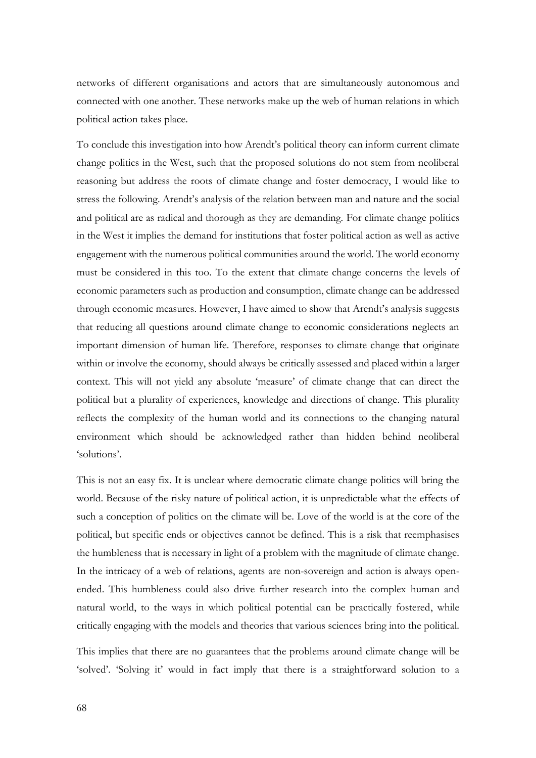networks of different organisations and actors that are simultaneously autonomous and connected with one another. These networks make up the web of human relations in which political action takes place.

To conclude this investigation into how Arendt's political theory can inform current climate change politics in the West, such that the proposed solutions do not stem from neoliberal reasoning but address the roots of climate change and foster democracy, I would like to stress the following. Arendt's analysis of the relation between man and nature and the social and political are as radical and thorough as they are demanding. For climate change politics in the West it implies the demand for institutions that foster political action as well as active engagement with the numerous political communities around the world. The world economy must be considered in this too. To the extent that climate change concerns the levels of economic parameters such as production and consumption, climate change can be addressed through economic measures. However, I have aimed to show that Arendt's analysis suggests that reducing all questions around climate change to economic considerations neglects an important dimension of human life. Therefore, responses to climate change that originate within or involve the economy, should always be critically assessed and placed within a larger context. This will not yield any absolute 'measure' of climate change that can direct the political but a plurality of experiences, knowledge and directions of change. This plurality reflects the complexity of the human world and its connections to the changing natural environment which should be acknowledged rather than hidden behind neoliberal 'solutions'.

This is not an easy fix. It is unclear where democratic climate change politics will bring the world. Because of the risky nature of political action, it is unpredictable what the effects of such a conception of politics on the climate will be. Love of the world is at the core of the political, but specific ends or objectives cannot be defined. This is a risk that reemphasises the humbleness that is necessary in light of a problem with the magnitude of climate change. In the intricacy of a web of relations, agents are non-sovereign and action is always openended. This humbleness could also drive further research into the complex human and natural world, to the ways in which political potential can be practically fostered, while critically engaging with the models and theories that various sciences bring into the political.

This implies that there are no guarantees that the problems around climate change will be 'solved'. 'Solving it' would in fact imply that there is a straightforward solution to a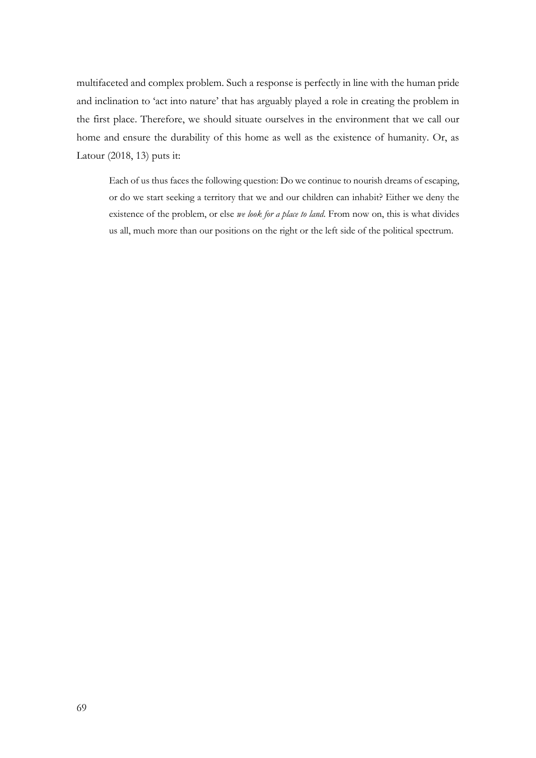multifaceted and complex problem. Such a response is perfectly in line with the human pride and inclination to 'act into nature' that has arguably played a role in creating the problem in the first place. Therefore, we should situate ourselves in the environment that we call our home and ensure the durability of this home as well as the existence of humanity. Or, as Latour (2018, 13) puts it:

Each of us thus faces the following question: Do we continue to nourish dreams of escaping, or do we start seeking a territory that we and our children can inhabit? Either we deny the existence of the problem, or else *we look for a place to land*. From now on, this is what divides us all, much more than our positions on the right or the left side of the political spectrum.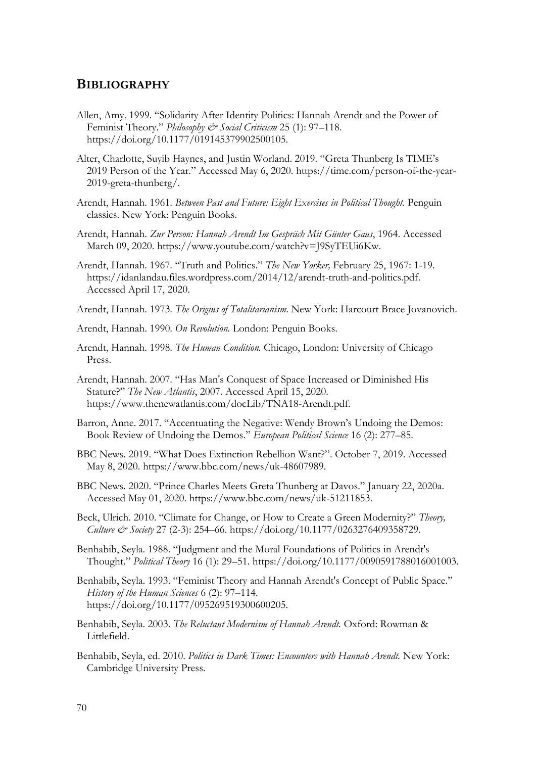## **BIBLIOGRAPHY**

- Allen, Amy. 1999. "Solidarity After Identity Politics: Hannah Arendt and the Power of Feminist Theory." *Philosophy & Social Criticism* 25 (1): 97–118. https://doi.org/10.1177/019145379902500105.
- Alter, Charlotte, Suyib Haynes, and Justin Worland. 2019. "Greta Thunberg Is TIME's 2019 Person of the Year." Accessed May 6, 2020. https://time.com/person-of-the-year-2019-greta-thunberg/.
- Arendt, Hannah. 1961. *Between Past and Future: Eight Exercises in Political Thought.* Penguin classics. New York: Penguin Books.
- Arendt, Hannah. *Zur Person: Hannah Arendt Im Gespräch Mit Günter Gaus*, 1964. Accessed March 09, 2020. https://www.youtube.com/watch?v=J9SyTEUi6Kw.
- Arendt, Hannah. 1967. "Truth and Politics." *The New Yorker,* February 25, 1967: 1-19. https://idanlandau.files.wordpress.com/2014/12/arendt-truth-and-politics.pdf. Accessed April 17, 2020.
- Arendt, Hannah. 1973. *The Origins of Totalitarianism.* New York: Harcourt Brace Jovanovich.
- Arendt, Hannah. 1990. *On Revolution.* London: Penguin Books.
- Arendt, Hannah. 1998. *The Human Condition.* Chicago, London: University of Chicago Press.
- Arendt, Hannah. 2007. "Has Man's Conquest of Space Increased or Diminished His Stature?" *The New Atlantis*, 2007. Accessed April 15, 2020. https://www.thenewatlantis.com/docLib/TNA18-Arendt.pdf.
- Barron, Anne. 2017. "Accentuating the Negative: Wendy Brown's Undoing the Demos: Book Review of Undoing the Demos." *European Political Science* 16 (2): 277–85.
- BBC News. 2019. "What Does Extinction Rebellion Want?". October 7, 2019. Accessed May 8, 2020. https://www.bbc.com/news/uk-48607989.
- BBC News. 2020. "Prince Charles Meets Greta Thunberg at Davos." January 22, 2020a. Accessed May 01, 2020. https://www.bbc.com/news/uk-51211853.
- Beck, Ulrich. 2010. "Climate for Change, or How to Create a Green Modernity?" *Theory, Culture & Society* 27 (2-3): 254–66. https://doi.org/10.1177/0263276409358729.
- Benhabib, Seyla. 1988. "Judgment and the Moral Foundations of Politics in Arendt's Thought." *Political Theory* 16 (1): 29–51. https://doi.org/10.1177/0090591788016001003.
- Benhabib, Seyla. 1993. "Feminist Theory and Hannah Arendt's Concept of Public Space." *History of the Human Sciences* 6 (2): 97–114. https://doi.org/10.1177/095269519300600205.
- Benhabib, Seyla. 2003. *The Reluctant Modernism of Hannah Arendt.* Oxford: Rowman & Littlefield.
- Benhabib, Seyla, ed. 2010. *Politics in Dark Times: Encounters with Hannah Arendt.* New York: Cambridge University Press.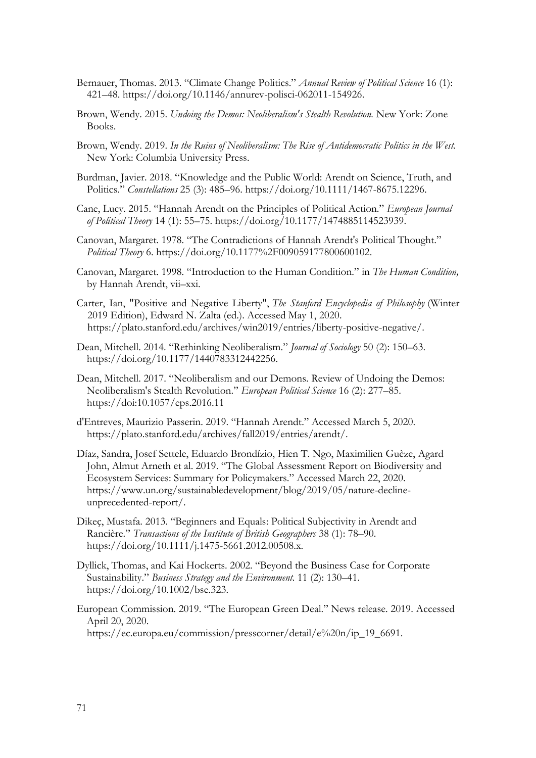- Bernauer, Thomas. 2013. "Climate Change Politics." *Annual Review of Political Science* 16 (1): 421–48. https://doi.org/10.1146/annurev-polisci-062011-154926.
- Brown, Wendy. 2015. *Undoing the Demos: Neoliberalism's Stealth Revolution.* New York: Zone Books.
- Brown, Wendy. 2019. *In the Ruins of Neoliberalism: The Rise of Antidemocratic Politics in the West.*  New York: Columbia University Press.
- Burdman, Javier. 2018. "Knowledge and the Public World: Arendt on Science, Truth, and Politics." *Constellations* 25 (3): 485–96. https://doi.org/10.1111/1467-8675.12296.
- Cane, Lucy. 2015. "Hannah Arendt on the Principles of Political Action." *European Journal of Political Theory* 14 (1): 55–75. https://doi.org/10.1177/1474885114523939.
- Canovan, Margaret. 1978. "The Contradictions of Hannah Arendt's Political Thought." *Political Theory* 6. https://doi.org/10.1177%2F009059177800600102.
- Canovan, Margaret. 1998. "Introduction to the Human Condition." in *The Human Condition,*  by Hannah Arendt, vii–xxi.
- Carter, Ian, "Positive and Negative Liberty", *The Stanford Encyclopedia of Philosophy* (Winter 2019 Edition), Edward N. Zalta (ed.). Accessed May 1, 2020. https://plato.stanford.edu/archives/win2019/entries/liberty-positive-negative/.
- Dean, Mitchell. 2014. "Rethinking Neoliberalism." *Journal of Sociology* 50 (2): 150–63. https://doi.org/10.1177/1440783312442256.
- Dean, Mitchell. 2017. "Neoliberalism and our Demons. Review of Undoing the Demos: Neoliberalism's Stealth Revolution." *European Political Science* 16 (2): 277–85. https://doi:10.1057/eps.2016.11
- d'Entreves, Maurizio Passerin. 2019. "Hannah Arendt." Accessed March 5, 2020. https://plato.stanford.edu/archives/fall2019/entries/arendt/.
- Díaz, Sandra, Josef Settele, Eduardo Brondízio, Hien T. Ngo, Maximilien Guèze, Agard John, Almut Arneth et al. 2019. "The Global Assessment Report on Biodiversity and Ecosystem Services: Summary for Policymakers." Accessed March 22, 2020. https://www.un.org/sustainabledevelopment/blog/2019/05/nature-declineunprecedented-report/.
- Dikeç, Mustafa. 2013. "Beginners and Equals: Political Subjectivity in Arendt and Rancière." *Transactions of the Institute of British Geographers* 38 (1): 78–90. https://doi.org/10.1111/j.1475-5661.2012.00508.x.
- Dyllick, Thomas, and Kai Hockerts. 2002. "Beyond the Business Case for Corporate Sustainability." *Business Strategy and the Environment.* 11 (2): 130–41. https://doi.org/10.1002/bse.323.
- European Commission. 2019. "The European Green Deal." News release. 2019. Accessed April 20, 2020. https://ec.europa.eu/commission/presscorner/detail/e%20n/ip\_19\_6691.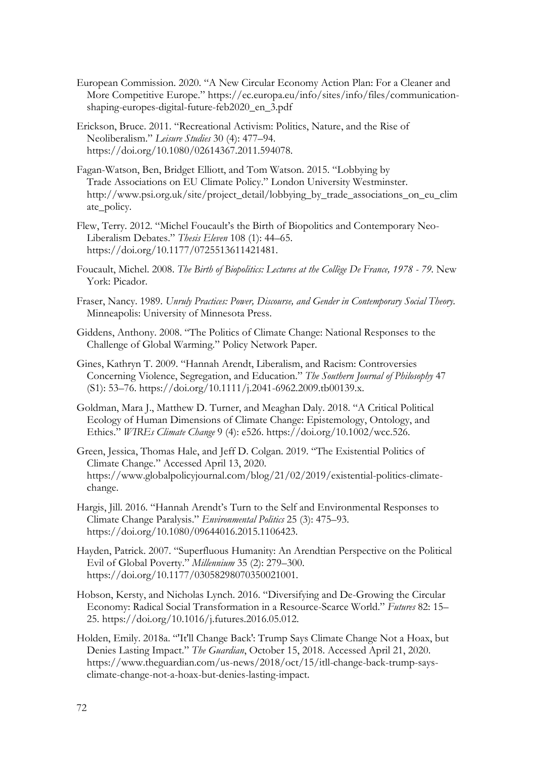- European Commission. 2020. "A New Circular Economy Action Plan: For a Cleaner and More Competitive Europe." https://ec.europa.eu/info/sites/info/files/communicationshaping-europes-digital-future-feb2020\_en\_3.pdf
- Erickson, Bruce. 2011. "Recreational Activism: Politics, Nature, and the Rise of Neoliberalism." *Leisure Studies* 30 (4): 477–94. https://doi.org/10.1080/02614367.2011.594078.
- Fagan-Watson, Ben, Bridget Elliott, and Tom Watson. 2015. "Lobbying by Trade Associations on EU Climate Policy." London University Westminster. http://www.psi.org.uk/site/project\_detail/lobbying\_by\_trade\_associations\_on\_eu\_clim ate\_policy.
- Flew, Terry. 2012. "Michel Foucault's the Birth of Biopolitics and Contemporary Neo-Liberalism Debates." *Thesis Eleven* 108 (1): 44–65. https://doi.org/10.1177/0725513611421481.
- Foucault, Michel. 2008. *The Birth of Biopolitics: Lectures at the Collège De France, 1978 - 79.* New York: Picador.
- Fraser, Nancy. 1989. *Unruly Practices: Power, Discourse, and Gender in Contemporary Social Theory.* Minneapolis: University of Minnesota Press.
- Giddens, Anthony. 2008. "The Politics of Climate Change: National Responses to the Challenge of Global Warming." Policy Network Paper.
- Gines, Kathryn T. 2009. "Hannah Arendt, Liberalism, and Racism: Controversies Concerning Violence, Segregation, and Education." *The Southern Journal of Philosophy* 47 (S1): 53–76. https://doi.org/10.1111/j.2041-6962.2009.tb00139.x.
- Goldman, Mara J., Matthew D. Turner, and Meaghan Daly. 2018. "A Critical Political Ecology of Human Dimensions of Climate Change: Epistemology, Ontology, and Ethics." *WIREs Climate Change* 9 (4): e526. https://doi.org/10.1002/wcc.526.
- Green, Jessica, Thomas Hale, and Jeff D. Colgan. 2019. "The Existential Politics of Climate Change." Accessed April 13, 2020. https://www.globalpolicyjournal.com/blog/21/02/2019/existential-politics-climatechange.
- Hargis, Jill. 2016. "Hannah Arendt's Turn to the Self and Environmental Responses to Climate Change Paralysis." *Environmental Politics* 25 (3): 475–93. https://doi.org/10.1080/09644016.2015.1106423.
- Hayden, Patrick. 2007. "Superfluous Humanity: An Arendtian Perspective on the Political Evil of Global Poverty." *Millennium* 35 (2): 279–300. https://doi.org/10.1177/03058298070350021001.
- Hobson, Kersty, and Nicholas Lynch. 2016. "Diversifying and De-Growing the Circular Economy: Radical Social Transformation in a Resource-Scarce World." *Futures* 82: 15– 25. https://doi.org/10.1016/j.futures.2016.05.012.
- Holden, Emily. 2018a. "'It'll Change Back': Trump Says Climate Change Not a Hoax, but Denies Lasting Impact." *The Guardian*, October 15, 2018. Accessed April 21, 2020. https://www.theguardian.com/us-news/2018/oct/15/itll-change-back-trump-saysclimate-change-not-a-hoax-but-denies-lasting-impact.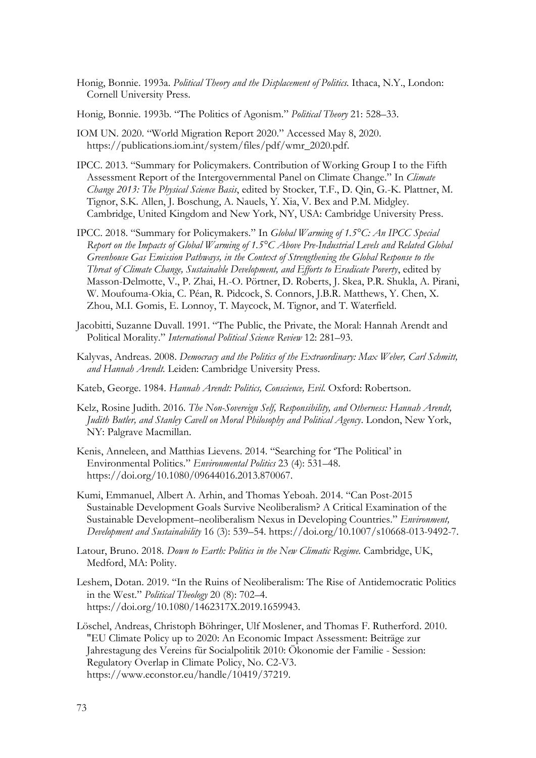- Honig, Bonnie. 1993a. *Political Theory and the Displacement of Politics.* Ithaca, N.Y., London: Cornell University Press.
- Honig, Bonnie. 1993b. "The Politics of Agonism." *Political Theory* 21: 528–33.
- IOM UN. 2020. "World Migration Report 2020." Accessed May 8, 2020. https://publications.iom.int/system/files/pdf/wmr\_2020.pdf.
- IPCC. 2013. "Summary for Policymakers. Contribution of Working Group I to the Fifth Assessment Report of the Intergovernmental Panel on Climate Change." In *Climate Change 2013: The Physical Science Basis*, edited by Stocker, T.F., D. Qin, G.-K. Plattner, M. Tignor, S.K. Allen, J. Boschung, A. Nauels, Y. Xia, V. Bex and P.M. Midgley. Cambridge, United Kingdom and New York, NY, USA: Cambridge University Press.
- IPCC. 2018. "Summary for Policymakers." In *Global Warming of 1.5°C: An IPCC Special Report on the Impacts of Global Warming of 1.5°C Above Pre-Industrial Levels and Related Global Greenhouse Gas Emission Pathways, in the Context of Strengthening the Global Response to the Threat of Climate Change, Sustainable Development, and Efforts to Eradicate Poverty*, edited by Masson-Delmotte, V., P. Zhai, H.-O. Pörtner, D. Roberts, J. Skea, P.R. Shukla, A. Pirani, W. Moufouma-Okia, C. Péan, R. Pidcock, S. Connors, J.B.R. Matthews, Y. Chen, X. Zhou, M.I. Gomis, E. Lonnoy, T. Maycock, M. Tignor, and T. Waterfield.
- Jacobitti, Suzanne Duvall. 1991. "The Public, the Private, the Moral: Hannah Arendt and Political Morality." *International Political Science Review* 12: 281–93.
- Kalyvas, Andreas. 2008. *Democracy and the Politics of the Extraordinary: Max Weber, Carl Schmitt, and Hannah Arendt.* Leiden: Cambridge University Press.
- Kateb, George. 1984. *Hannah Arendt: Politics, Conscience, Evil.* Oxford: Robertson.
- Kelz, Rosine Judith. 2016. *The Non-Sovereign Self, Responsibility, and Otherness: Hannah Arendt, Judith Butler, and Stanley Cavell on Moral Philosophy and Political Agency*. London, New York, NY: Palgrave Macmillan.
- Kenis, Anneleen, and Matthias Lievens. 2014. "Searching for 'The Political' in Environmental Politics." *Environmental Politics* 23 (4): 531–48. https://doi.org/10.1080/09644016.2013.870067.
- Kumi, Emmanuel, Albert A. Arhin, and Thomas Yeboah. 2014. "Can Post-2015 Sustainable Development Goals Survive Neoliberalism? A Critical Examination of the Sustainable Development–neoliberalism Nexus in Developing Countries." *Environment, Development and Sustainability* 16 (3): 539–54. https://doi.org/10.1007/s10668-013-9492-7.
- Latour, Bruno. 2018. *Down to Earth: Politics in the New Climatic Regime.* Cambridge, UK, Medford, MA: Polity.
- Leshem, Dotan. 2019. "In the Ruins of Neoliberalism: The Rise of Antidemocratic Politics in the West." *Political Theology* 20 (8): 702–4. https://doi.org/10.1080/1462317X.2019.1659943.
- Löschel, Andreas, Christoph Böhringer, Ulf Moslener, and Thomas F. Rutherford. 2010. "EU Climate Policy up to 2020: An Economic Impact Assessment: Beiträge zur Jahrestagung des Vereins für Socialpolitik 2010: Ökonomie der Familie - Session: Regulatory Overlap in Climate Policy, No. C2-V3. https://www.econstor.eu/handle/10419/37219.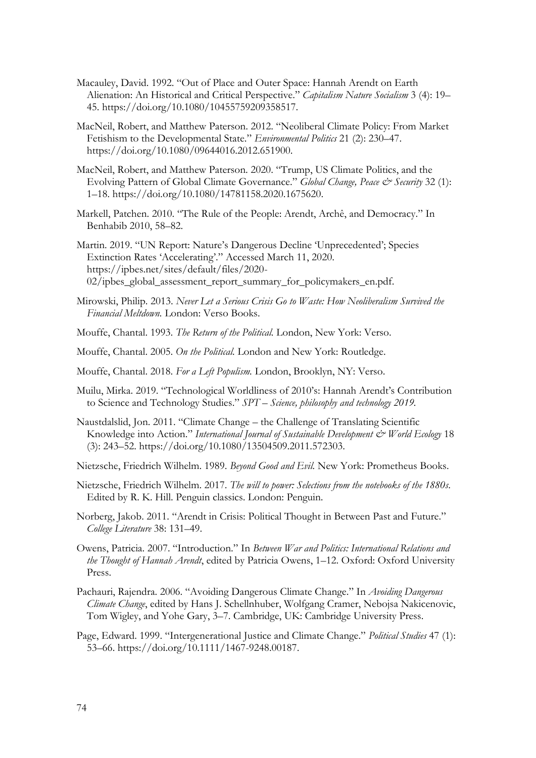- Macauley, David. 1992. "Out of Place and Outer Space: Hannah Arendt on Earth Alienation: An Historical and Critical Perspective." *Capitalism Nature Socialism* 3 (4): 19– 45. https://doi.org/10.1080/10455759209358517.
- MacNeil, Robert, and Matthew Paterson. 2012. "Neoliberal Climate Policy: From Market Fetishism to the Developmental State." *Environmental Politics* 21 (2): 230–47. https://doi.org/10.1080/09644016.2012.651900.
- MacNeil, Robert, and Matthew Paterson. 2020. "Trump, US Climate Politics, and the Evolving Pattern of Global Climate Governance." *Global Change, Peace & Security* 32 (1): 1–18. https://doi.org/10.1080/14781158.2020.1675620.
- Markell, Patchen. 2010. "The Rule of the People: Arendt, Archê, and Democracy." In Benhabib 2010, 58–82.
- Martin. 2019. "UN Report: Nature's Dangerous Decline 'Unprecedented'; Species Extinction Rates 'Accelerating'." Accessed March 11, 2020. https://ipbes.net/sites/default/files/2020- 02/ipbes\_global\_assessment\_report\_summary\_for\_policymakers\_en.pdf.
- Mirowski, Philip. 2013. *Never Let a Serious Crisis Go to Waste: How Neoliberalism Survived the Financial Meltdown.* London: Verso Books.
- Mouffe, Chantal. 1993. *The Return of the Political.* London, New York: Verso.
- Mouffe, Chantal. 2005. *On the Political.* London and New York: Routledge.
- Mouffe, Chantal. 2018. *For a Left Populism.* London, Brooklyn, NY: Verso.
- Muilu, Mirka. 2019. "Technological Worldliness of 2010's: Hannah Arendt's Contribution to Science and Technology Studies." *SPT – Science, philosophy and technology 2019.*
- Naustdalslid, Jon. 2011. "Climate Change the Challenge of Translating Scientific Knowledge into Action." *International Journal of Sustainable Development & World Ecology* 18 (3): 243–52. https://doi.org/10.1080/13504509.2011.572303.
- Nietzsche, Friedrich Wilhelm. 1989. *Beyond Good and Evil.* New York: Prometheus Books.
- Nietzsche, Friedrich Wilhelm. 2017. *The will to power: Selections from the notebooks of the 1880s*. Edited by R. K. Hill. Penguin classics. London: Penguin.
- Norberg, Jakob. 2011. "Arendt in Crisis: Political Thought in Between Past and Future." *College Literature* 38: 131–49.
- Owens, Patricia. 2007. "Introduction." In *Between War and Politics: International Relations and the Thought of Hannah Arendt*, edited by Patricia Owens, 1–12. Oxford: Oxford University Press.
- Pachauri, Rajendra. 2006. "Avoiding Dangerous Climate Change." In *Avoiding Dangerous Climate Change*, edited by Hans J. Schellnhuber, Wolfgang Cramer, Nebojsa Nakicenovic, Tom Wigley, and Yohe Gary, 3–7. Cambridge, UK: Cambridge University Press.
- Page, Edward. 1999. "Intergenerational Justice and Climate Change." *Political Studies* 47 (1): 53–66. https://doi.org/10.1111/1467-9248.00187.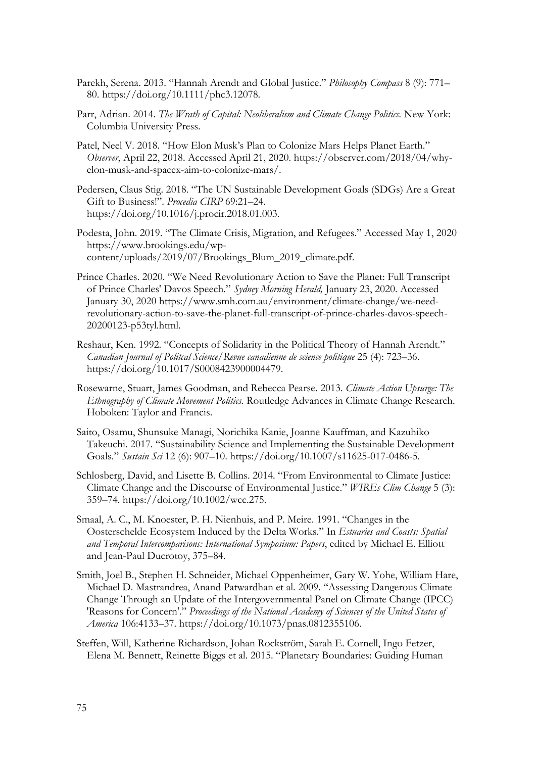- Parekh, Serena. 2013. "Hannah Arendt and Global Justice." *Philosophy Compass* 8 (9): 771– 80. https://doi.org/10.1111/phc3.12078.
- Parr, Adrian. 2014. *The Wrath of Capital: Neoliberalism and Climate Change Politics*. New York: Columbia University Press.
- Patel, Neel V. 2018. "How Elon Musk's Plan to Colonize Mars Helps Planet Earth." *Observer*, April 22, 2018. Accessed April 21, 2020. https://observer.com/2018/04/whyelon-musk-and-spacex-aim-to-colonize-mars/.
- Pedersen, Claus Stig. 2018. "The UN Sustainable Development Goals (SDGs) Are a Great Gift to Business!". *Procedia CIRP* 69:21–24. https://doi.org/10.1016/j.procir.2018.01.003.
- Podesta, John. 2019. "The Climate Crisis, Migration, and Refugees." Accessed May 1, 2020 https://www.brookings.edu/wpcontent/uploads/2019/07/Brookings\_Blum\_2019\_climate.pdf.
- Prince Charles. 2020. "We Need Revolutionary Action to Save the Planet: Full Transcript of Prince Charles' Davos Speech." *Sydney Morning Herald,* January 23, 2020. Accessed January 30, 2020 https://www.smh.com.au/environment/climate-change/we-needrevolutionary-action-to-save-the-planet-full-transcript-of-prince-charles-davos-speech-20200123-p53tyl.html.
- Reshaur, Ken. 1992. "Concepts of Solidarity in the Political Theory of Hannah Arendt." *Canadian Journal of Politcal Science/Revue canadienne de science politique* 25 (4): 723–36. https://doi.org/10.1017/S0008423900004479.
- Rosewarne, Stuart, James Goodman, and Rebecca Pearse. 2013. *Climate Action Upsurge: The Ethnography of Climate Movement Politics.* Routledge Advances in Climate Change Research. Hoboken: Taylor and Francis.
- Saito, Osamu, Shunsuke Managi, Norichika Kanie, Joanne Kauffman, and Kazuhiko Takeuchi. 2017. "Sustainability Science and Implementing the Sustainable Development Goals." *Sustain Sci* 12 (6): 907–10. https://doi.org/10.1007/s11625-017-0486-5.
- Schlosberg, David, and Lisette B. Collins. 2014. "From Environmental to Climate Justice: Climate Change and the Discourse of Environmental Justice." *WIREs Clim Change* 5 (3): 359–74. https://doi.org/10.1002/wcc.275.
- Smaal, A. C., M. Knoester, P. H. Nienhuis, and P. Meire. 1991. "Changes in the Oosterschelde Ecosystem Induced by the Delta Works." In *Estuaries and Coasts: Spatial and Temporal Intercomparisons: International Symposium: Papers*, edited by Michael E. Elliott and Jean-Paul Ducrotoy, 375–84.
- Smith, Joel B., Stephen H. Schneider, Michael Oppenheimer, Gary W. Yohe, William Hare, Michael D. Mastrandrea, Anand Patwardhan et al. 2009. "Assessing Dangerous Climate Change Through an Update of the Intergovernmental Panel on Climate Change (IPCC) 'Reasons for Concern'." *Proceedings of the National Academy of Sciences of the United States of America* 106:4133–37. https://doi.org/10.1073/pnas.0812355106.
- Steffen, Will, Katherine Richardson, Johan Rockström, Sarah E. Cornell, Ingo Fetzer, Elena M. Bennett, Reinette Biggs et al. 2015. "Planetary Boundaries: Guiding Human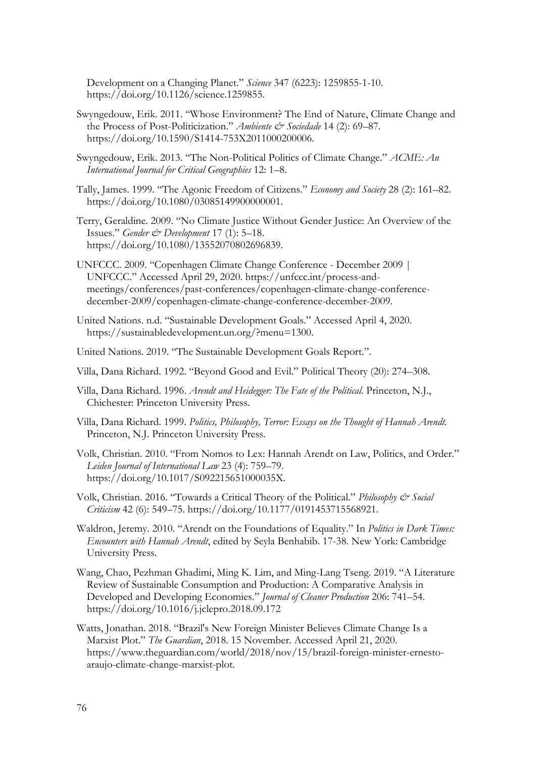Development on a Changing Planet." *Science* 347 (6223): 1259855-1-10. https://doi.org/10.1126/science.1259855.

- Swyngedouw, Erik. 2011. "Whose Environment? The End of Nature, Climate Change and the Process of Post-Politicization." Ambiente & Sociedade 14 (2): 69-87. https://doi.org/10.1590/S1414-753X2011000200006.
- Swyngedouw, Erik. 2013. "The Non-Political Politics of Climate Change." *ACME: An International Journal for Critical Geographies* 12: 1–8.
- Tally, James. 1999. "The Agonic Freedom of Citizens." *Economy and Society* 28 (2): 161–82. https://doi.org/10.1080/03085149900000001.
- Terry, Geraldine. 2009. "No Climate Justice Without Gender Justice: An Overview of the Issues." *Gender & Development* 17 (1): 5–18. https://doi.org/10.1080/13552070802696839.
- UNFCCC. 2009. "Copenhagen Climate Change Conference December 2009 | UNFCCC." Accessed April 29, 2020. https://unfccc.int/process-andmeetings/conferences/past-conferences/copenhagen-climate-change-conferencedecember-2009/copenhagen-climate-change-conference-december-2009.
- United Nations. n.d. "Sustainable Development Goals." Accessed April 4, 2020. https://sustainabledevelopment.un.org/?menu=1300.
- United Nations. 2019. "The Sustainable Development Goals Report.".
- Villa, Dana Richard. 1992. "Beyond Good and Evil." Political Theory (20): 274–308.
- Villa, Dana Richard. 1996. *Arendt and Heidegger: The Fate of the Political.* Princeton, N.J., Chichester: Princeton University Press.
- Villa, Dana Richard. 1999. *Politics, Philosophy, Terror: Essays on the Thought of Hannah Arendt.*  Princeton, N.J. Princeton University Press.
- Volk, Christian. 2010. "From Nomos to Lex: Hannah Arendt on Law, Politics, and Order." *Leiden Journal of International Law* 23 (4): 759–79. https://doi.org/10.1017/S092215651000035X.

Volk, Christian. 2016. "Towards a Critical Theory of the Political." *Philosophy & Social Criticism* 42 (6): 549–75. https://doi.org/10.1177/0191453715568921.

- Waldron, Jeremy. 2010. "Arendt on the Foundations of Equality." In *Politics in Dark Times: Encounters with Hannah Arendt*, edited by Seyla Benhabib. 17-38*.* New York: Cambridge University Press.
- Wang, Chao, Pezhman Ghadimi, Ming K. Lim, and Ming-Lang Tseng. 2019. "A Literature Review of Sustainable Consumption and Production: A Comparative Analysis in Developed and Developing Economies." *Journal of Cleaner Production* 206: 741–54. https://doi.org/10.1016/j.jclepro.2018.09.172
- Watts, Jonathan. 2018. "Brazil's New Foreign Minister Believes Climate Change Is a Marxist Plot." *The Guardian*, 2018. 15 November. Accessed April 21, 2020. https://www.theguardian.com/world/2018/nov/15/brazil-foreign-minister-ernestoaraujo-climate-change-marxist-plot.